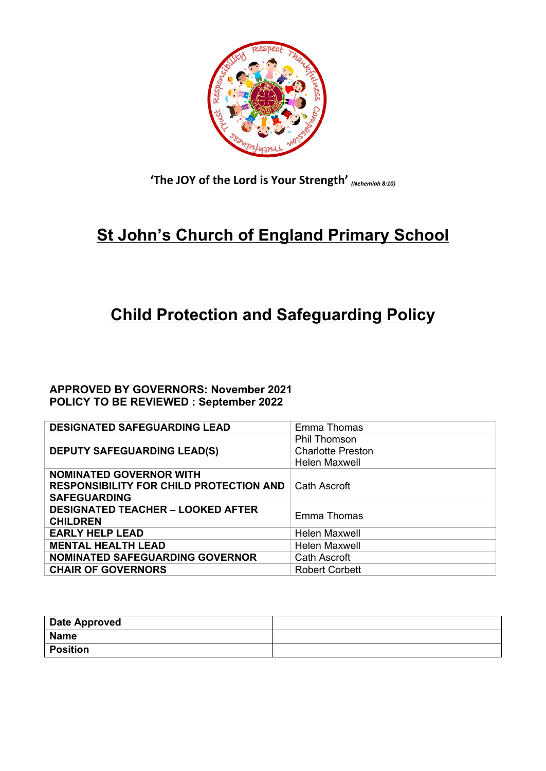

**'The JOY of the Lord is Your Strength'** *(Nehemiah 8:10)*

# **St John's Church of England Primary School**

# **Child Protection and Safeguarding Policy**

## **APPROVED BY GOVERNORS: November 2021 POLICY TO BE REVIEWED : September 2022**

| <b>DESIGNATED SAFEGUARDING LEAD</b>                                                                     | Emma Thomas                                                             |
|---------------------------------------------------------------------------------------------------------|-------------------------------------------------------------------------|
| <b>DEPUTY SAFEGUARDING LEAD(S)</b>                                                                      | <b>Phil Thomson</b><br><b>Charlotte Preston</b><br><b>Helen Maxwell</b> |
| <b>NOMINATED GOVERNOR WITH</b><br><b>RESPONSIBILITY FOR CHILD PROTECTION AND</b><br><b>SAFEGUARDING</b> | Cath Ascroft                                                            |
| <b>DESIGNATED TEACHER - LOOKED AFTER</b><br><b>CHILDREN</b>                                             | Emma Thomas                                                             |
| <b>EARLY HELP LEAD</b>                                                                                  | <b>Helen Maxwell</b>                                                    |
| <b>MENTAL HEALTH LEAD</b>                                                                               | Helen Maxwell                                                           |
| <b>NOMINATED SAFEGUARDING GOVERNOR</b>                                                                  | Cath Ascroft                                                            |
| <b>CHAIR OF GOVERNORS</b>                                                                               | <b>Robert Corbett</b>                                                   |

| <b>Date Approved</b> |  |
|----------------------|--|
| <b>Name</b>          |  |
| Position             |  |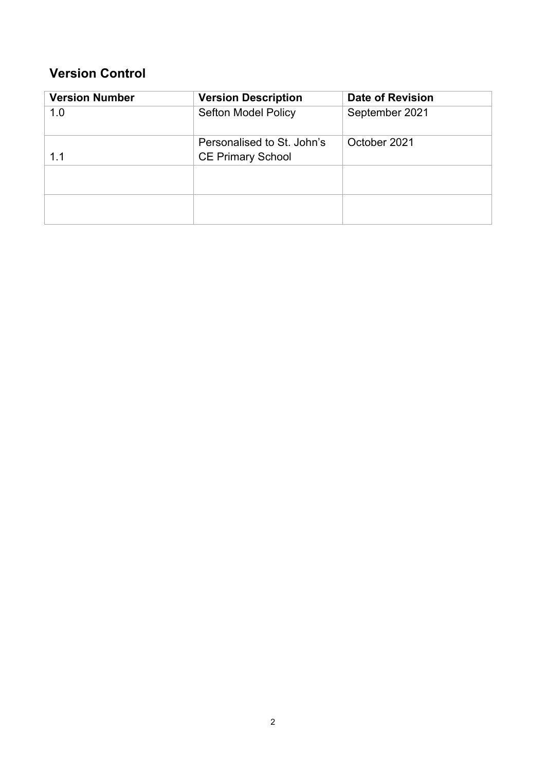## **Version Control**

| <b>Version Number</b> | <b>Version Description</b>                             | <b>Date of Revision</b> |
|-----------------------|--------------------------------------------------------|-------------------------|
| 1.0                   | <b>Sefton Model Policy</b>                             | September 2021          |
| 1.1                   | Personalised to St. John's<br><b>CE Primary School</b> | October 2021            |
|                       |                                                        |                         |
|                       |                                                        |                         |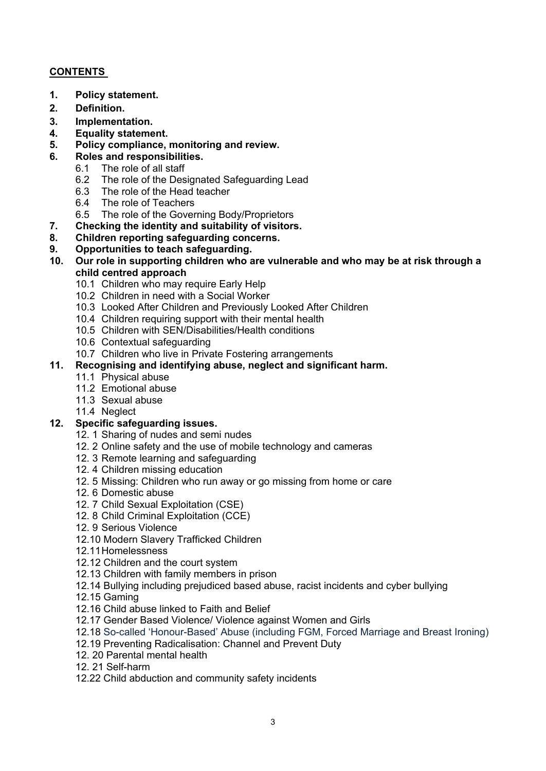## **CONTENTS**

- **1. Policy statement.**
- **2. Definition.**
- **3. Implementation.**
- **4. Equality statement.**
- **5. Policy compliance, monitoring and review.**
- **6. Roles and responsibilities.** 
	- 6.1 The role of all staff
	- 6.2 The role of the Designated Safeguarding Lead
	- 6.3 The role of the Head teacher
	- 6.4 The role of Teachers
	- 6.5 The role of the Governing Body/Proprietors
- **7. Checking the identity and suitability of visitors.**
- **8. Children reporting safeguarding concerns.**
- **9. Opportunities to teach safeguarding.**
- **10. Our role in supporting children who are vulnerable and who may be at risk through a child centred approach**
	- 10.1 Children who may require Early Help
	- 10.2 Children in need with a Social Worker
	- 10.3 Looked After Children and Previously Looked After Children
	-
	- 10.4 Children requiring support with their mental health 10.5 Children with SEN/Disabilities/Health conditions
	- 10.6 Contextual safeguarding
	- 10.7 Children who live in Private Fostering arrangements

#### **11. Recognising and identifying abuse, neglect and significant harm.**

- 11.1 Physical abuse
- 11.2 Emotional abuse
- 11.3 Sexual abuse
- 11.4 Neglect

#### **12. Specific safeguarding issues.**

- 12. 1 Sharing of nudes and semi nudes
- 12. 2 Online safety and the use of mobile technology and cameras
- 12. 3 Remote learning and safeguarding
- 12. 4 Children missing education
- 12. 5 Missing: Children who run away or go missing from home or care
- 12. 6 Domestic abuse
- 12. 7 Child Sexual Exploitation (CSE)
- 12. 8 Child Criminal Exploitation (CCE)
- 12. 9 Serious Violence
- 12.10 Modern Slavery Trafficked Children
- 12.11Homelessness
- 12.12 Children and the court system
- 12.13 Children with family members in prison
- 12.14 Bullying including prejudiced based abuse, racist incidents and cyber bullying
- 12.15 Gaming
- 12.16 Child abuse linked to Faith and Belief
- 12.17 Gender Based Violence/ Violence against Women and Girls
- 12.18 So-called 'Honour-Based' Abuse (including FGM, Forced Marriage and Breast Ironing)
- 12.19 Preventing Radicalisation: Channel and Prevent Duty
- 12. 20 Parental mental health
- 12. 21 Self-harm
- 12.22 Child abduction and community safety incidents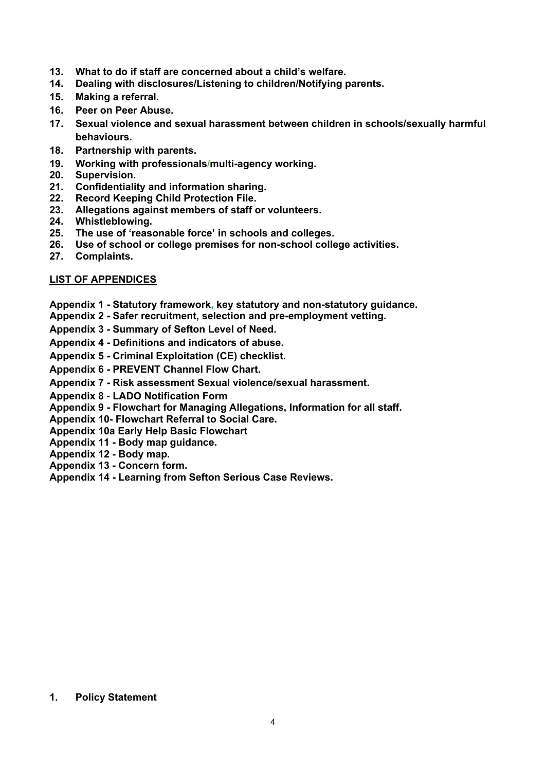- **13. What to do if staff are concerned about a child's welfare.**
- **14. Dealing with disclosures/Listening to children/Notifying parents.**
- **15. Making a referral.**
- **16. Peer on Peer Abuse.**
- **17. Sexual violence and sexual harassment between children in schools/sexually harmful behaviours.**
- **18. Partnership with parents.**
- **19. Working with professionals/multi-agency working.**
- **20. Supervision.**
- **21. Confidentiality and information sharing.**
- **22. Record Keeping Child Protection File.**
- **23. Allegations against members of staff or volunteers.**
- **24. Whistleblowing.**
- **25. The use of 'reasonable force' in schools and colleges.**
- **26. Use of school or college premises for non-school college activities.**
- **27. Complaints.**

#### **LIST OF APPENDICES**

- **Appendix 1 Statutory framework, key statutory and non-statutory guidance.**
- **Appendix 2 Safer recruitment, selection and pre-employment vetting.**
- **Appendix 3 Summary of Sefton Level of Need.**
- **Appendix 4 Definitions and indicators of abuse.**
- **Appendix 5 Criminal Exploitation (CE) checklist.**
- **Appendix 6 PREVENT Channel Flow Chart.**
- **Appendix 7 Risk assessment Sexual violence/sexual harassment.**
- **Appendix 8 LADO Notification Form**
- **Appendix 9 Flowchart for Managing Allegations, Information for all staff.**
- **Appendix 10- Flowchart Referral to Social Care.**
- **Appendix 10a Early Help Basic Flowchart**
- **Appendix 11 Body map guidance.**
- **Appendix 12 Body map.**
- **Appendix 13 Concern form.**
- **Appendix 14 Learning from Sefton Serious Case Reviews.**

#### **1. Policy Statement**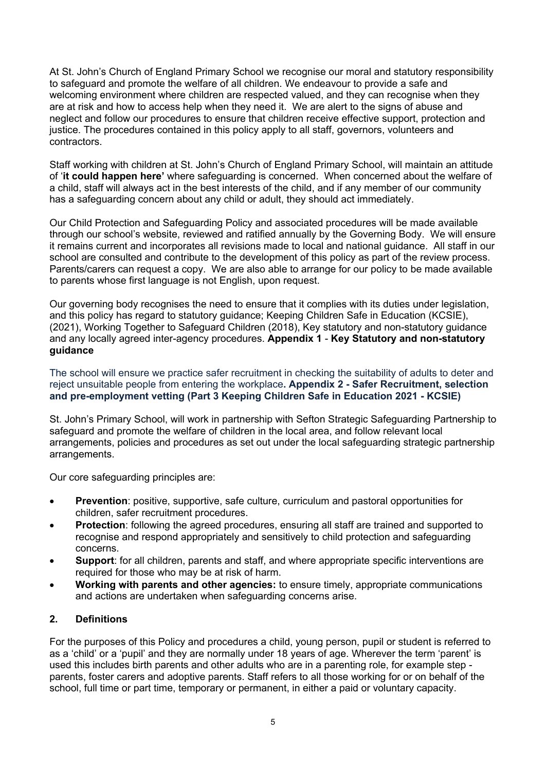At St. John's Church of England Primary School we recognise our moral and statutory responsibility to safeguard and promote the welfare of all children. We endeavour to provide a safe and welcoming environment where children are respected valued, and they can recognise when they are at risk and how to access help when they need it. We are alert to the signs of abuse and neglect and follow our procedures to ensure that children receive effective support, protection and justice. The procedures contained in this policy apply to all staff, governors, volunteers and contractors.

Staff working with children at St. John's Church of England Primary School, will maintain an attitude of '**it could happen here'** where safeguarding is concerned. When concerned about the welfare of a child, staff will always act in the best interests of the child, and if any member of our community has a safeguarding concern about any child or adult, they should act immediately.

Our Child Protection and Safeguarding Policy and associated procedures will be made available through our school's website, reviewed and ratified annually by the Governing Body. We will ensure it remains current and incorporates all revisions made to local and national guidance. All staff in our school are consulted and contribute to the development of this policy as part of the review process. Parents/carers can request a copy. We are also able to arrange for our policy to be made available to parents whose first language is not English, upon request.

Our governing body recognises the need to ensure that it complies with its duties under legislation, and this policy has regard to statutory guidance; Keeping Children Safe in Education (KCSIE), (2021), Working Together to Safeguard Children (2018), Key statutory and non-statutory guidance and any locally agreed inter-agency procedures. **Appendix 1** - **Key Statutory and non-statutory guidance**

The school will ensure we practice safer recruitment in checking the suitability of adults to deter and reject unsuitable people from entering the workplace**. Appendix 2 - Safer Recruitment, selection and pre-employment vetting (Part 3 Keeping Children Safe in Education 2021 - KCSIE)**

St. John's Primary School, will work in partnership with Sefton Strategic Safeguarding Partnership to safeguard and promote the welfare of children in the local area, and follow relevant local arrangements, policies and procedures as set out under the local safeguarding strategic partnership arrangements.

Our core safeguarding principles are:

- **Prevention**: positive, supportive, safe culture, curriculum and pastoral opportunities for children, safer recruitment procedures.
- **Protection**: following the agreed procedures, ensuring all staff are trained and supported to recognise and respond appropriately and sensitively to child protection and safeguarding concerns.
- **Support**: for all children, parents and staff, and where appropriate specific interventions are required for those who may be at risk of harm.
- **Working with parents and other agencies:** to ensure timely, appropriate communications and actions are undertaken when safeguarding concerns arise.

## **2. Definitions**

For the purposes of this Policy and procedures a child, young person, pupil or student is referred to as a 'child' or a 'pupil' and they are normally under 18 years of age. Wherever the term 'parent' is used this includes birth parents and other adults who are in a parenting role, for example step parents, foster carers and adoptive parents. Staff refers to all those working for or on behalf of the school, full time or part time, temporary or permanent, in either a paid or voluntary capacity.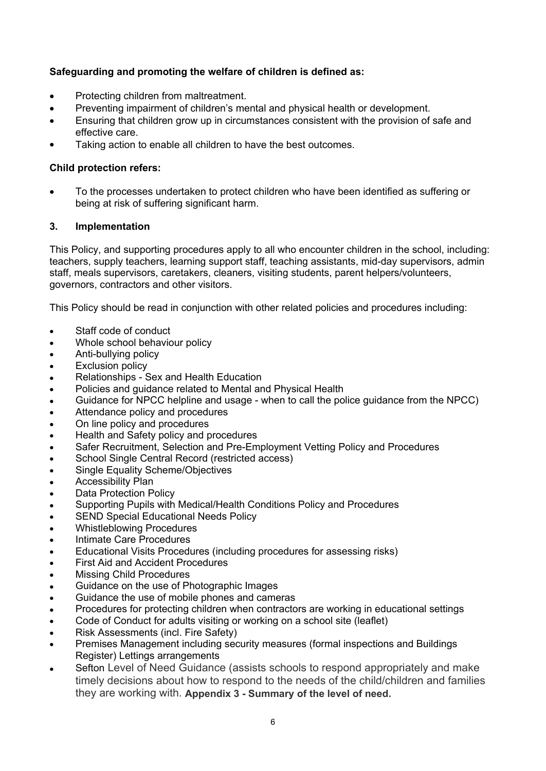## **Safeguarding and promoting the welfare of children is defined as:**

- Protecting children from maltreatment.
- Preventing impairment of children's mental and physical health or development.
- Ensuring that children grow up in circumstances consistent with the provision of safe and effective care.
- Taking action to enable all children to have the best outcomes.

## **Child protection refers:**

 To the processes undertaken to protect children who have been identified as suffering or being at risk of suffering significant harm.

## **3. Implementation**

This Policy, and supporting procedures apply to all who encounter children in the school, including: teachers, supply teachers, learning support staff, teaching assistants, mid-day supervisors, admin staff, meals supervisors, caretakers, cleaners, visiting students, parent helpers/volunteers, governors, contractors and other visitors.

This Policy should be read in conjunction with other related policies and procedures including:

- Staff code of conduct
- Whole school behaviour policy
- Anti-bullying policy
- Exclusion policy
- Relationships Sex and Health Education
- Policies and guidance related to Mental and Physical Health
- Guidance for NPCC helpline and usage when to call the police guidance from the NPCC)
- Attendance policy and procedures
- On line policy and procedures
- Health and Safety policy and procedures
- Safer Recruitment, Selection and Pre-Employment Vetting Policy and Procedures
- School Single Central Record (restricted access)
- Single Equality Scheme/Objectives
- **Accessibility Plan**
- Data Protection Policy
- Supporting Pupils with Medical/Health Conditions Policy and Procedures
- SEND Special Educational Needs Policy
- Whistleblowing Procedures
- Intimate Care Procedures
- Educational Visits Procedures (including procedures for assessing risks)
- First Aid and Accident Procedures
- Missing Child Procedures
- Guidance on the use of Photographic Images
- Guidance the use of mobile phones and cameras
- Procedures for protecting children when contractors are working in educational settings
- Code of Conduct for adults visiting or working on a school site (leaflet)
- Risk Assessments (incl. Fire Safety)
- Premises Management including security measures (formal inspections and Buildings Register) Lettings arrangements
- Sefton Level of Need Guidance (assists schools to respond appropriately and make timely decisions about how to respond to the needs of the child/children and families they are working with. **Appendix 3 - Summary of the level of need.**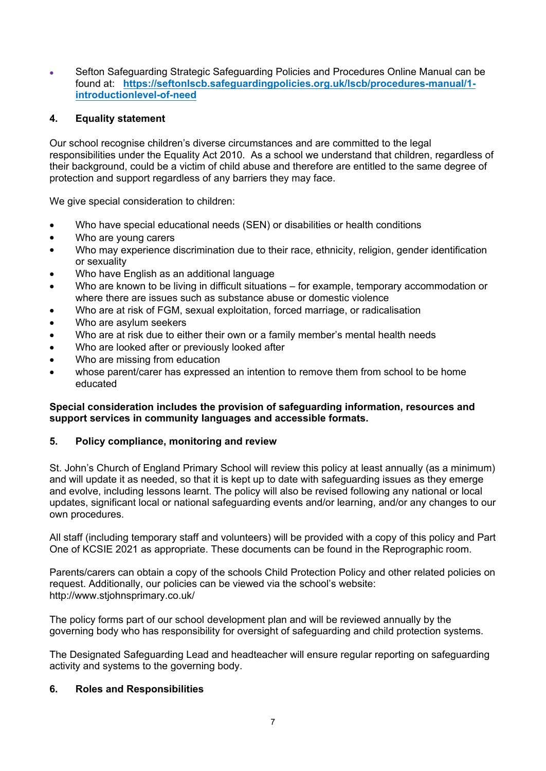Sefton Safeguarding Strategic Safeguarding Policies and Procedures Online Manual can be found at: **[https://seftonlscb.safeguardingpolicies.org.uk/lscb/procedures-manual/1](https://seftonlscb.safeguardingpolicies.org.uk/lscb/procedures-manual/1-introductionlevel-of-need) [introductionlevel-of-need](https://seftonlscb.safeguardingpolicies.org.uk/lscb/procedures-manual/1-introductionlevel-of-need)**

## **4. Equality statement**

Our school recognise children's diverse circumstances and are committed to the legal responsibilities under the Equality Act 2010. As a school we understand that children, regardless of their background, could be a victim of child abuse and therefore are entitled to the same degree of protection and support regardless of any barriers they may face.

We give special consideration to children:

- Who have special educational needs (SEN) or disabilities or health conditions
- Who are young carers
- Who may experience discrimination due to their race, ethnicity, religion, gender identification or sexuality
- Who have English as an additional language
- Who are known to be living in difficult situations for example, temporary accommodation or where there are issues such as substance abuse or domestic violence
- Who are at risk of FGM, sexual exploitation, forced marriage, or radicalisation
- Who are asylum seekers
- Who are at risk due to either their own or a family member's mental health needs
- Who are looked after or previously looked after
- Who are missing from education
- whose parent/carer has expressed an intention to remove them from school to be home educated

#### **Special consideration includes the provision of safeguarding information, resources and support services in community languages and accessible formats.**

#### **5. Policy compliance, monitoring and review**

St. John's Church of England Primary School will review this policy at least annually (as a minimum) and will update it as needed, so that it is kept up to date with safeguarding issues as they emerge and evolve, including lessons learnt. The policy will also be revised following any national or local updates, significant local or national safeguarding events and/or learning, and/or any changes to our own procedures.

All staff (including temporary staff and volunteers) will be provided with a copy of this policy and Part One of KCSIE 2021 as appropriate. These documents can be found in the Reprographic room.

Parents/carers can obtain a copy of the schools Child Protection Policy and other related policies on request. Additionally, our policies can be viewed via the school's website: http://www.stjohnsprimary.co.uk/

The policy forms part of our school development plan and will be reviewed annually by the governing body who has responsibility for oversight of safeguarding and child protection systems.

The Designated Safeguarding Lead and headteacher will ensure regular reporting on safeguarding activity and systems to the governing body.

#### **6. Roles and Responsibilities**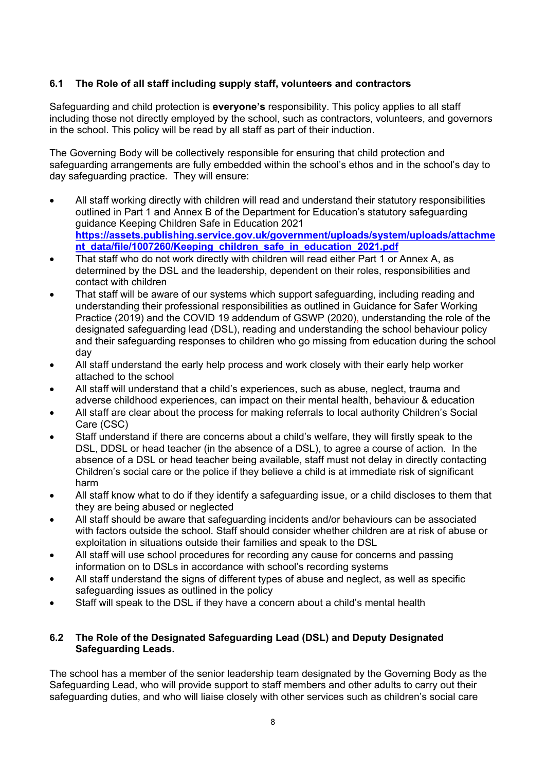## **6.1 The Role of all staff including supply staff, volunteers and contractors**

Safeguarding and child protection is **everyone's** responsibility. This policy applies to all staff including those not directly employed by the school, such as contractors, volunteers, and governors in the school. This policy will be read by all staff as part of their induction.

The Governing Body will be collectively responsible for ensuring that child protection and safeguarding arrangements are fully embedded within the school's ethos and in the school's day to day safeguarding practice. They will ensure:

- All staff working directly with children will read and understand their statutory responsibilities outlined in Part 1 and Annex B of the Department for Education's statutory safeguarding guidance Keeping Children Safe in Education 2021 **[https://assets.publishing.service.gov.uk/government/uploads/system/uploads/attachme](https://assets.publishing.service.gov.uk/government/uploads/system/uploads/attachment_data/file/1007260/Keeping_children_safe_in_education_2021.pdf) [nt\\_data/file/1007260/Keeping\\_children\\_safe\\_in\\_education\\_2021.pdf](https://assets.publishing.service.gov.uk/government/uploads/system/uploads/attachment_data/file/1007260/Keeping_children_safe_in_education_2021.pdf)**
- That staff who do not work directly with children will read either Part 1 or Annex A, as determined by the DSL and the leadership, dependent on their roles, responsibilities and contact with children
- That staff will be aware of our systems which support safeguarding, including reading and understanding their professional responsibilities as outlined in Guidance for Safer Working Practice (2019) and the COVID 19 addendum of GSWP (2020), understanding the role of the designated safeguarding lead (DSL), reading and understanding the school behaviour policy and their safeguarding responses to children who go missing from education during the school day
- All staff understand the early help process and work closely with their early help worker attached to the school
- All staff will understand that a child's experiences, such as abuse, neglect, trauma and adverse childhood experiences, can impact on their mental health, behaviour & education
- All staff are clear about the process for making referrals to local authority Children's Social Care (CSC)
- Staff understand if there are concerns about a child's welfare, they will firstly speak to the DSL, DDSL or head teacher (in the absence of a DSL), to agree a course of action. In the absence of a DSL or head teacher being available, staff must not delay in directly contacting Children's social care or the police if they believe a child is at immediate risk of significant harm
- All staff know what to do if they identify a safeguarding issue, or a child discloses to them that they are being abused or neglected
- All staff should be aware that safeguarding incidents and/or behaviours can be associated with factors outside the school. Staff should consider whether children are at risk of abuse or exploitation in situations outside their families and speak to the DSL
- All staff will use school procedures for recording any cause for concerns and passing information on to DSLs in accordance with school's recording systems
- All staff understand the signs of different types of abuse and neglect, as well as specific safeguarding issues as outlined in the policy
- Staff will speak to the DSL if they have a concern about a child's mental health

#### **6.2 The Role of the Designated Safeguarding Lead (DSL) and Deputy Designated Safeguarding Leads.**

The school has a member of the senior leadership team designated by the Governing Body as the Safeguarding Lead, who will provide support to staff members and other adults to carry out their safeguarding duties, and who will liaise closely with other services such as children's social care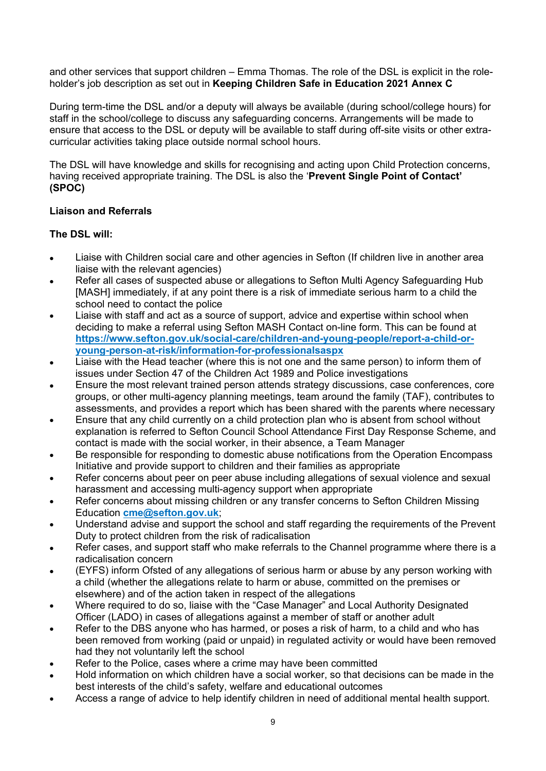and other services that support children – Emma Thomas. The role of the DSL is explicit in the roleholder's job description as set out in **Keeping Children Safe in Education 2021 Annex C**

During term-time the DSL and/or a deputy will always be available (during school/college hours) for staff in the school/college to discuss any safeguarding concerns. Arrangements will be made to ensure that access to the DSL or deputy will be available to staff during off-site visits or other extracurricular activities taking place outside normal school hours.

The DSL will have knowledge and skills for recognising and acting upon Child Protection concerns, having received appropriate training. The DSL is also the '**Prevent Single Point of Contact' (SPOC)**

#### **Liaison and Referrals**

#### **The DSL will:**

- Liaise with Children social care and other agencies in Sefton (If children live in another area liaise with the relevant agencies)
- Refer all cases of suspected abuse or allegations to Sefton Multi Agency Safeguarding Hub [MASH] immediately, if at any point there is a risk of immediate serious harm to a child the school need to contact the police
- Liaise with staff and act as a source of support, advice and expertise within school when deciding to make a referral using Sefton MASH Contact on-line form. This can be found at **[https://www.sefton.gov.uk/social-care/children-and-young-people/report-a-child-or](https://www.sefton.gov.uk/social-care/children-and-young-people/report-a-child-or-young-person-at-risk/information-for-professionalsaspx)[young-person-at-risk/information-for-professionalsaspx](https://www.sefton.gov.uk/social-care/children-and-young-people/report-a-child-or-young-person-at-risk/information-for-professionalsaspx)**
- Liaise with the Head teacher (where this is not one and the same person) to inform them of issues under Section 47 of the Children Act 1989 and Police investigations
- Ensure the most relevant trained person attends strategy discussions, case conferences, core groups, or other multi-agency planning meetings, team around the family (TAF), contributes to assessments, and provides a report which has been shared with the parents where necessary
- Ensure that any child currently on a child protection plan who is absent from school without explanation is referred to Sefton Council School Attendance First Day Response Scheme, and contact is made with the social worker, in their absence, a Team Manager
- Be responsible for responding to domestic abuse notifications from the Operation Encompass Initiative and provide support to children and their families as appropriate
- Refer concerns about peer on peer abuse including allegations of sexual violence and sexual harassment and accessing multi-agency support when appropriate
- Refer concerns about missing children or any transfer concerns to Sefton Children Missing Education **[cme@sefton.gov.uk](mailto:cme@sefton.gov.uk)**;
- Understand advise and support the school and staff regarding the requirements of the Prevent Duty to protect children from the risk of radicalisation
- Refer cases, and support staff who make referrals to the Channel programme where there is a radicalisation concern
- (EYFS) inform Ofsted of any allegations of serious harm or abuse by any person working with a child (whether the allegations relate to harm or abuse, committed on the premises or elsewhere) and of the action taken in respect of the allegations
- Where required to do so, liaise with the "Case Manager" and Local Authority Designated Officer (LADO) in cases of allegations against a member of staff or another adult
- Refer to the DBS anyone who has harmed, or poses a risk of harm, to a child and who has been removed from working (paid or unpaid) in regulated activity or would have been removed had they not voluntarily left the school
- Refer to the Police, cases where a crime may have been committed
- Hold information on which children have a social worker, so that decisions can be made in the best interests of the child's safety, welfare and educational outcomes
- Access a range of advice to help identify children in need of additional mental health support.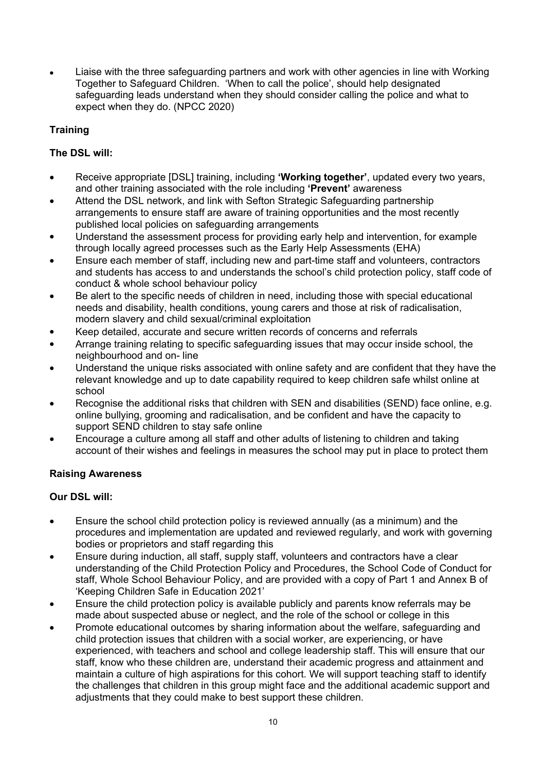Liaise with the three safeguarding partners and work with other agencies in line with Working Together to Safeguard Children. 'When to call the police', should help designated safeguarding leads understand when they should consider calling the police and what to expect when they do. (NPCC 2020)

## **Training**

## **The DSL will:**

- Receive appropriate [DSL] training, including **'Working together'**, updated every two years, and other training associated with the role including **'Prevent'** awareness
- Attend the DSL network, and link with Sefton Strategic Safeguarding partnership arrangements to ensure staff are aware of training opportunities and the most recently published local policies on safeguarding arrangements
- Understand the assessment process for providing early help and intervention, for example through locally agreed processes such as the Early Help Assessments (EHA)
- Ensure each member of staff, including new and part-time staff and volunteers, contractors and students has access to and understands the school's child protection policy, staff code of conduct & whole school behaviour policy
- Be alert to the specific needs of children in need, including those with special educational needs and disability, health conditions, young carers and those at risk of radicalisation, modern slavery and child sexual/criminal exploitation
- Keep detailed, accurate and secure written records of concerns and referrals
- Arrange training relating to specific safeguarding issues that may occur inside school, the neighbourhood and on- line
- Understand the unique risks associated with online safety and are confident that they have the relevant knowledge and up to date capability required to keep children safe whilst online at school
- Recognise the additional risks that children with SEN and disabilities (SEND) face online, e.g. online bullying, grooming and radicalisation, and be confident and have the capacity to support SEND children to stay safe online
- Encourage a culture among all staff and other adults of listening to children and taking account of their wishes and feelings in measures the school may put in place to protect them

## **Raising Awareness**

## **Our DSL will:**

- Ensure the school child protection policy is reviewed annually (as a minimum) and the procedures and implementation are updated and reviewed regularly, and work with governing bodies or proprietors and staff regarding this
- Ensure during induction, all staff, supply staff, volunteers and contractors have a clear understanding of the Child Protection Policy and Procedures, the School Code of Conduct for staff, Whole School Behaviour Policy, and are provided with a copy of Part 1 and Annex B of 'Keeping Children Safe in Education 2021'
- Ensure the child protection policy is available publicly and parents know referrals may be made about suspected abuse or neglect, and the role of the school or college in this
- Promote educational outcomes by sharing information about the welfare, safeguarding and child protection issues that children with a social worker, are experiencing, or have experienced, with teachers and school and college leadership staff. This will ensure that our staff, know who these children are, understand their academic progress and attainment and maintain a culture of high aspirations for this cohort. We will support teaching staff to identify the challenges that children in this group might face and the additional academic support and adjustments that they could make to best support these children.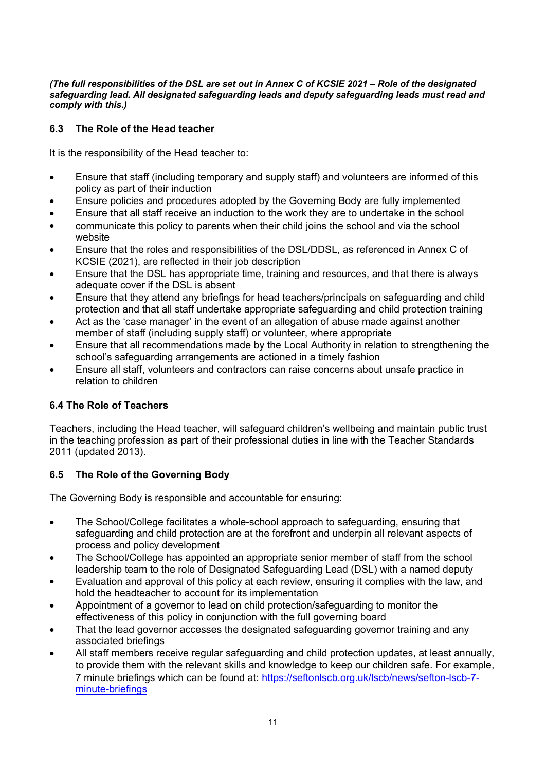#### *(The full responsibilities of the DSL are set out in Annex C of KCSIE 2021 – Role of the designated safeguarding lead. All designated safeguarding leads and deputy safeguarding leads must read and comply with this.)*

## **6.3 The Role of the Head teacher**

It is the responsibility of the Head teacher to:

- Ensure that staff (including temporary and supply staff) and volunteers are informed of this policy as part of their induction
- Ensure policies and procedures adopted by the Governing Body are fully implemented
- Ensure that all staff receive an induction to the work they are to undertake in the school
- communicate this policy to parents when their child joins the school and via the school website
- Ensure that the roles and responsibilities of the DSL/DDSL, as referenced in Annex C of KCSIE (2021), are reflected in their job description
- Ensure that the DSL has appropriate time, training and resources, and that there is always adequate cover if the DSL is absent
- Ensure that they attend any briefings for head teachers/principals on safeguarding and child protection and that all staff undertake appropriate safeguarding and child protection training
- Act as the 'case manager' in the event of an allegation of abuse made against another member of staff (including supply staff) or volunteer, where appropriate
- Ensure that all recommendations made by the Local Authority in relation to strengthening the school's safeguarding arrangements are actioned in a timely fashion
- Ensure all staff, volunteers and contractors can raise concerns about unsafe practice in relation to children

## **6.4 The Role of Teachers**

Teachers, including the Head teacher, will safeguard children's wellbeing and maintain public trust in the teaching profession as part of their professional duties in line with the Teacher Standards 2011 (updated 2013).

## **6.5 The Role of the Governing Body**

The Governing Body is responsible and accountable for ensuring:

- The School/College facilitates a whole-school approach to safeguarding, ensuring that safeguarding and child protection are at the forefront and underpin all relevant aspects of process and policy development
- The School/College has appointed an appropriate senior member of staff from the school leadership team to the role of Designated Safeguarding Lead (DSL) with a named deputy
- Evaluation and approval of this policy at each review, ensuring it complies with the law, and hold the headteacher to account for its implementation
- Appointment of a governor to lead on child protection/safeguarding to monitor the effectiveness of this policy in conjunction with the full governing board
- That the lead governor accesses the designated safeguarding governor training and any associated briefings
- All staff members receive regular safeguarding and child protection updates, at least annually, to provide them with the relevant skills and knowledge to keep our children safe. For example, 7 minute briefings which can be found at: [https://seftonlscb.org.uk/lscb/news/sefton-lscb-7](https://seftonlscb.org.uk/lscb/news/sefton-lscb-7-minute-briefings) [minute-briefings](https://seftonlscb.org.uk/lscb/news/sefton-lscb-7-minute-briefings)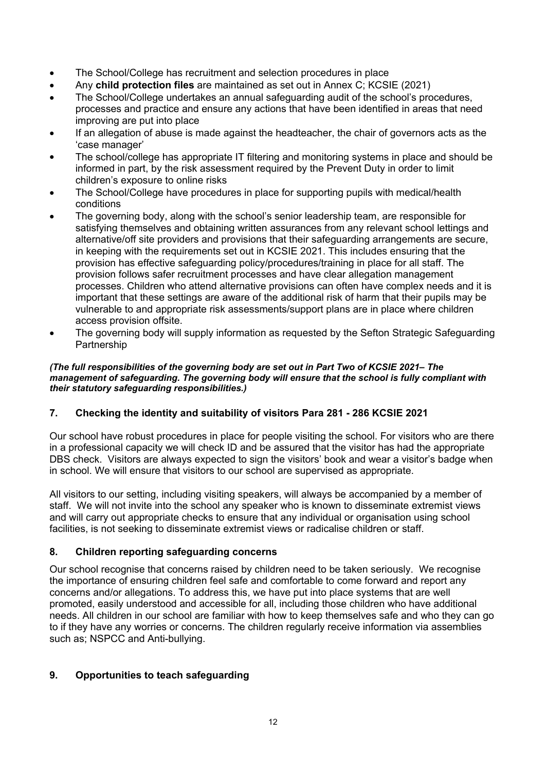- The School/College has recruitment and selection procedures in place
- Any **child protection files** are maintained as set out in Annex C; KCSIE (2021)
- The School/College undertakes an annual safeguarding audit of the school's procedures, processes and practice and ensure any actions that have been identified in areas that need improving are put into place
- If an allegation of abuse is made against the headteacher, the chair of governors acts as the 'case manager'
- The school/college has appropriate IT filtering and monitoring systems in place and should be informed in part, by the risk assessment required by the Prevent Duty in order to limit children's exposure to online risks
- The School/College have procedures in place for supporting pupils with medical/health conditions
- The governing body, along with the school's senior leadership team, are responsible for satisfying themselves and obtaining written assurances from any relevant school lettings and alternative/off site providers and provisions that their safeguarding arrangements are secure, in keeping with the requirements set out in KCSIE 2021. This includes ensuring that the provision has effective safeguarding policy/procedures/training in place for all staff. The provision follows safer recruitment processes and have clear allegation management processes. Children who attend alternative provisions can often have complex needs and it is important that these settings are aware of the additional risk of harm that their pupils may be vulnerable to and appropriate risk assessments/support plans are in place where children access provision offsite.
- The governing body will supply information as requested by the Sefton Strategic Safeguarding **Partnership**

#### *(The full responsibilities of the governing body are set out in Part Two of KCSIE 2021– The management of safeguarding. The governing body will ensure that the school is fully compliant with their statutory safeguarding responsibilities.)*

## **7. Checking the identity and suitability of visitors Para 281 - 286 KCSIE 2021**

Our school have robust procedures in place for people visiting the school. For visitors who are there in a professional capacity we will check ID and be assured that the visitor has had the appropriate DBS check. Visitors are always expected to sign the visitors' book and wear a visitor's badge when in school. We will ensure that visitors to our school are supervised as appropriate.

All visitors to our setting, including visiting speakers, will always be accompanied by a member of staff. We will not invite into the school any speaker who is known to disseminate extremist views and will carry out appropriate checks to ensure that any individual or organisation using school facilities, is not seeking to disseminate extremist views or radicalise children or staff.

## **8. Children reporting safeguarding concerns**

Our school recognise that concerns raised by children need to be taken seriously. We recognise the importance of ensuring children feel safe and comfortable to come forward and report any concerns and/or allegations. To address this, we have put into place systems that are well promoted, easily understood and accessible for all, including those children who have additional needs. All children in our school are familiar with how to keep themselves safe and who they can go to if they have any worries or concerns. The children regularly receive information via assemblies such as; NSPCC and Anti-bullying.

## **9. Opportunities to teach safeguarding**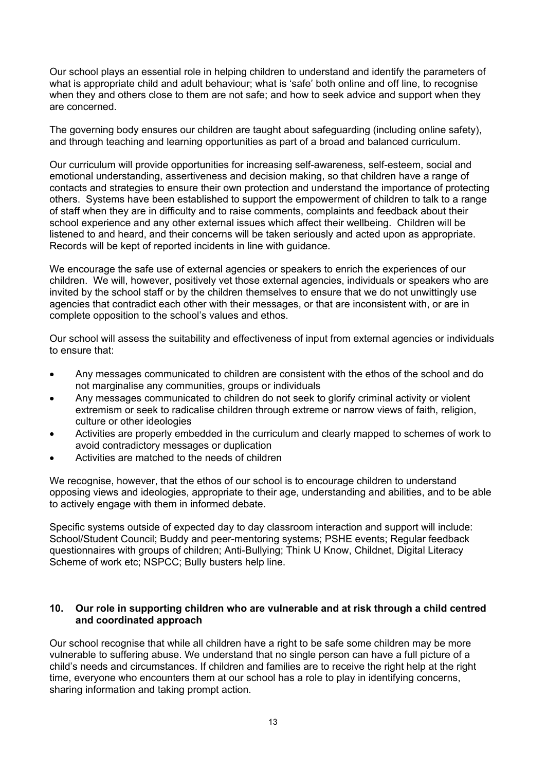Our school plays an essential role in helping children to understand and identify the parameters of what is appropriate child and adult behaviour; what is 'safe' both online and off line, to recognise when they and others close to them are not safe; and how to seek advice and support when they are concerned.

The governing body ensures our children are taught about safeguarding (including online safety), and through teaching and learning opportunities as part of a broad and balanced curriculum.

Our curriculum will provide opportunities for increasing self-awareness, self-esteem, social and emotional understanding, assertiveness and decision making, so that children have a range of contacts and strategies to ensure their own protection and understand the importance of protecting others. Systems have been established to support the empowerment of children to talk to a range of staff when they are in difficulty and to raise comments, complaints and feedback about their school experience and any other external issues which affect their wellbeing. Children will be listened to and heard, and their concerns will be taken seriously and acted upon as appropriate. Records will be kept of reported incidents in line with guidance.

We encourage the safe use of external agencies or speakers to enrich the experiences of our children. We will, however, positively vet those external agencies, individuals or speakers who are invited by the school staff or by the children themselves to ensure that we do not unwittingly use agencies that contradict each other with their messages, or that are inconsistent with, or are in complete opposition to the school's values and ethos.

Our school will assess the suitability and effectiveness of input from external agencies or individuals to ensure that:

- Any messages communicated to children are consistent with the ethos of the school and do not marginalise any communities, groups or individuals
- Any messages communicated to children do not seek to glorify criminal activity or violent extremism or seek to radicalise children through extreme or narrow views of faith, religion, culture or other ideologies
- Activities are properly embedded in the curriculum and clearly mapped to schemes of work to avoid contradictory messages or duplication
- Activities are matched to the needs of children

We recognise, however, that the ethos of our school is to encourage children to understand opposing views and ideologies, appropriate to their age, understanding and abilities, and to be able to actively engage with them in informed debate.

Specific systems outside of expected day to day classroom interaction and support will include: School/Student Council; Buddy and peer-mentoring systems; PSHE events; Regular feedback questionnaires with groups of children; Anti-Bullying; Think U Know, Childnet, Digital Literacy Scheme of work etc; NSPCC; Bully busters help line.

#### **10. Our role in supporting children who are vulnerable and at risk through a child centred and coordinated approach**

Our school recognise that while all children have a right to be safe some children may be more vulnerable to suffering abuse. We understand that no single person can have a full picture of a child's needs and circumstances. If children and families are to receive the right help at the right time, everyone who encounters them at our school has a role to play in identifying concerns, sharing information and taking prompt action.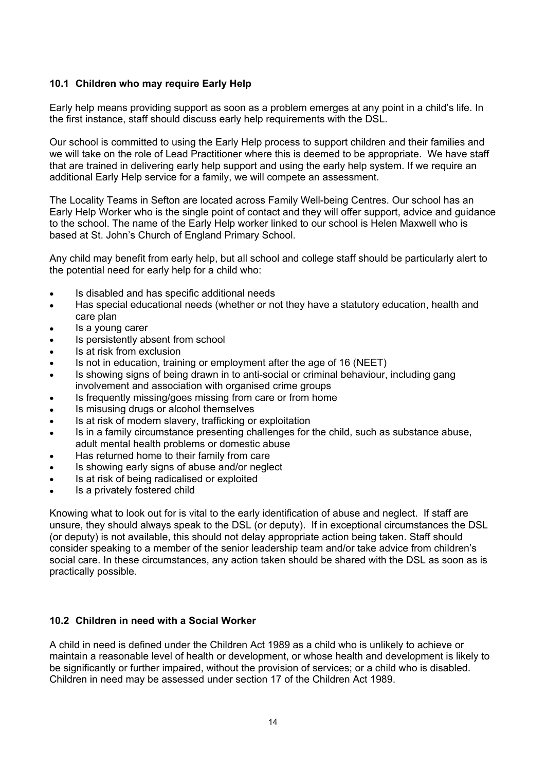## **10.1 Children who may require Early Help**

Early help means providing support as soon as a problem emerges at any point in a child's life. In the first instance, staff should discuss early help requirements with the DSL.

Our school is committed to using the Early Help process to support children and their families and we will take on the role of Lead Practitioner where this is deemed to be appropriate. We have staff that are trained in delivering early help support and using the early help system. If we require an additional Early Help service for a family, we will compete an assessment.

The Locality Teams in Sefton are located across Family Well-being Centres. Our school has an Early Help Worker who is the single point of contact and they will offer support, advice and guidance to the school. The name of the Early Help worker linked to our school is Helen Maxwell who is based at St. John's Church of England Primary School.

Any child may benefit from early help, but all school and college staff should be particularly alert to the potential need for early help for a child who:

- Is disabled and has specific additional needs
- Has special educational needs (whether or not they have a statutory education, health and care plan
- Is a young carer
- Is persistently absent from school
- Is at risk from exclusion
- Is not in education, training or employment after the age of 16 (NEET)
- Is showing signs of being drawn in to anti-social or criminal behaviour, including gang involvement and association with organised crime groups
- Is frequently missing/goes missing from care or from home
- Is misusing drugs or alcohol themselves
- Is at risk of modern slavery, trafficking or exploitation
- Is in a family circumstance presenting challenges for the child, such as substance abuse, adult mental health problems or domestic abuse
- Has returned home to their family from care
- Is showing early signs of abuse and/or neglect
- Is at risk of being radicalised or exploited
- Is a privately fostered child

Knowing what to look out for is vital to the early identification of abuse and neglect. If staff are unsure, they should always speak to the DSL (or deputy). If in exceptional circumstances the DSL (or deputy) is not available, this should not delay appropriate action being taken. Staff should consider speaking to a member of the senior leadership team and/or take advice from children's social care. In these circumstances, any action taken should be shared with the DSL as soon as is practically possible.

#### **10.2 Children in need with a Social Worker**

A child in need is defined under the Children Act 1989 as a child who is unlikely to achieve or maintain a reasonable level of health or development, or whose health and development is likely to be significantly or further impaired, without the provision of services; or a child who is disabled. Children in need may be assessed under section 17 of the Children Act 1989.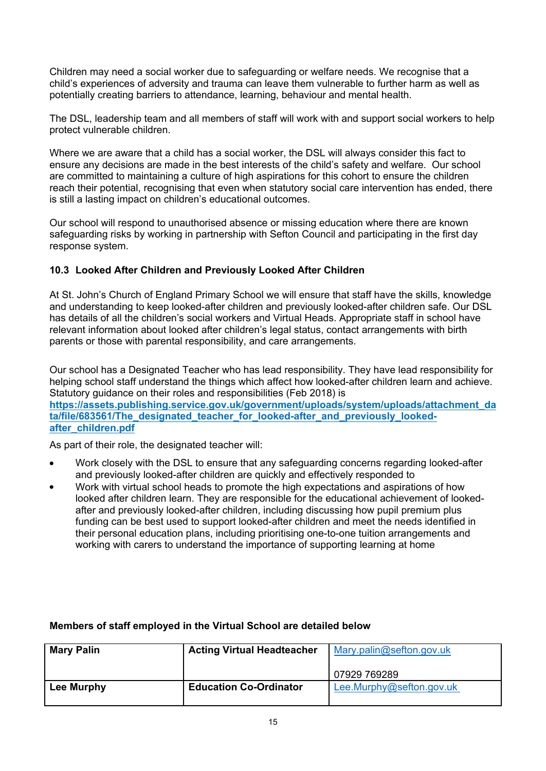Children may need a social worker due to safeguarding or welfare needs. We recognise that a child's experiences of adversity and trauma can leave them vulnerable to further harm as well as potentially creating barriers to attendance, learning, behaviour and mental health.

The DSL, leadership team and all members of staff will work with and support social workers to help protect vulnerable children.

Where we are aware that a child has a social worker, the DSL will always consider this fact to ensure any decisions are made in the best interests of the child's safety and welfare. Our school are committed to maintaining a culture of high aspirations for this cohort to ensure the children reach their potential, recognising that even when statutory social care intervention has ended, there is still a lasting impact on children's educational outcomes.

Our school will respond to unauthorised absence or missing education where there are known safeguarding risks by working in partnership with Sefton Council and participating in the first day response system.

## **10.3 Looked After Children and Previously Looked After Children**

At St. John's Church of England Primary School we will ensure that staff have the skills, knowledge and understanding to keep looked-after children and previously looked-after children safe. Our DSL has details of all the children's social workers and Virtual Heads. Appropriate staff in school have relevant information about looked after children's legal status, contact arrangements with birth parents or those with parental responsibility, and care arrangements.

Our school has a Designated Teacher who has lead responsibility. They have lead responsibility for helping school staff understand the things which affect how looked-after children learn and achieve. Statutory guidance on their roles and responsibilities (Feb 2018) is **[https://assets.publishing.service.gov.uk/government/uploads/system/uploads/attachment\\_da](https://assets.publishing.service.gov.uk/government/uploads/system/uploads/attachment_data/file/683561/The_designated_teacher_for_looked-after_and_previously_looked-after_children.pdf)** ta/file/683561/The designated teacher for looked-after and previously looked**[after\\_children.pdf](https://assets.publishing.service.gov.uk/government/uploads/system/uploads/attachment_data/file/683561/The_designated_teacher_for_looked-after_and_previously_looked-after_children.pdf)**

As part of their role, the designated teacher will:

- Work closely with the DSL to ensure that any safeguarding concerns regarding looked-after and previously looked-after children are quickly and effectively responded to
- Work with virtual school heads to promote the high expectations and aspirations of how looked after children learn. They are responsible for the educational achievement of lookedafter and previously looked-after children, including discussing how pupil premium plus funding can be best used to support looked-after children and meet the needs identified in their personal education plans, including prioritising one-to-one tuition arrangements and working with carers to understand the importance of supporting learning at home

| <b>Mary Palin</b> | <b>Acting Virtual Headteacher</b> | Mary.palin@sefton.gov.uk |
|-------------------|-----------------------------------|--------------------------|
|                   |                                   | 07929 769289             |
| Lee Murphy        | <b>Education Co-Ordinator</b>     | Lee.Murphy@sefton.gov.uk |
|                   |                                   |                          |

## **Members of staff employed in the Virtual School are detailed below**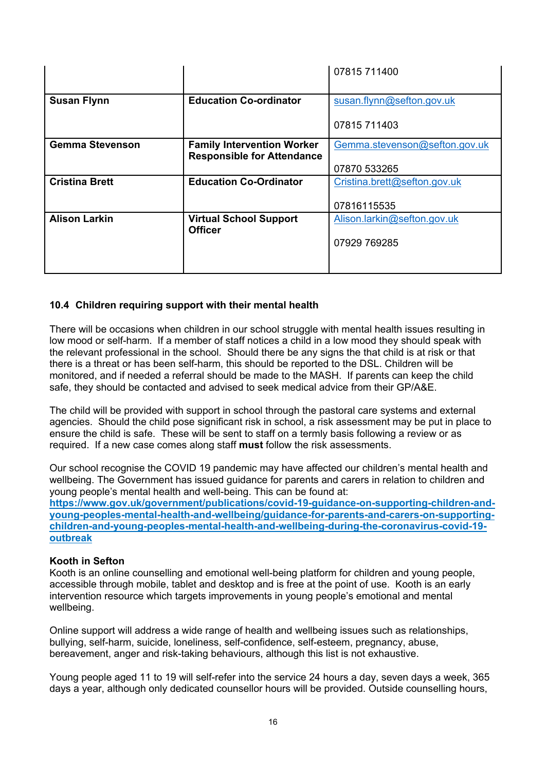|                        |                                                                        | 07815 711400                  |  |
|------------------------|------------------------------------------------------------------------|-------------------------------|--|
|                        |                                                                        |                               |  |
| <b>Susan Flynn</b>     | <b>Education Co-ordinator</b>                                          | susan.flynn@sefton.gov.uk     |  |
|                        |                                                                        | 07815 711403                  |  |
| <b>Gemma Stevenson</b> | <b>Family Intervention Worker</b><br><b>Responsible for Attendance</b> | Gemma.stevenson@sefton.gov.uk |  |
|                        |                                                                        | 07870 533265                  |  |
| <b>Cristina Brett</b>  | <b>Education Co-Ordinator</b>                                          | Cristina.brett@sefton.gov.uk  |  |
|                        |                                                                        | 07816115535                   |  |
| <b>Alison Larkin</b>   | <b>Virtual School Support</b><br><b>Officer</b>                        | Alison.larkin@sefton.gov.uk   |  |
|                        |                                                                        | 07929 769285                  |  |
|                        |                                                                        |                               |  |

#### **10.4 Children requiring support with their mental health**

There will be occasions when children in our school struggle with mental health issues resulting in low mood or self-harm. If a member of staff notices a child in a low mood they should speak with the relevant professional in the school. Should there be any signs the that child is at risk or that there is a threat or has been self-harm, this should be reported to the DSL. Children will be monitored, and if needed a referral should be made to the MASH. If parents can keep the child safe, they should be contacted and advised to seek medical advice from their GP/A&E.

The child will be provided with support in school through the pastoral care systems and external agencies. Should the child pose significant risk in school, a risk assessment may be put in place to ensure the child is safe. These will be sent to staff on a termly basis following a review or as required. If a new case comes along staff **must** follow the risk assessments.

Our school recognise the COVID 19 pandemic may have affected our children's mental health and wellbeing. The Government has issued guidance for parents and carers in relation to children and young people's mental health and well-being. This can be found at: **[https://www.gov.uk/government/publications/covid-19-guidance-on-supporting-children-and](https://www.gov.uk/government/publications/covid-19-guidance-on-supporting-children-and-young-peoples-mental-health-and-wellbeing/guidance-for-parents-and-carers-on-supporting-children-and-young-peoples-mental-health-and-wellbeing-during-the-coronavirus-covid-19-outbreak)[young-peoples-mental-health-and-wellbeing/guidance-for-parents-and-carers-on-supporting](https://www.gov.uk/government/publications/covid-19-guidance-on-supporting-children-and-young-peoples-mental-health-and-wellbeing/guidance-for-parents-and-carers-on-supporting-children-and-young-peoples-mental-health-and-wellbeing-during-the-coronavirus-covid-19-outbreak)[children-and-young-peoples-mental-health-and-wellbeing-during-the-coronavirus-covid-19](https://www.gov.uk/government/publications/covid-19-guidance-on-supporting-children-and-young-peoples-mental-health-and-wellbeing/guidance-for-parents-and-carers-on-supporting-children-and-young-peoples-mental-health-and-wellbeing-during-the-coronavirus-covid-19-outbreak) [outbreak](https://www.gov.uk/government/publications/covid-19-guidance-on-supporting-children-and-young-peoples-mental-health-and-wellbeing/guidance-for-parents-and-carers-on-supporting-children-and-young-peoples-mental-health-and-wellbeing-during-the-coronavirus-covid-19-outbreak)**

#### **Kooth in Sefton**

Kooth is an online counselling and emotional well-being platform for children and young people, accessible through mobile, tablet and desktop and is free at the point of use. Kooth is an early intervention resource which targets improvements in young people's emotional and mental wellbeing.

Online support will address a wide range of health and wellbeing issues such as relationships, bullying, self-harm, suicide, loneliness, self-confidence, self-esteem, pregnancy, abuse, bereavement, anger and risk-taking behaviours, although this list is not exhaustive.

Young people aged 11 to 19 will self-refer into the service 24 hours a day, seven days a week, 365 days a year, although only dedicated counsellor hours will be provided. Outside counselling hours,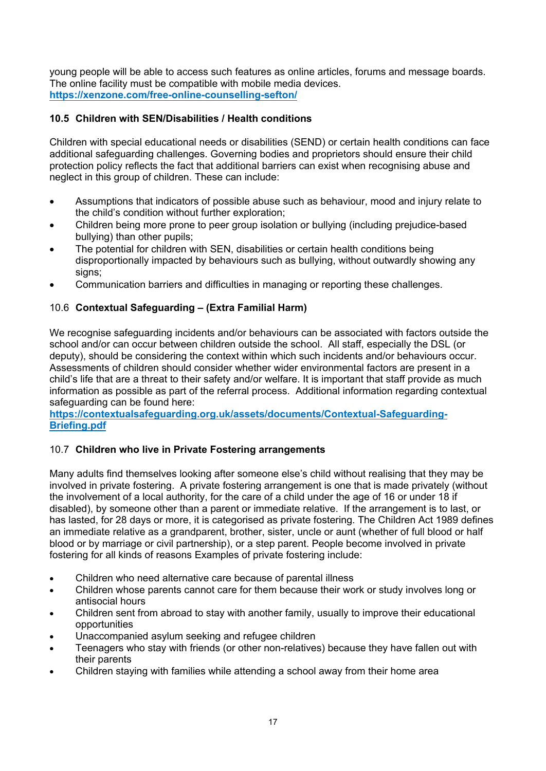young people will be able to access such features as online articles, forums and message boards. The online facility must be compatible with mobile media devices. **<https://xenzone.com/free-online-counselling-sefton/>**

## **10.5 Children with SEN/Disabilities / Health conditions**

Children with special educational needs or disabilities (SEND) or certain health conditions can face additional safeguarding challenges. Governing bodies and proprietors should ensure their child protection policy reflects the fact that additional barriers can exist when recognising abuse and neglect in this group of children. These can include:

- Assumptions that indicators of possible abuse such as behaviour, mood and injury relate to the child's condition without further exploration;
- Children being more prone to peer group isolation or bullying (including prejudice-based bullying) than other pupils;
- The potential for children with SEN, disabilities or certain health conditions being disproportionally impacted by behaviours such as bullying, without outwardly showing any signs;
- Communication barriers and difficulties in managing or reporting these challenges.

## 10.6 **Contextual Safeguarding – (Extra Familial Harm)**

We recognise safeguarding incidents and/or behaviours can be associated with factors outside the school and/or can occur between children outside the school. All staff, especially the DSL (or deputy), should be considering the context within which such incidents and/or behaviours occur. Assessments of children should consider whether wider environmental factors are present in a child's life that are a threat to their safety and/or welfare. It is important that staff provide as much information as possible as part of the referral process. Additional information regarding contextual safeguarding can be found here:

**[https://contextualsafeguarding.org.uk/assets/documents/Contextual-Safeguarding-](https://contextualsafeguarding.org.uk/assets/documents/Contextual-Safeguarding-Briefing.pdf)[Briefing.pdf](https://contextualsafeguarding.org.uk/assets/documents/Contextual-Safeguarding-Briefing.pdf)**

## 10.7 **Children who live in Private Fostering arrangements**

Many adults find themselves looking after someone else's child without realising that they may be involved in private fostering. A private fostering arrangement is one that is made privately (without the involvement of a local authority, for the care of a child under the age of 16 or under 18 if disabled), by someone other than a parent or immediate relative. If the arrangement is to last, or has lasted, for 28 days or more, it is categorised as private fostering. The Children Act 1989 defines an immediate relative as a grandparent, brother, sister, uncle or aunt (whether of full blood or half blood or by marriage or civil partnership), or a step parent. People become involved in private fostering for all kinds of reasons Examples of private fostering include:

- Children who need alternative care because of parental illness
- Children whose parents cannot care for them because their work or study involves long or antisocial hours
- Children sent from abroad to stay with another family, usually to improve their educational opportunities
- Unaccompanied asylum seeking and refugee children
- Teenagers who stay with friends (or other non-relatives) because they have fallen out with their parents
- Children staying with families while attending a school away from their home area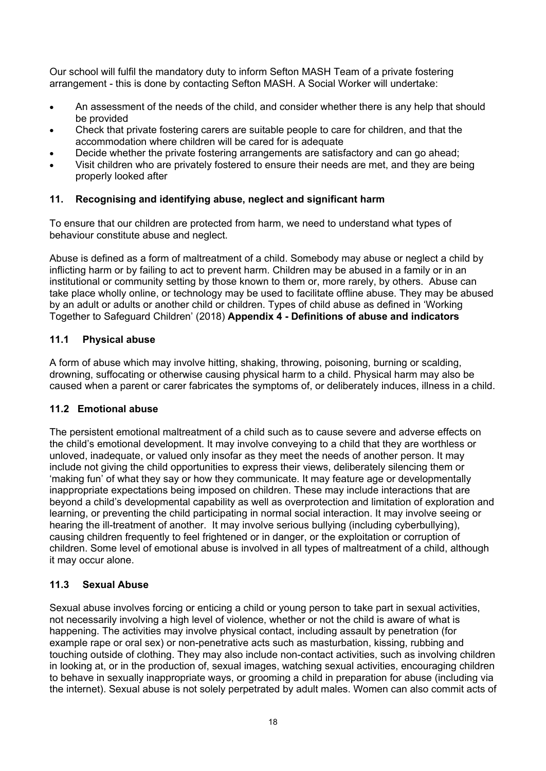Our school will fulfil the mandatory duty to inform Sefton MASH Team of a private fostering arrangement - this is done by contacting Sefton MASH. A Social Worker will undertake:

- An assessment of the needs of the child, and consider whether there is any help that should be provided
- Check that private fostering carers are suitable people to care for children, and that the accommodation where children will be cared for is adequate
- Decide whether the private fostering arrangements are satisfactory and can go ahead;
- Visit children who are privately fostered to ensure their needs are met, and they are being properly looked after

## **11. Recognising and identifying abuse, neglect and significant harm**

To ensure that our children are protected from harm, we need to understand what types of behaviour constitute abuse and neglect.

Abuse is defined as a form of maltreatment of a child. Somebody may abuse or neglect a child by inflicting harm or by failing to act to prevent harm. Children may be abused in a family or in an institutional or community setting by those known to them or, more rarely, by others. Abuse can take place wholly online, or technology may be used to facilitate offline abuse. They may be abused by an adult or adults or another child or children. Types of child abuse as defined in 'Working Together to Safeguard Children' (2018) **Appendix 4 - Definitions of abuse and indicators**

#### **11.1 Physical abuse**

A form of abuse which may involve hitting, shaking, throwing, poisoning, burning or scalding, drowning, suffocating or otherwise causing physical harm to a child. Physical harm may also be caused when a parent or carer fabricates the symptoms of, or deliberately induces, illness in a child.

#### **11.2 Emotional abuse**

The persistent emotional maltreatment of a child such as to cause severe and adverse effects on the child's emotional development. It may involve conveying to a child that they are worthless or unloved, inadequate, or valued only insofar as they meet the needs of another person. It may include not giving the child opportunities to express their views, deliberately silencing them or 'making fun' of what they say or how they communicate. It may feature age or developmentally inappropriate expectations being imposed on children. These may include interactions that are beyond a child's developmental capability as well as overprotection and limitation of exploration and learning, or preventing the child participating in normal social interaction. It may involve seeing or hearing the ill-treatment of another. It may involve serious bullying (including cyberbullying), causing children frequently to feel frightened or in danger, or the exploitation or corruption of children. Some level of emotional abuse is involved in all types of maltreatment of a child, although it may occur alone.

#### **11.3 Sexual Abuse**

Sexual abuse involves forcing or enticing a child or young person to take part in sexual activities, not necessarily involving a high level of violence, whether or not the child is aware of what is happening. The activities may involve physical contact, including assault by penetration (for example rape or oral sex) or non-penetrative acts such as masturbation, kissing, rubbing and touching outside of clothing. They may also include non-contact activities, such as involving children in looking at, or in the production of, sexual images, watching sexual activities, encouraging children to behave in sexually inappropriate ways, or grooming a child in preparation for abuse (including via the internet). Sexual abuse is not solely perpetrated by adult males. Women can also commit acts of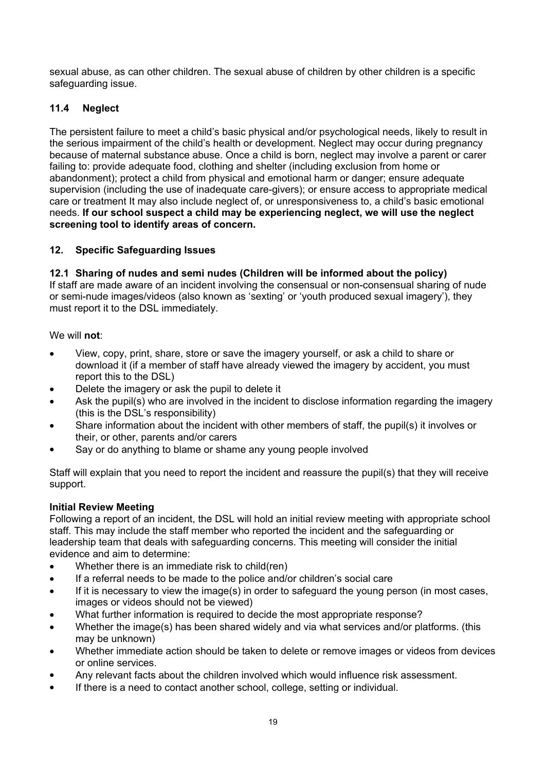sexual abuse, as can other children. The sexual abuse of children by other children is a specific safeguarding issue.

## **11.4 Neglect**

The persistent failure to meet a child's basic physical and/or psychological needs, likely to result in the serious impairment of the child's health or development. Neglect may occur during pregnancy because of maternal substance abuse. Once a child is born, neglect may involve a parent or carer failing to: provide adequate food, clothing and shelter (including exclusion from home or abandonment); protect a child from physical and emotional harm or danger; ensure adequate supervision (including the use of inadequate care-givers); or ensure access to appropriate medical care or treatment It may also include neglect of, or unresponsiveness to, a child's basic emotional needs. **If our school suspect a child may be experiencing neglect, we will use the neglect screening tool to identify areas of concern.**

## **12. Specific Safeguarding Issues**

**12.1 Sharing of nudes and semi nudes (Children will be informed about the policy)**

If staff are made aware of an incident involving the consensual or non-consensual sharing of nude or semi-nude images/videos (also known as 'sexting' or 'youth produced sexual imagery'), they must report it to the DSL immediately.

We will **not**:

- View, copy, print, share, store or save the imagery yourself, or ask a child to share or download it (if a member of staff have already viewed the imagery by accident, you must report this to the DSL)
- Delete the imagery or ask the pupil to delete it
- Ask the pupil(s) who are involved in the incident to disclose information regarding the imagery (this is the DSL's responsibility)
- Share information about the incident with other members of staff, the pupil(s) it involves or their, or other, parents and/or carers
- Say or do anything to blame or shame any young people involved

Staff will explain that you need to report the incident and reassure the pupil(s) that they will receive support.

## **Initial Review Meeting**

Following a report of an incident, the DSL will hold an initial review meeting with appropriate school staff. This may include the staff member who reported the incident and the safeguarding or leadership team that deals with safeguarding concerns. This meeting will consider the initial evidence and aim to determine:

- Whether there is an immediate risk to child(ren)
- If a referral needs to be made to the police and/or children's social care
- If it is necessary to view the image(s) in order to safeguard the young person (in most cases, images or videos should not be viewed)
- What further information is required to decide the most appropriate response?
- Whether the image(s) has been shared widely and via what services and/or platforms. (this may be unknown)
- Whether immediate action should be taken to delete or remove images or videos from devices or online services.
- Any relevant facts about the children involved which would influence risk assessment.
- If there is a need to contact another school, college, setting or individual.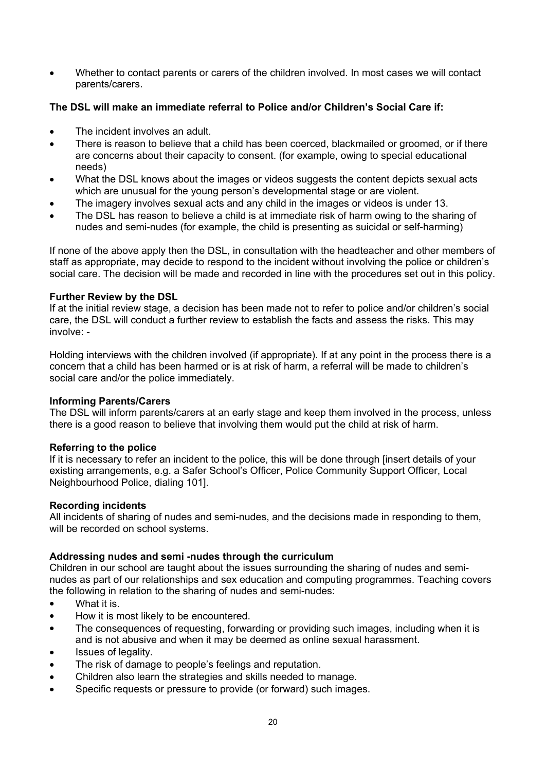Whether to contact parents or carers of the children involved. In most cases we will contact parents/carers.

## **The DSL will make an immediate referral to Police and/or Children's Social Care if:**

- The incident involves an adult.
- There is reason to believe that a child has been coerced, blackmailed or groomed, or if there are concerns about their capacity to consent. (for example, owing to special educational needs)
- What the DSL knows about the images or videos suggests the content depicts sexual acts which are unusual for the young person's developmental stage or are violent.
- The imagery involves sexual acts and any child in the images or videos is under 13.
- The DSL has reason to believe a child is at immediate risk of harm owing to the sharing of nudes and semi-nudes (for example, the child is presenting as suicidal or self-harming)

If none of the above apply then the DSL, in consultation with the headteacher and other members of staff as appropriate, may decide to respond to the incident without involving the police or children's social care. The decision will be made and recorded in line with the procedures set out in this policy.

#### **Further Review by the DSL**

If at the initial review stage, a decision has been made not to refer to police and/or children's social care, the DSL will conduct a further review to establish the facts and assess the risks. This may involve: -

Holding interviews with the children involved (if appropriate). If at any point in the process there is a concern that a child has been harmed or is at risk of harm, a referral will be made to children's social care and/or the police immediately.

#### **Informing Parents/Carers**

The DSL will inform parents/carers at an early stage and keep them involved in the process, unless there is a good reason to believe that involving them would put the child at risk of harm.

#### **Referring to the police**

If it is necessary to refer an incident to the police, this will be done through [insert details of your existing arrangements, e.g. a Safer School's Officer, Police Community Support Officer, Local Neighbourhood Police, dialing 101].

#### **Recording incidents**

All incidents of sharing of nudes and semi-nudes, and the decisions made in responding to them, will be recorded on school systems.

## **Addressing nudes and semi -nudes through the curriculum**

Children in our school are taught about the issues surrounding the sharing of nudes and seminudes as part of our relationships and sex education and computing programmes. Teaching covers the following in relation to the sharing of nudes and semi-nudes:

- What it is.
- How it is most likely to be encountered.
- The consequences of requesting, forwarding or providing such images, including when it is and is not abusive and when it may be deemed as online sexual harassment.
- Issues of legality.
- The risk of damage to people's feelings and reputation.
- Children also learn the strategies and skills needed to manage.
- Specific requests or pressure to provide (or forward) such images.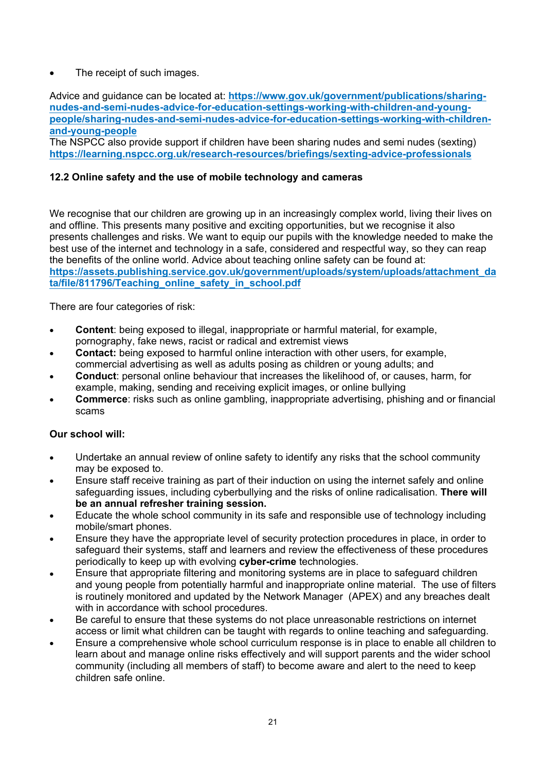The receipt of such images.

Advice and guidance can be located at: **[https://www.gov.uk/government/publications/sharing](https://www.gov.uk/government/publications/sharing-nudes-and-semi-nudes-advice-for-education-settings-working-with-children-and-young-people/sharing-nudes-and-semi-nudes-advice-for-education-settings-working-with-children-and-young-people)[nudes-and-semi-nudes-advice-for-education-settings-working-with-children-and-young](https://www.gov.uk/government/publications/sharing-nudes-and-semi-nudes-advice-for-education-settings-working-with-children-and-young-people/sharing-nudes-and-semi-nudes-advice-for-education-settings-working-with-children-and-young-people)[people/sharing-nudes-and-semi-nudes-advice-for-education-settings-working-with-children](https://www.gov.uk/government/publications/sharing-nudes-and-semi-nudes-advice-for-education-settings-working-with-children-and-young-people/sharing-nudes-and-semi-nudes-advice-for-education-settings-working-with-children-and-young-people)[and-young-people](https://www.gov.uk/government/publications/sharing-nudes-and-semi-nudes-advice-for-education-settings-working-with-children-and-young-people/sharing-nudes-and-semi-nudes-advice-for-education-settings-working-with-children-and-young-people)**

The NSPCC also provide support if children have been sharing nudes and semi nudes (sexting) **<https://learning.nspcc.org.uk/research-resources/briefings/sexting-advice-professionals>**

## **12.2 Online safety and the use of mobile technology and cameras**

We recognise that our children are growing up in an increasingly complex world, living their lives on and offline. This presents many positive and exciting opportunities, but we recognise it also presents challenges and risks. We want to equip our pupils with the knowledge needed to make the best use of the internet and technology in a safe, considered and respectful way, so they can reap the benefits of the online world. Advice about teaching online safety can be found at: **[https://assets.publishing.service.gov.uk/government/uploads/system/uploads/attachment\\_da](https://assets.publishing.service.gov.uk/government/uploads/system/uploads/attachment_data/file/811796/Teaching_online_safety_in_school.pdf) [ta/file/811796/Teaching\\_online\\_safety\\_in\\_school.pdf](https://assets.publishing.service.gov.uk/government/uploads/system/uploads/attachment_data/file/811796/Teaching_online_safety_in_school.pdf)**

There are four categories of risk:

- **Content**: being exposed to illegal, inappropriate or harmful material, for example, pornography, fake news, racist or radical and extremist views
- **Contact:** being exposed to harmful online interaction with other users, for example, commercial advertising as well as adults posing as children or young adults; and
- **Conduct**: personal online behaviour that increases the likelihood of, or causes, harm, for example, making, sending and receiving explicit images, or online bullying
- **Commerce**: risks such as online gambling, inappropriate advertising, phishing and or financial scams

#### **Our school will:**

- Undertake an annual review of online safety to identify any risks that the school community may be exposed to.
- Ensure staff receive training as part of their induction on using the internet safely and online safeguarding issues, including cyberbullying and the risks of online radicalisation. **There will be an annual refresher training session.**
- Educate the whole school community in its safe and responsible use of technology including mobile/smart phones.
- Ensure they have the appropriate level of security protection procedures in place, in order to safeguard their systems, staff and learners and review the effectiveness of these procedures periodically to keep up with evolving **cyber-crime** technologies.
- Ensure that appropriate filtering and monitoring systems are in place to safeguard children and young people from potentially harmful and inappropriate online material. The use of filters is routinely monitored and updated by the Network Manager (APEX) and any breaches dealt with in accordance with school procedures.
- Be careful to ensure that these systems do not place unreasonable restrictions on internet access or limit what children can be taught with regards to online teaching and safeguarding.
- Ensure a comprehensive whole school curriculum response is in place to enable all children to learn about and manage online risks effectively and will support parents and the wider school community (including all members of staff) to become aware and alert to the need to keep children safe online.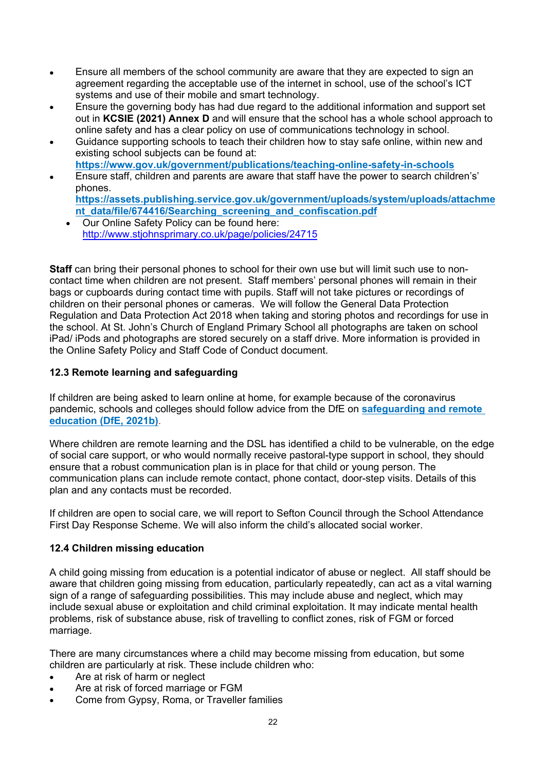- Ensure all members of the school community are aware that they are expected to sign an agreement regarding the acceptable use of the internet in school, use of the school's ICT systems and use of their mobile and smart technology.
- Ensure the governing body has had due regard to the additional information and support set out in **KCSIE (2021) Annex D** and will ensure that the school has a whole school approach to online safety and has a clear policy on use of communications technology in school.
- Guidance supporting schools to teach their children how to stay safe online, within new and existing school subjects can be found at: **<https://www.gov.uk/government/publications/teaching-online-safety-in-schools>**
- Ensure staff, children and parents are aware that staff have the power to search children's' phones. **[https://assets.publishing.service.gov.uk/government/uploads/system/uploads/attachme](https://assets.publishing.service.gov.uk/government/uploads/system/uploads/attachment_data/file/674416/Searching_screening_and_confiscation.pdf) [nt\\_data/file/674416/Searching\\_screening\\_and\\_confiscation.pdf](https://assets.publishing.service.gov.uk/government/uploads/system/uploads/attachment_data/file/674416/Searching_screening_and_confiscation.pdf)**
	- Our Online Safety Policy can be found here: <http://www.stjohnsprimary.co.uk/page/policies/24715>

**Staff** can bring their personal phones to school for their own use but will limit such use to noncontact time when children are not present. Staff members' personal phones will remain in their bags or cupboards during contact time with pupils. Staff will not take pictures or recordings of children on their personal phones or cameras. We will follow the General Data Protection Regulation and Data Protection Act 2018 when taking and storing photos and recordings for use in the school. At St. John's Church of England Primary School all photographs are taken on school iPad/ iPods and photographs are stored securely on a staff drive. More information is provided in the Online Safety Policy and Staff Code of Conduct document.

## **12.3 Remote learning and safeguarding**

If children are being asked to learn online at home, for example because of the coronavirus pandemic, schools and colleges should follow advice from the DfE on **[safeguarding and remote](https://www.gov.uk/guidance/safeguarding-and-remote-education-during-coronavirus-covid-19)** 

Where children are remote learning and the DSL has identified a child to be vulnerable, on the edge of social care support, or who would normally receive pastoral-type support in school, they should ensure that a robust communication plan is in place for that child or young person. The communication plans can include remote contact, phone contact, door-step visits. Details of this plan and any contacts must be recorded.

If children are open to social care, we will report to Sefton Council through the School Attendance First Day Response Scheme. We will also inform the child's allocated social worker.

## **12.4 Children missing education**

A child going missing from education is a potential indicator of abuse or neglect. All staff should be aware that children going missing from education, particularly repeatedly, can act as a vital warning sign of a range of safeguarding possibilities. This may include abuse and neglect, which may include sexual abuse or exploitation and child criminal exploitation. It may indicate mental health problems, risk of substance abuse, risk of travelling to conflict zones, risk of FGM or forced marriage.

There are many circumstances where a child may become missing from education, but some children are particularly at risk. These include children who:

- Are at risk of harm or neglect
- Are at risk of forced marriage or FGM
- Come from Gypsy, Roma, or Traveller families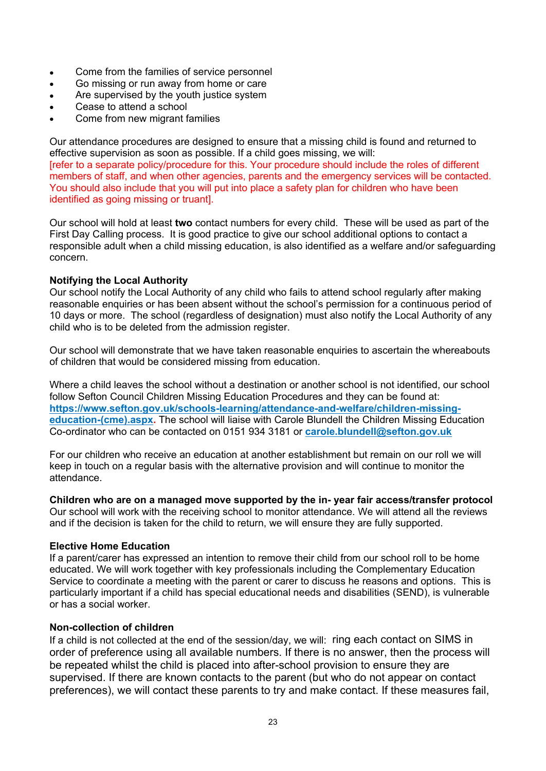- Come from the families of service personnel
- Go missing or run away from home or care
- Are supervised by the youth justice system
- Cease to attend a school
- Come from new migrant families

Our attendance procedures are designed to ensure that a missing child is found and returned to effective supervision as soon as possible. If a child goes missing, we will: [refer to a separate policy/procedure for this. Your procedure should include the roles of different

members of staff, and when other agencies, parents and the emergency services will be contacted. You should also include that you will put into place a safety plan for children who have been identified as going missing or truant].

Our school will hold at least **two** contact numbers for every child. These will be used as part of the First Day Calling process. It is good practice to give our school additional options to contact a responsible adult when a child missing education, is also identified as a welfare and/or safeguarding concern.

#### **Notifying the Local Authority**

Our school notify the Local Authority of any child who fails to attend school regularly after making reasonable enquiries or has been absent without the school's permission for a continuous period of 10 days or more. The school (regardless of designation) must also notify the Local Authority of any child who is to be deleted from the admission register.

Our school will demonstrate that we have taken reasonable enquiries to ascertain the whereabouts of children that would be considered missing from education.

Where a child leaves the school without a destination or another school is not identified, our school follow Sefton Council Children Missing Education Procedures and they can be found at: **[https://www.sefton.gov.uk/schools-learning/attendance-and-welfare/children-missing](https://www.sefton.gov.uk/schools-learning/attendance-and-welfare/children-missing-education-(cme).aspx)[education-\(cme\).aspx](https://www.sefton.gov.uk/schools-learning/attendance-and-welfare/children-missing-education-(cme).aspx).** The school will liaise with Carole Blundell the Children Missing Education Co-ordinator who can be contacted on 0151 934 3181 or **[carole.blundell@sefton.gov.uk](mailto:carole.blundell@sefton.gov.uk)**

For our children who receive an education at another establishment but remain on our roll we will keep in touch on a regular basis with the alternative provision and will continue to monitor the attendance.

**Children who are on a managed move supported by the in- year fair access/transfer protocol**  Our school will work with the receiving school to monitor attendance. We will attend all the reviews and if the decision is taken for the child to return, we will ensure they are fully supported.

#### **Elective Home Education**

If a parent/carer has expressed an intention to remove their child from our school roll to be home educated. We will work together with key professionals including the Complementary Education Service to coordinate a meeting with the parent or carer to discuss he reasons and options. This is particularly important if a child has special educational needs and disabilities (SEND), is vulnerable or has a social worker.

#### **Non-collection of children**

If a child is not collected at the end of the session/day, we will: ring each contact on SIMS in order of preference using all available numbers. If there is no answer, then the process will be repeated whilst the child is placed into after-school provision to ensure they are supervised. If there are known contacts to the parent (but who do not appear on contact preferences), we will contact these parents to try and make contact. If these measures fail,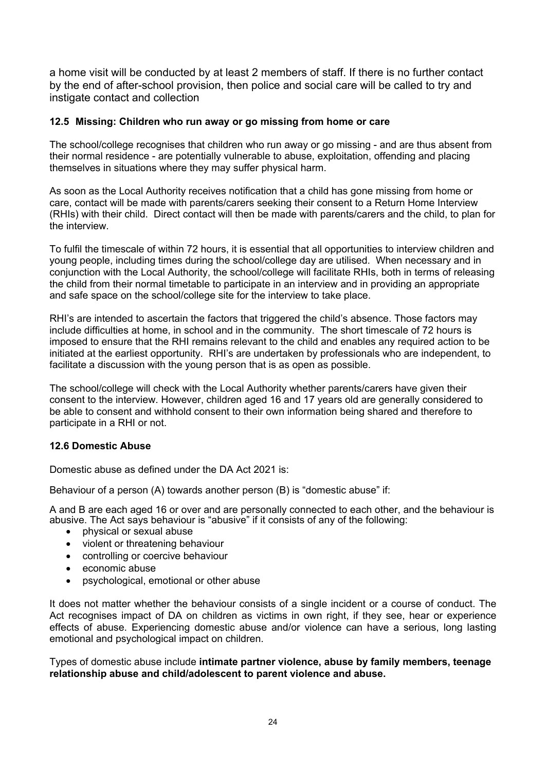a home visit will be conducted by at least 2 members of staff. If there is no further contact by the end of after-school provision, then police and social care will be called to try and instigate contact and collection

#### **12.5 Missing: Children who run away or go missing from home or care**

The school/college recognises that children who run away or go missing - and are thus absent from their normal residence - are potentially vulnerable to abuse, exploitation, offending and placing themselves in situations where they may suffer physical harm.

As soon as the Local Authority receives notification that a child has gone missing from home or care, contact will be made with parents/carers seeking their consent to a Return Home Interview (RHIs) with their child. Direct contact will then be made with parents/carers and the child, to plan for the interview.

To fulfil the timescale of within 72 hours, it is essential that all opportunities to interview children and young people, including times during the school/college day are utilised. When necessary and in conjunction with the Local Authority, the school/college will facilitate RHIs, both in terms of releasing the child from their normal timetable to participate in an interview and in providing an appropriate and safe space on the school/college site for the interview to take place.

RHI's are intended to ascertain the factors that triggered the child's absence. Those factors may include difficulties at home, in school and in the community. The short timescale of 72 hours is imposed to ensure that the RHI remains relevant to the child and enables any required action to be initiated at the earliest opportunity. RHI's are undertaken by professionals who are independent, to facilitate a discussion with the young person that is as open as possible.

The school/college will check with the Local Authority whether parents/carers have given their consent to the interview. However, children aged 16 and 17 years old are generally considered to be able to consent and withhold consent to their own information being shared and therefore to participate in a RHI or not.

#### **12.6 Domestic Abuse**

Domestic abuse as defined under the DA Act 2021 is:

Behaviour of a person (A) towards another person (B) is "domestic abuse" if:

A and B are each aged 16 or over and are personally connected to each other, and the behaviour is abusive. The Act says behaviour is "abusive" if it consists of any of the following:

- physical or sexual abuse
- violent or threatening behaviour
- controlling or coercive behaviour
- economic abuse
- psychological, emotional or other abuse

It does not matter whether the behaviour consists of a single incident or a course of conduct. The Act recognises impact of DA on children as victims in own right, if they see, hear or experience effects of abuse. Experiencing domestic abuse and/or violence can have a serious, long lasting emotional and psychological impact on children.

Types of domestic abuse include **intimate partner violence, abuse by family members, teenage relationship abuse and child/adolescent to parent violence and abuse.**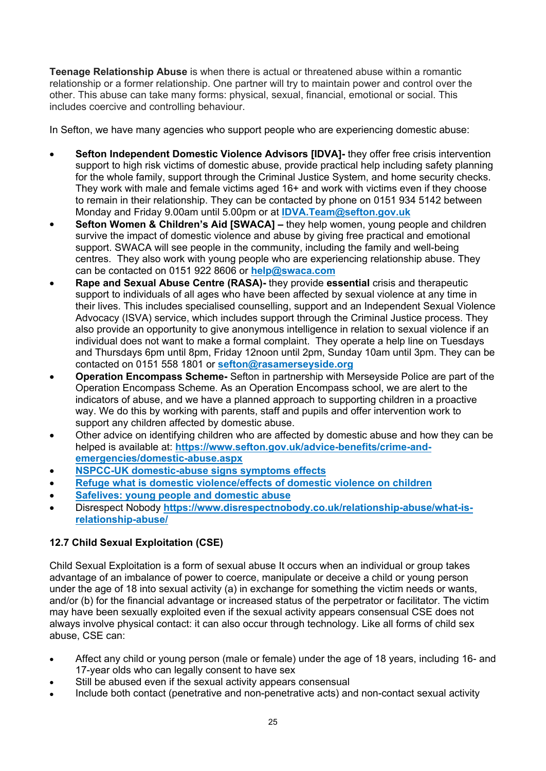**Teenage Relationship Abuse** is when there is actual or threatened abuse within a romantic relationship or a former relationship. One partner will try to maintain power and control over the other. This abuse can take many forms: physical, sexual, financial, emotional or social. This includes coercive and controlling behaviour.

In Sefton, we have many agencies who support people who are experiencing domestic abuse:

- **Sefton Independent Domestic Violence Advisors [IDVA]-** they offer free crisis intervention support to high risk victims of domestic abuse, provide practical help including safety planning for the whole family, support through the Criminal Justice System, and home security checks. They work with male and female victims aged 16+ and work with victims even if they choose to remain in their relationship. They can be contacted by phone on 0151 934 5142 between Monday and Friday 9.00am until 5.00pm or at **[IDVA.Team@sefton.gov.uk](mailto:IDVA.Team@sefton.gov.uk)**
- **Sefton Women & Children's Aid [SWACA] –** they help women, young people and children survive the impact of domestic violence and abuse by giving free practical and emotional support. SWACA will see people in the community, including the family and well-being centres. They also work with young people who are experiencing relationship abuse. They can be contacted on 0151 922 8606 or **[help@swaca.com](mailto:help@swaca.com)**
- **Rape and Sexual Abuse Centre (RASA)-** they provide **essential** crisis and therapeutic support to individuals of all ages who have been affected by sexual violence at any time in their lives. This includes specialised counselling, support and an Independent Sexual Violence Advocacy (ISVA) service, which includes support through the Criminal Justice process. They also provide an opportunity to give anonymous intelligence in relation to sexual violence if an individual does not want to make a formal complaint. They operate a help line on Tuesdays and Thursdays 6pm until 8pm, Friday 12noon until 2pm, Sunday 10am until 3pm. They can be contacted on 0151 558 1801 or **[sefton@rasamerseyside.org](mailto:sefton@rasamerseyside.org)**
- **Operation Encompass Scheme-** Sefton in partnership with Merseyside Police are part of the Operation Encompass Scheme. As an Operation Encompass school, we are alert to the indicators of abuse, and we have a planned approach to supporting children in a proactive way. We do this by working with parents, staff and pupils and offer intervention work to support any children affected by domestic abuse.
- Other advice on identifying children who are affected by domestic abuse and how they can be helped is available at: **[https://www.sefton.gov.uk/advice-benefits/crime-and](https://www.sefton.gov.uk/advice-benefits/crime-and-emergencies/domestic-abuse.aspx)[emergencies/domestic-abuse.aspx](https://www.sefton.gov.uk/advice-benefits/crime-and-emergencies/domestic-abuse.aspx)**
- **[NSPCC-UK domestic-abuse signs symptoms effects](https://www.nspcc.org.uk/preventing-abuse/child-abuse-and-neglect/domestic-abuse/signs-symptoms-effects/)**
- **[Refuge what is domestic violence/effects of domestic violence on children](http://www.refuge.org.uk/get-help-now/support-for-women/what-about-my-children/)**
- **[Safelives: young people and domestic abuse](http://www.safelives.org.uk/knowledge-hub/spotlights/spotlight-3-young-people-and-domestic-abuse)**
- Disrespect Nobody **[https://www.disrespectnobody.co.uk/relationship-abuse/what-is](https://www.disrespectnobody.co.uk/relationship-abuse/what-is-relationship-abuse/)[relationship-abuse/](https://www.disrespectnobody.co.uk/relationship-abuse/what-is-relationship-abuse/)**

## **12.7 Child Sexual Exploitation (CSE)**

Child Sexual Exploitation is a form of sexual abuse It occurs when an individual or group takes advantage of an imbalance of power to coerce, manipulate or deceive a child or young person under the age of 18 into sexual activity (a) in exchange for something the victim needs or wants, and/or (b) for the financial advantage or increased status of the perpetrator or facilitator. The victim may have been sexually exploited even if the sexual activity appears consensual CSE does not always involve physical contact: it can also occur through technology. Like all forms of child sex abuse, CSE can:

- Affect any child or young person (male or female) under the age of 18 years, including 16- and 17-year olds who can legally consent to have sex
- Still be abused even if the sexual activity appears consensual
- Include both contact (penetrative and non-penetrative acts) and non-contact sexual activity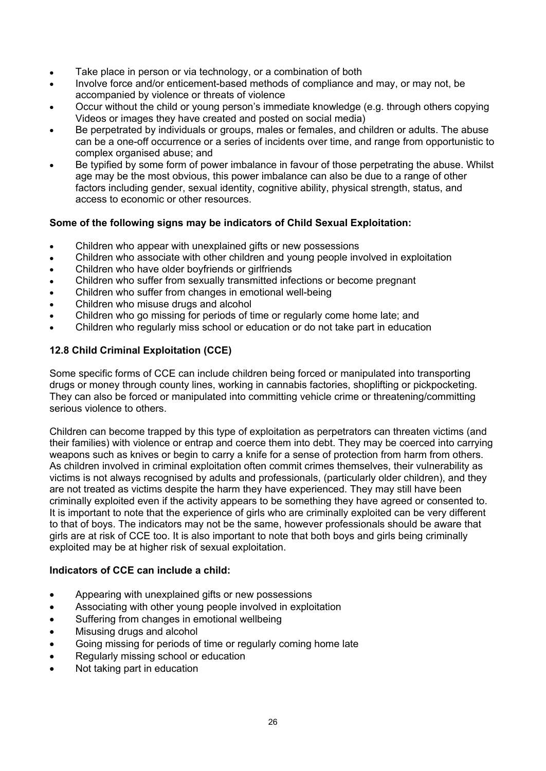- Take place in person or via technology, or a combination of both
- Involve force and/or enticement-based methods of compliance and may, or may not, be accompanied by violence or threats of violence
- Occur without the child or young person's immediate knowledge (e.g. through others copying Videos or images they have created and posted on social media)
- Be perpetrated by individuals or groups, males or females, and children or adults. The abuse can be a one-off occurrence or a series of incidents over time, and range from opportunistic to complex organised abuse; and
- Be typified by some form of power imbalance in favour of those perpetrating the abuse. Whilst age may be the most obvious, this power imbalance can also be due to a range of other factors including gender, sexual identity, cognitive ability, physical strength, status, and access to economic or other resources.

#### **Some of the following signs may be indicators of Child Sexual Exploitation:**

- Children who appear with unexplained gifts or new possessions
- Children who associate with other children and young people involved in exploitation
- Children who have older boyfriends or girlfriends
- Children who suffer from sexually transmitted infections or become pregnant
- Children who suffer from changes in emotional well-being
- Children who misuse drugs and alcohol
- Children who go missing for periods of time or regularly come home late; and
- Children who regularly miss school or education or do not take part in education

#### **12.8 Child Criminal Exploitation (CCE)**

Some specific forms of CCE can include children being forced or manipulated into transporting drugs or money through county lines, working in cannabis factories, shoplifting or pickpocketing. They can also be forced or manipulated into committing vehicle crime or threatening/committing serious violence to others.

Children can become trapped by this type of exploitation as perpetrators can threaten victims (and their families) with violence or entrap and coerce them into debt. They may be coerced into carrying weapons such as knives or begin to carry a knife for a sense of protection from harm from others. As children involved in criminal exploitation often commit crimes themselves, their vulnerability as victims is not always recognised by adults and professionals, (particularly older children), and they are not treated as victims despite the harm they have experienced. They may still have been criminally exploited even if the activity appears to be something they have agreed or consented to. It is important to note that the experience of girls who are criminally exploited can be very different to that of boys. The indicators may not be the same, however professionals should be aware that girls are at risk of CCE too. It is also important to note that both boys and girls being criminally exploited may be at higher risk of sexual exploitation.

#### **Indicators of CCE can include a child:**

- Appearing with unexplained gifts or new possessions
- Associating with other young people involved in exploitation
- Suffering from changes in emotional wellbeing
- Misusing drugs and alcohol
- Going missing for periods of time or regularly coming home late
- Regularly missing school or education
- Not taking part in education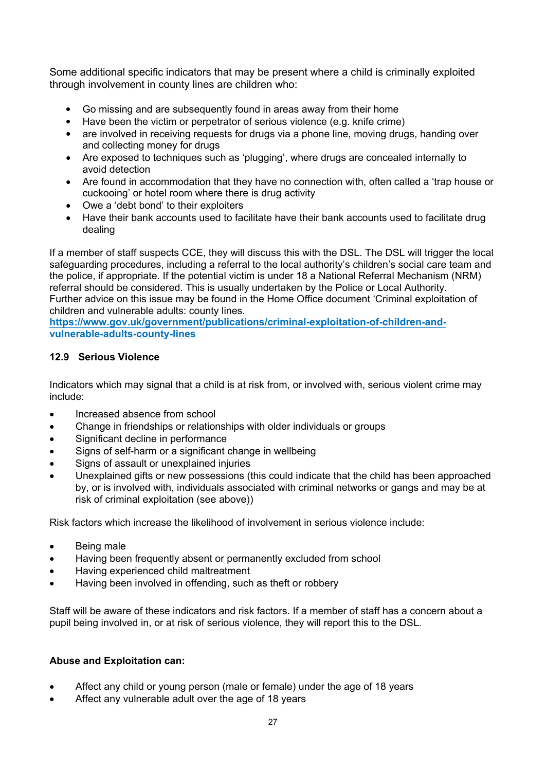Some additional specific indicators that may be present where a child is criminally exploited through involvement in county lines are children who:

- Go missing and are subsequently found in areas away from their home
- Have been the victim or perpetrator of serious violence (e.g. knife crime)
- are involved in receiving requests for drugs via a phone line, moving drugs, handing over and collecting money for drugs
- Are exposed to techniques such as 'plugging', where drugs are concealed internally to avoid detection
- Are found in accommodation that they have no connection with, often called a 'trap house or cuckooing' or hotel room where there is drug activity
- Owe a 'debt bond' to their exploiters
- Have their bank accounts used to facilitate have their bank accounts used to facilitate drug dealing

If a member of staff suspects CCE, they will discuss this with the DSL. The DSL will trigger the local safeguarding procedures, including a referral to the local authority's children's social care team and the police, if appropriate. If the potential victim is under 18 a National Referral Mechanism (NRM) referral should be considered. This is usually undertaken by the Police or Local Authority. Further advice on this issue may be found in the Home Office document 'Criminal exploitation of children and vulnerable adults: county lines.

**[https://www.gov.uk/government/publications/criminal-exploitation-of-children-and](https://www.gov.uk/government/publications/criminal-exploitation-of-children-and-vulnerable-adults-county-lines)[vulnerable-adults-county-lines](https://www.gov.uk/government/publications/criminal-exploitation-of-children-and-vulnerable-adults-county-lines)**

## **12.9 Serious Violence**

Indicators which may signal that a child is at risk from, or involved with, serious violent crime may include:

- Increased absence from school
- Change in friendships or relationships with older individuals or groups
- Significant decline in performance
- Signs of self-harm or a significant change in wellbeing
- Signs of assault or unexplained injuries
- Unexplained gifts or new possessions (this could indicate that the child has been approached by, or is involved with, individuals associated with criminal networks or gangs and may be at risk of criminal exploitation (see above))

Risk factors which increase the likelihood of involvement in serious violence include:

- Being male
- Having been frequently absent or permanently excluded from school
- Having experienced child maltreatment
- Having been involved in offending, such as theft or robbery

Staff will be aware of these indicators and risk factors. If a member of staff has a concern about a pupil being involved in, or at risk of serious violence, they will report this to the DSL.

## **Abuse and Exploitation can:**

- Affect any child or young person (male or female) under the age of 18 years
- Affect any vulnerable adult over the age of 18 years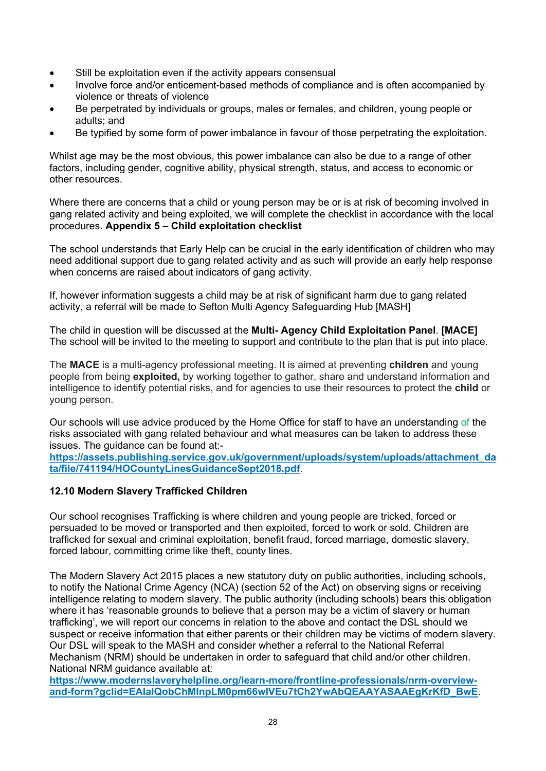- Still be exploitation even if the activity appears consensual
- Involve force and/or enticement-based methods of compliance and is often accompanied by violence or threats of violence
- Be perpetrated by individuals or groups, males or females, and children, young people or adults; and
- Be typified by some form of power imbalance in favour of those perpetrating the exploitation.

Whilst age may be the most obvious, this power imbalance can also be due to a range of other factors, including gender, cognitive ability, physical strength, status, and access to economic or other resources.

Where there are concerns that a child or young person may be or is at risk of becoming involved in gang related activity and being exploited, we will complete the checklist in accordance with the local procedures. **Appendix 5 – Child exploitation checklist**<br>The school understands that Early Help can be crucial in the early identification of children who may

need additional support due to gang related activity and as such will provide an early help response when concerns are raised about indicators of gang activity.

If, however information suggests a child may be at risk of significant harm due to gang related activity, a referral will be made to Sefton Multi Agency Safeguarding Hub [MASH]

The child in question will be discussed at the **Multi- Agency Child Exploitation Panel**. **[MACE]** The school will be invited to the meeting to support and contribute to the plan that is put into place.

The **MACE** is a multi-agency professional meeting. It is aimed at preventing **children** and young people from being **exploited,** by working together to gather, share and understand information and intelligence to identify potential risks, and for agencies to use their resources to protect the **child** or young person.

Our schools will use advice produced by the Home Office for staff to have an understanding of the risks associated with gang related behaviour and what measures can be taken to address these issues. The guidance can be found at:-

**[https://assets.publishing.service.gov.uk/government/uploads/system/uploads/attachment\\_da](https://assets.publishing.service.gov.uk/government/uploads/system/uploads/attachment_data/file/741194/HOCountyLinesGuidanceSept2018.pdf) [ta/file/741194/HOCountyLinesGuidanceSept2018.pdf](https://assets.publishing.service.gov.uk/government/uploads/system/uploads/attachment_data/file/741194/HOCountyLinesGuidanceSept2018.pdf)**.

#### **12.10 Modern Slavery Trafficked Children**

Our school recognises Trafficking is where children and young people are tricked, forced or persuaded to be moved or transported and then exploited, forced to work or sold. Children are trafficked for sexual and criminal exploitation, benefit fraud, forced marriage, domestic slavery, forced labour, committing crime like theft, county lines.

The Modern Slavery Act 2015 places a new statutory duty on public authorities, including schools, to notify the National Crime Agency (NCA) (section 52 of the Act) on observing signs or receiving intelligence relating to modern slavery. The public authority (including schools) bears this obligation where it has 'reasonable grounds to believe that a person may be a victim of slavery or human trafficking', we will report our concerns in relation to the above and contact the DSL should we suspect or receive information that either parents or their children may be victims of modern slavery. Our DSL will speak to the MASH and consider whether a referral to the National Referral Mechanism (NRM) should be undertaken in order to safeguard that child and/or other children. National NRM guidance available at:

**[https://www.modernslaveryhelpline.org/learn-more/frontline-professionals/nrm-overview](https://www.modernslaveryhelpline.org/learn-more/frontline-professionals/nrm-overview-and-form?gclid=EAIaIQobChMInpLM0pm66wIVEu7tCh2YwAbQEAAYASAAEgKrKfD_BwE)[and-form?gclid=EAIaIQobChMInpLM0pm66wIVEu7tCh2YwAbQEAAYASAAEgKrKfD\\_BwE](https://www.modernslaveryhelpline.org/learn-more/frontline-professionals/nrm-overview-and-form?gclid=EAIaIQobChMInpLM0pm66wIVEu7tCh2YwAbQEAAYASAAEgKrKfD_BwE)**.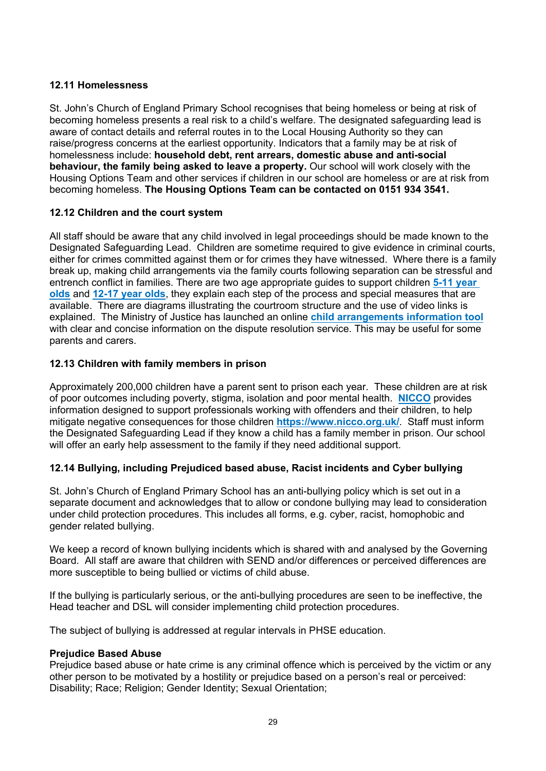## **12.11 Homelessness**

St. John's Church of England Primary School recognises that being homeless or being at risk of becoming homeless presents a real risk to a child's welfare. The designated safeguarding lead is aware of contact details and referral routes in to the Local Housing Authority so they can raise/progress concerns at the earliest opportunity. Indicators that a family may be at risk of homelessness include: **household debt, rent arrears, domestic abuse and anti-social behaviour, the family being asked to leave a property.** Our school will work closely with the Housing Options Team and other services if children in our school are homeless or are at risk from becoming homeless. **The Housing Options Team can be contacted on 0151 934 3541.**

#### **12.12 Children and the court system**

All staff should be aware that any child involved in legal proceedings should be made known to the Designated Safeguarding Lead. Children are sometime required to give evidence in criminal courts, either for crimes committed against them or for crimes they have witnessed. Where there is a family break up, making child arrangements via the family courts following separation can be stressful and entrench conflict in families. There are two age appropriate guides to support children **[5-11 year](https://www.gov.uk/government/publications/young-witness-booklet-for-5-to-11-year-olds)  [olds](https://www.gov.uk/government/publications/young-witness-booklet-for-5-to-11-year-olds)** and **[12-17 year olds](https://www.gov.uk/government/publications/young-witness-booklet-for-12-to-17-year-olds)**, they explain each step of the process and special measures that are available. There are diagrams illustrating the courtroom structure and the use of video links is explained. The Ministry of Justice has launched an online **[child arrangements information tool](http://www.nationalcrimeagency.gov.uk/about-us/what-we-do/specialist-capabilities/uk-human-trafficking-centre/national-referral-mechanism)** with clear and concise information on the dispute resolution service. This may be useful for some parents and carers.

#### **12.13 Children with family members in prison**

Approximately 200,000 children have a parent sent to prison each year. These children are at risk of poor outcomes including poverty, stigma, isolation and poor mental health. **[NICCO](http://www.nationalcrimeagency.gov.uk/about-us/what-we-do/specialist-capabilities/uk-human-trafficking-centre/national-referral-mechanism)** provides information designed to support professionals working with offenders and their children, to help mitigate negative consequences for those children **<https://www.nicco.org.uk/>**. Staff must inform the Designated Safeguarding Lead if they know a child has a family member in prison. Our school will offer an early help assessment to the family if they need additional support.

## **12.14 Bullying, including Prejudiced based abuse, Racist incidents and Cyber bullying**

St. John's Church of England Primary School has an anti-bullying policy which is set out in a separate document and acknowledges that to allow or condone bullying may lead to consideration under child protection procedures. This includes all forms, e.g. cyber, racist, homophobic and gender related bullying.

We keep a record of known bullying incidents which is shared with and analysed by the Governing Board. All staff are aware that children with SEND and/or differences or perceived differences are more susceptible to being bullied or victims of child abuse.

If the bullying is particularly serious, or the anti-bullying procedures are seen to be ineffective, the Head teacher and DSL will consider implementing child protection procedures.

The subject of bullying is addressed at regular intervals in PHSE education.

#### **Prejudice Based Abuse**

Prejudice based abuse or hate crime is any criminal offence which is perceived by the victim or any other person to be motivated by a hostility or prejudice based on a person's real or perceived: Disability; Race; Religion; Gender Identity; Sexual Orientation;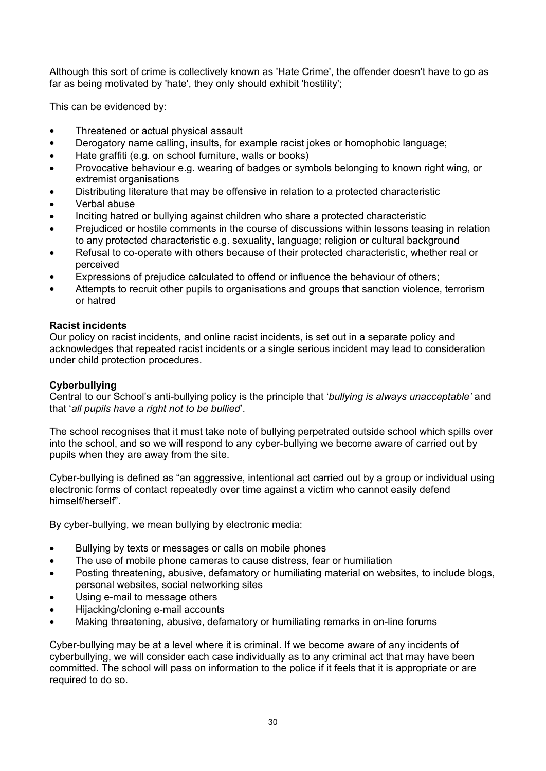Although this sort of crime is collectively known as 'Hate Crime', the offender doesn't have to go as far as being motivated by 'hate', they only should exhibit 'hostility';

This can be evidenced by:

- Threatened or actual physical assault
- Derogatory name calling, insults, for example racist jokes or homophobic language;
- Hate graffiti (e.g. on school furniture, walls or books)
- Provocative behaviour e.g. wearing of badges or symbols belonging to known right wing, or extremist organisations
- Distributing literature that may be offensive in relation to a protected characteristic
- Verbal abuse
- Inciting hatred or bullying against children who share a protected characteristic
- Prejudiced or hostile comments in the course of discussions within lessons teasing in relation to any protected characteristic e.g. sexuality, language; religion or cultural background
- Refusal to co-operate with others because of their protected characteristic, whether real or perceived
- Expressions of prejudice calculated to offend or influence the behaviour of others;
- Attempts to recruit other pupils to organisations and groups that sanction violence, terrorism or hatred

#### **Racist incidents**

Our policy on racist incidents, and online racist incidents, is set out in a separate policy and acknowledges that repeated racist incidents or a single serious incident may lead to consideration under child protection procedures.

#### **Cyberbullying**

Central to our School's anti-bullying policy is the principle that '*bullying is always unacceptable'* and that '*all pupils have a right not to be bullied*'.

The school recognises that it must take note of bullying perpetrated outside school which spills over into the school, and so we will respond to any cyber-bullying we become aware of carried out by pupils when they are away from the site.

Cyber-bullying is defined as "an aggressive, intentional act carried out by a group or individual using electronic forms of contact repeatedly over time against a victim who cannot easily defend himself/herself".

By cyber-bullying, we mean bullying by electronic media:

- Bullying by texts or messages or calls on mobile phones
- The use of mobile phone cameras to cause distress, fear or humiliation
- Posting threatening, abusive, defamatory or humiliating material on websites, to include blogs, personal websites, social networking sites
- Using e-mail to message others
- Hijacking/cloning e-mail accounts
- Making threatening, abusive, defamatory or humiliating remarks in on-line forums

Cyber-bullying may be at a level where it is criminal. If we become aware of any incidents of cyberbullying, we will consider each case individually as to any criminal act that may have been committed. The school will pass on information to the police if it feels that it is appropriate or are required to do so.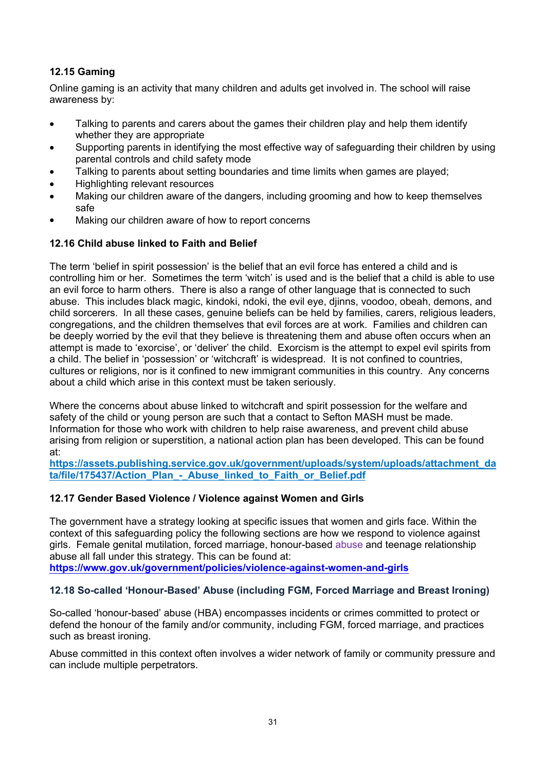## **12.15 Gaming**

Online gaming is an activity that many children and adults get involved in. The school will raise awareness by:

- Talking to parents and carers about the games their children play and help them identify whether they are appropriate
- Supporting parents in identifying the most effective way of safeguarding their children by using parental controls and child safety mode
- Talking to parents about setting boundaries and time limits when games are played;
- Highlighting relevant resources
- Making our children aware of the dangers, including grooming and how to keep themselves safe
- Making our children aware of how to report concerns

#### **12.16 Child abuse linked to Faith and Belief**

The term 'belief in spirit possession' is the belief that an evil force has entered a child and is controlling him or her. Sometimes the term 'witch' is used and is the belief that a child is able to use an evil force to harm others. There is also a range of other language that is connected to such abuse. This includes black magic, kindoki, ndoki, the evil eye, djinns, voodoo, obeah, demons, and child sorcerers. In all these cases, genuine beliefs can be held by families, carers, religious leaders, congregations, and the children themselves that evil forces are at work. Families and children can be deeply worried by the evil that they believe is threatening them and abuse often occurs when an attempt is made to 'exorcise', or 'deliver' the child. Exorcism is the attempt to expel evil spirits from a child. The belief in 'possession' or 'witchcraft' is widespread. It is not confined to countries, cultures or religions, nor is it confined to new immigrant communities in this country. Any concerns about a child which arise in this context must be taken seriously.

Where the concerns about abuse linked to witchcraft and spirit possession for the welfare and safety of the child or young person are such that a contact to Sefton MASH must be made. Information for those who work with children to help raise awareness, and prevent child abuse arising from religion or superstition, a national action plan has been developed. This can be found at:

**[https://assets.publishing.service.gov.uk/government/uploads/system/uploads/attachment\\_da](https://assets.publishing.service.gov.uk/government/uploads/system/uploads/attachment_data/file/175437/Action_Plan_-_Abuse_linked_to_Faith_or_Belief.pdf) [ta/file/175437/Action\\_Plan\\_-\\_Abuse\\_linked\\_to\\_Faith\\_or\\_Belief.pdf](https://assets.publishing.service.gov.uk/government/uploads/system/uploads/attachment_data/file/175437/Action_Plan_-_Abuse_linked_to_Faith_or_Belief.pdf)**

#### **12.17 Gender Based Violence / Violence against Women and Girls**

The government have a strategy looking at specific issues that women and girls face. Within the context of this safeguarding policy the following sections are how we respond to violence against girls. Female genital mutilation, forced marriage, honour-based abuse and teenage relationship abuse all fall under this strategy. This can be found at:

**<https://www.gov.uk/government/policies/violence-against-women-and-girls>**

#### **12.18 So-called 'Honour-Based' Abuse (including FGM, Forced Marriage and Breast Ironing)**

So-called 'honour-based' abuse (HBA) encompasses incidents or crimes committed to protect or defend the honour of the family and/or community, including FGM, forced marriage, and practices such as breast ironing.

Abuse committed in this context often involves a wider network of family or community pressure and can include multiple perpetrators.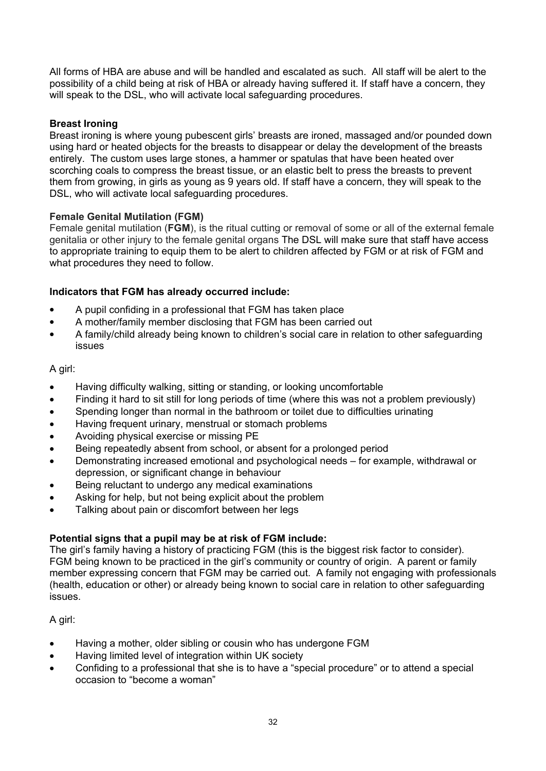All forms of HBA are abuse and will be handled and escalated as such. All staff will be alert to the possibility of a child being at risk of HBA or already having suffered it. If staff have a concern, they will speak to the DSL, who will activate local safeguarding procedures.

## **Breast Ironing**

Breast ironing is where young pubescent girls' breasts are ironed, massaged and/or pounded down using hard or heated objects for the breasts to disappear or delay the development of the breasts entirely. The custom uses large stones, a hammer or spatulas that have been heated over scorching coals to compress the breast tissue, or an elastic belt to press the breasts to prevent them from growing, in girls as young as 9 years old. If staff have a concern, they will speak to the DSL, who will activate local safeguarding procedures.

## **Female Genital Mutilation (FGM)**

Female genital mutilation (**FGM**), is the ritual cutting or removal of some or all of the external female genitalia or other injury to the female genital organs The DSL will make sure that staff have access to appropriate training to equip them to be alert to children affected by FGM or at risk of FGM and what procedures they need to follow.

## **Indicators that FGM has already occurred include:**

- A pupil confiding in a professional that FGM has taken place
- A mother/family member disclosing that FGM has been carried out
- A family/child already being known to children's social care in relation to other safeguarding issues

#### A girl:

- Having difficulty walking, sitting or standing, or looking uncomfortable
- Finding it hard to sit still for long periods of time (where this was not a problem previously)
- Spending longer than normal in the bathroom or toilet due to difficulties urinating
- Having frequent urinary, menstrual or stomach problems
- Avoiding physical exercise or missing PE
- Being repeatedly absent from school, or absent for a prolonged period
- Demonstrating increased emotional and psychological needs for example, withdrawal or depression, or significant change in behaviour
- Being reluctant to undergo any medical examinations
- Asking for help, but not being explicit about the problem
- Talking about pain or discomfort between her legs

#### **Potential signs that a pupil may be at risk of FGM include:**

The girl's family having a history of practicing FGM (this is the biggest risk factor to consider). FGM being known to be practiced in the girl's community or country of origin. A parent or family member expressing concern that FGM may be carried out. A family not engaging with professionals (health, education or other) or already being known to social care in relation to other safeguarding issues.

A girl:

- Having a mother, older sibling or cousin who has undergone FGM
- Having limited level of integration within UK society
- Confiding to a professional that she is to have a "special procedure" or to attend a special occasion to "become a woman"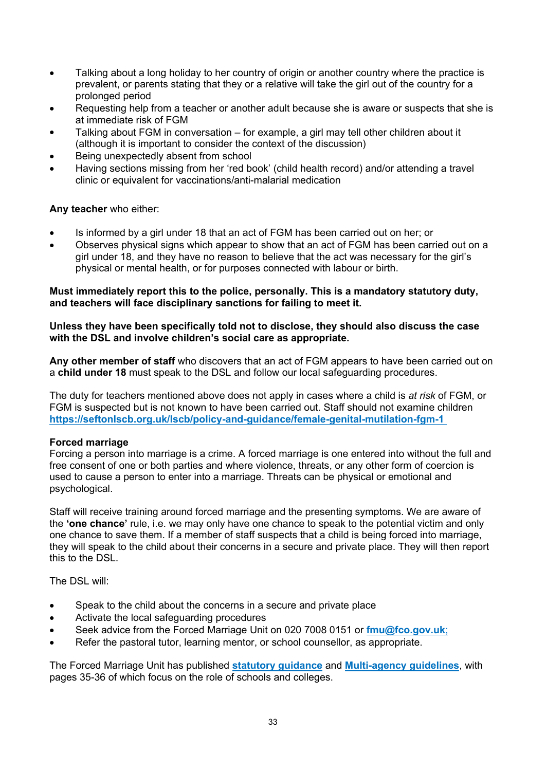- Talking about a long holiday to her country of origin or another country where the practice is prevalent, or parents stating that they or a relative will take the girl out of the country for a prolonged period
- Requesting help from a teacher or another adult because she is aware or suspects that she is at immediate risk of FGM
- Talking about FGM in conversation for example, a girl may tell other children about it (although it is important to consider the context of the discussion)
- Being unexpectedly absent from school
- Having sections missing from her 'red book' (child health record) and/or attending a travel clinic or equivalent for vaccinations/anti-malarial medication

#### **Any teacher** who either:

- Is informed by a girl under 18 that an act of FGM has been carried out on her; or
- Observes physical signs which appear to show that an act of FGM has been carried out on a girl under 18, and they have no reason to believe that the act was necessary for the girl's physical or mental health, or for purposes connected with labour or birth.

#### **Must immediately report this to the police, personally. This is a mandatory statutory duty, and teachers will face disciplinary sanctions for failing to meet it.**

#### **Unless they have been specifically told not to disclose, they should also discuss the case with the DSL and involve children's social care as appropriate.**

**Any other member of staff** who discovers that an act of FGM appears to have been carried out on a **child under 18** must speak to the DSL and follow our local safeguarding procedures.

The duty for teachers mentioned above does not apply in cases where a child is *at risk* of FGM, or FGM is suspected but is not known to have been carried out. Staff should not examine children **<https://seftonlscb.org.uk/lscb/policy-and-guidance/female-genital-mutilation-fgm-1>**

#### **Forced marriage**

Forcing a person into marriage is a crime. A forced marriage is one entered into without the full and free consent of one or both parties and where violence, threats, or any other form of coercion is used to cause a person to enter into a marriage. Threats can be physical or emotional and psychological.

Staff will receive training around forced marriage and the presenting symptoms. We are aware of the **'one chance'** rule, i.e. we may only have one chance to speak to the potential victim and only one chance to save them. If a member of staff suspects that a child is being forced into marriage, they will speak to the child about their concerns in a secure and private place. They will then report this to the DSL.

The DSL will:

- Speak to the child about the concerns in a secure and private place
- Activate the local safeguarding procedures
- Seek advice from the Forced Marriage Unit on 020 7008 0151 or **[fmu@fco.gov.uk](mailto:fmu@fco.gov.uk)**;
- Refer the pastoral tutor, learning mentor, or school counsellor, as appropriate.

The Forced Marriage Unit has published **[statutory guidance](https://assets.publishing.service.gov.uk/government/uploads/system/uploads/attachment_data/file/322310/HMG_Statutory_Guidance_publication_180614_Final.pdf)** and **[Multi-agency guidelines](https://assets.publishing.service.gov.uk/government/uploads/system/uploads/attachment_data/file/322307/HMG_MULTI_AGENCY_PRACTICE_GUIDELINES_v1_180614_FINAL.pdf)**, with pages 35-36 of which focus on the role of schools and colleges.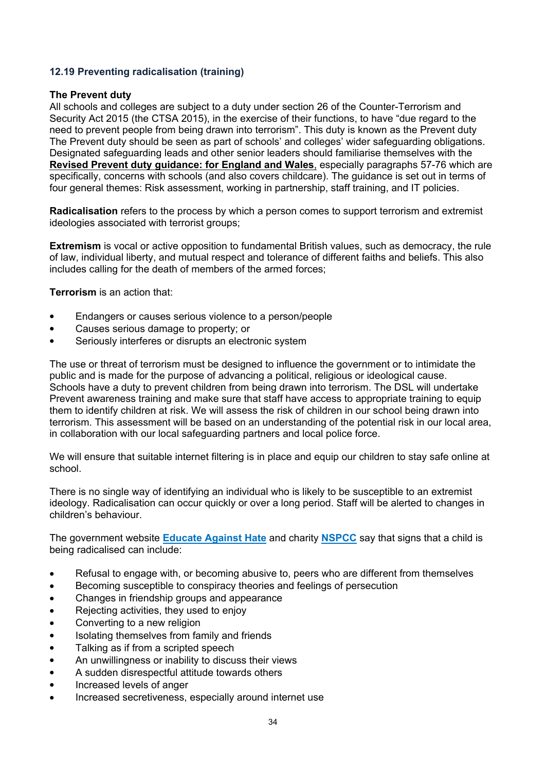#### **12.19 Preventing radicalisation (training)**

#### **The Prevent duty**

All schools and colleges are subject to a duty under section 26 of the Counter-Terrorism and Security Act 2015 (the CTSA 2015), in the exercise of their functions, to have "due regard to the need to prevent people from being drawn into terrorism". This duty is known as the Prevent duty The Prevent duty should be seen as part of schools' and colleges' wider safeguarding obligations. Designated safeguarding leads and other senior leaders should familiarise themselves with the **[Revised Prevent duty guidance: for England and Wales](https://www.gov.uk/government/publications/prevent-duty-guidance)**[,](https://www.gov.uk/government/publications/prevent-duty-guidance) especially paragraphs 57-76 which are specifically, concerns with schools (and also covers childcare). The guidance is set out in terms of four general themes: Risk assessment, working in partnership, staff training, and IT policies.

**Radicalisation** refers to the process by which a person comes to support terrorism and extremist ideologies associated with terrorist groups;

**Extremism** is vocal or active opposition to fundamental British values, such as democracy, the rule of law, individual liberty, and mutual respect and tolerance of different faiths and beliefs. This also includes calling for the death of members of the armed forces;

**Terrorism** is an action that:

- Endangers or causes serious violence to a person/people
- Causes serious damage to property; or
- Seriously interferes or disrupts an electronic system

The use or threat of terrorism must be designed to influence the government or to intimidate the public and is made for the purpose of advancing a political, religious or ideological cause. Schools have a duty to prevent children from being drawn into terrorism. The DSL will undertake Prevent awareness training and make sure that staff have access to appropriate training to equip them to identify children at risk. We will assess the risk of children in our school being drawn into terrorism. This assessment will be based on an understanding of the potential risk in our local area, in collaboration with our local safeguarding partners and local police force.

We will ensure that suitable internet filtering is in place and equip our children to stay safe online at school.

There is no single way of identifying an individual who is likely to be susceptible to an extremist ideology. Radicalisation can occur quickly or over a long period. Staff will be alerted to changes in children's behaviour.

The government website **[Educate Against Hate](http://educateagainsthate.com/parents/what-are-the-warning-signs/)** and charity **[NSPCC](https://www.nspcc.org.uk/what-you-can-do/report-abuse/dedicated-helplines/protecting-children-from-radicalisation/)** say that signs that a child is being radicalised can include:

- Refusal to engage with, or becoming abusive to, peers who are different from themselves
- Becoming susceptible to conspiracy theories and feelings of persecution
- Changes in friendship groups and appearance
- Rejecting activities, they used to enjoy
- Converting to a new religion
- Isolating themselves from family and friends
- Talking as if from a scripted speech
- An unwillingness or inability to discuss their views
- A sudden disrespectful attitude towards others
- Increased levels of anger
- Increased secretiveness, especially around internet use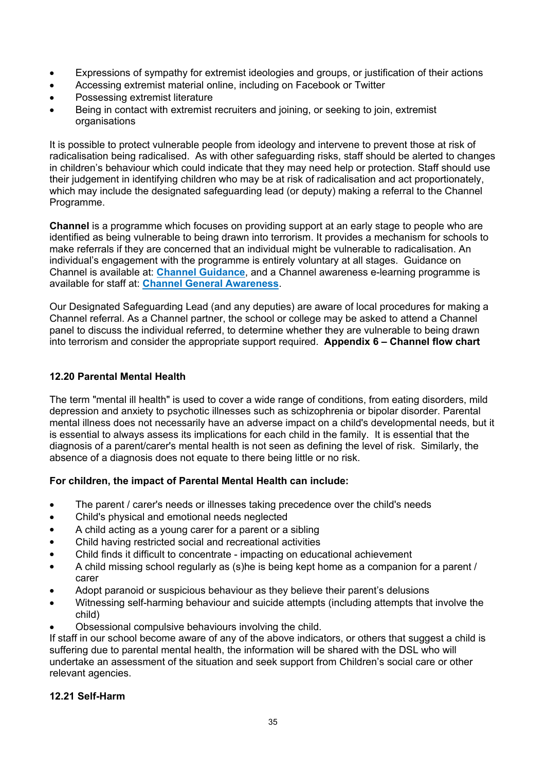- Expressions of sympathy for extremist ideologies and groups, or justification of their actions
- Accessing extremist material online, including on Facebook or Twitter
- Possessing extremist literature
- Being in contact with extremist recruiters and joining, or seeking to join, extremist organisations

It is possible to protect vulnerable people from ideology and intervene to prevent those at risk of radicalisation being radicalised. As with other safeguarding risks, staff should be alerted to changes in children's behaviour which could indicate that they may need help or protection. Staff should use their judgement in identifying children who may be at risk of radicalisation and act proportionately, which may include the designated safeguarding lead (or deputy) making a referral to the Channel Programme.

**Channel** is a programme which focuses on providing support at an early stage to people who are identified as being vulnerable to being drawn into terrorism. It provides a mechanism for schools to make referrals if they are concerned that an individual might be vulnerable to radicalisation. An individual's engagement with the programme is entirely voluntary at all stages. Guidance on Channel is available at: **[Channel Guidance](https://www.gov.uk/government/publications/channel-guidance)**, and a Channel awareness e-learning programme is available for staff at: **Channel General Awareness**.<br>Our Designated Safeguarding Lead (and any deputies) are aware of local procedures for making a

Channel referral. As a Channel partner, the school or college may be asked to attend a Channel panel to discuss the individual referred, to determine whether they are vulnerable to being drawn into terrorism and consider the appropriate support required. **Appendix 6 – Channel flow chart** 

#### **12.20 Parental Mental Health**

The term "mental ill health" is used to cover a wide range of conditions, from eating disorders, mild depression and anxiety to psychotic illnesses such as schizophrenia or bipolar disorder. Parental mental illness does not necessarily have an adverse impact on a child's developmental needs, but it is essential to always assess its implications for each child in the family. It is essential that the diagnosis of a parent/carer's mental health is not seen as defining the level of risk. Similarly, the absence of a diagnosis does not equate to there being little or no risk.

## **For children, the impact of Parental Mental Health can include:**

- The parent / carer's needs or illnesses taking precedence over the child's needs
- Child's physical and emotional needs neglected
- A child acting as a young carer for a parent or a sibling
- Child having restricted social and recreational activities
- Child finds it difficult to concentrate impacting on educational achievement
- A child missing school regularly as (s)he is being kept home as a companion for a parent / carer
- Adopt paranoid or suspicious behaviour as they believe their parent's delusions
- Witnessing self-harming behaviour and suicide attempts (including attempts that involve the child)
- Obsessional compulsive behaviours involving the child.

If staff in our school become aware of any of the above indicators, or others that suggest a child is suffering due to parental mental health, the information will be shared with the DSL who will undertake an assessment of the situation and seek support from Children's social care or other relevant agencies.

#### **12.21 Self-Harm**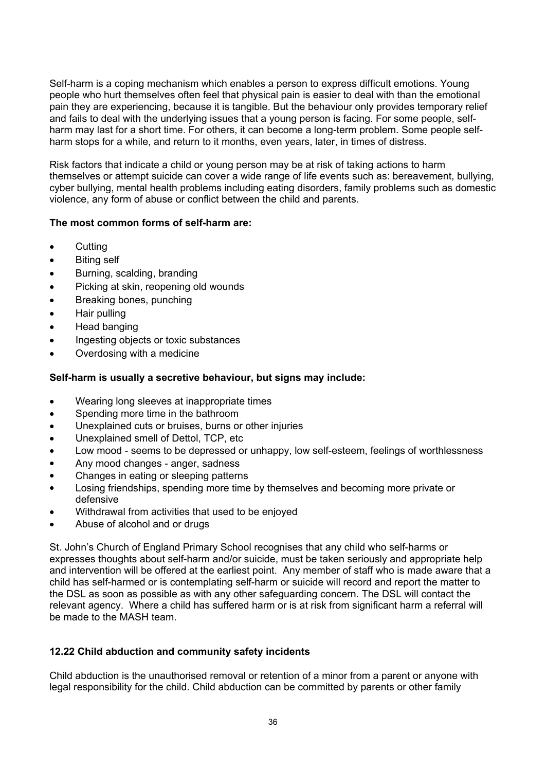Self-harm is a coping mechanism which enables a person to express difficult emotions. Young people who hurt themselves often feel that physical pain is easier to deal with than the emotional pain they are experiencing, because it is tangible. But the behaviour only provides temporary relief and fails to deal with the underlying issues that a young person is facing. For some people, selfharm may last for a short time. For others, it can become a long-term problem. Some people selfharm stops for a while, and return to it months, even years, later, in times of distress.

Risk factors that indicate a child or young person may be at risk of taking actions to harm themselves or attempt suicide can cover a wide range of life events such as: bereavement, bullying, cyber bullying, mental health problems including eating disorders, family problems such as domestic violence, any form of abuse or conflict between the child and parents.

## **The most common forms of self-harm are:**

- **Cutting**
- Biting self
- Burning, scalding, branding
- Picking at skin, reopening old wounds
- Breaking bones, punching
- Hair pulling
- Head banging
- Ingesting objects or toxic substances
- Overdosing with a medicine

#### **Self-harm is usually a secretive behaviour, but signs may include:**

- Wearing long sleeves at inappropriate times
- Spending more time in the bathroom
- Unexplained cuts or bruises, burns or other injuries
- Unexplained smell of Dettol, TCP, etc
- Low mood seems to be depressed or unhappy, low self-esteem, feelings of worthlessness
- Any mood changes anger, sadness
- Changes in eating or sleeping patterns
- Losing friendships, spending more time by themselves and becoming more private or defensive
- Withdrawal from activities that used to be enjoyed
- Abuse of alcohol and or drugs

St. John's Church of England Primary School recognises that any child who self-harms or expresses thoughts about self-harm and/or suicide, must be taken seriously and appropriate help and intervention will be offered at the earliest point. Any member of staff who is made aware that a child has self-harmed or is contemplating self-harm or suicide will record and report the matter to the DSL as soon as possible as with any other safeguarding concern. The DSL will contact the relevant agency. Where a child has suffered harm or is at risk from significant harm a referral will be made to the MASH team.

#### **12.22 Child abduction and community safety incidents**

Child abduction is the unauthorised removal or retention of a minor from a parent or anyone with legal responsibility for the child. Child abduction can be committed by parents or other family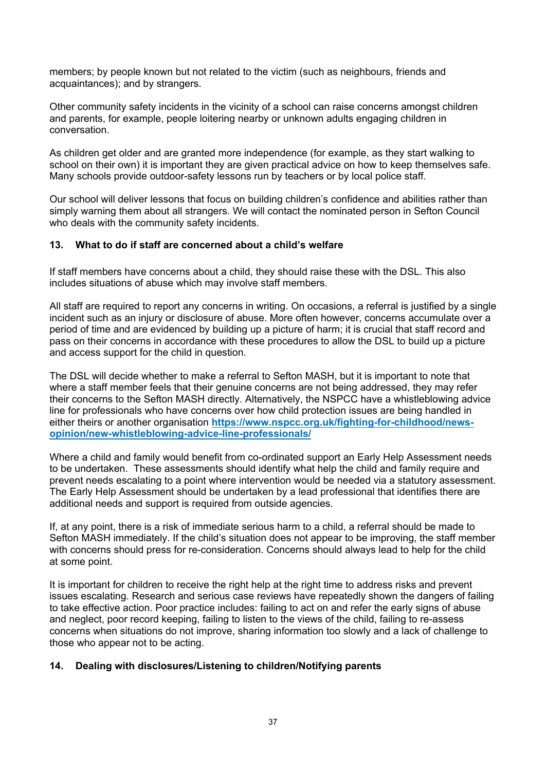members; by people known but not related to the victim (such as neighbours, friends and acquaintances); and by strangers.

Other community safety incidents in the vicinity of a school can raise concerns amongst children and parents, for example, people loitering nearby or unknown adults engaging children in conversation.

As children get older and are granted more independence (for example, as they start walking to school on their own) it is important they are given practical advice on how to keep themselves safe. Many schools provide outdoor-safety lessons run by teachers or by local police staff.

Our school will deliver lessons that focus on building children's confidence and abilities rather than simply warning them about all strangers. We will contact the nominated person in Sefton Council who deals with the community safety incidents.

### **13. What to do if staff are concerned about a child's welfare**

If staff members have concerns about a child, they should raise these with the DSL. This also includes situations of abuse which may involve staff members.

All staff are required to report any concerns in writing. On occasions, a referral is justified by a single incident such as an injury or disclosure of abuse. More often however, concerns accumulate over a period of time and are evidenced by building up a picture of harm; it is crucial that staff record and pass on their concerns in accordance with these procedures to allow the DSL to build up a picture and access support for the child in question.

The DSL will decide whether to make a referral to Sefton MASH, but it is important to note that where a staff member feels that their genuine concerns are not being addressed, they may refer their concerns to the Sefton MASH directly. Alternatively, the NSPCC have a whistleblowing advice line for professionals who have concerns over how child protection issues are being handled in either theirs or another organisation **[https://www.nspcc.org.uk/fighting-for-childhood/news](https://www.nspcc.org.uk/fighting-for-childhood/news-opinion/new-whistleblowing-advice-line-professionals/)[opinion/new-whistleblowing-advice-line-professionals/](https://www.nspcc.org.uk/fighting-for-childhood/news-opinion/new-whistleblowing-advice-line-professionals/)**

Where a child and family would benefit from co-ordinated support an Early Help Assessment needs to be undertaken. These assessments should identify what help the child and family require and prevent needs escalating to a point where intervention would be needed via a statutory assessment. The Early Help Assessment should be undertaken by a lead professional that identifies there are additional needs and support is required from outside agencies.

If, at any point, there is a risk of immediate serious harm to a child, a referral should be made to Sefton MASH immediately. If the child's situation does not appear to be improving, the staff member with concerns should press for re-consideration. Concerns should always lead to help for the child at some point.

It is important for children to receive the right help at the right time to address risks and prevent issues escalating. Research and serious case reviews have repeatedly shown the dangers of failing to take effective action. Poor practice includes: failing to act on and refer the early signs of abuse and neglect, poor record keeping, failing to listen to the views of the child, failing to re-assess concerns when situations do not improve, sharing information too slowly and a lack of challenge to those who appear not to be acting.

## **14. Dealing with disclosures/Listening to children/Notifying parents**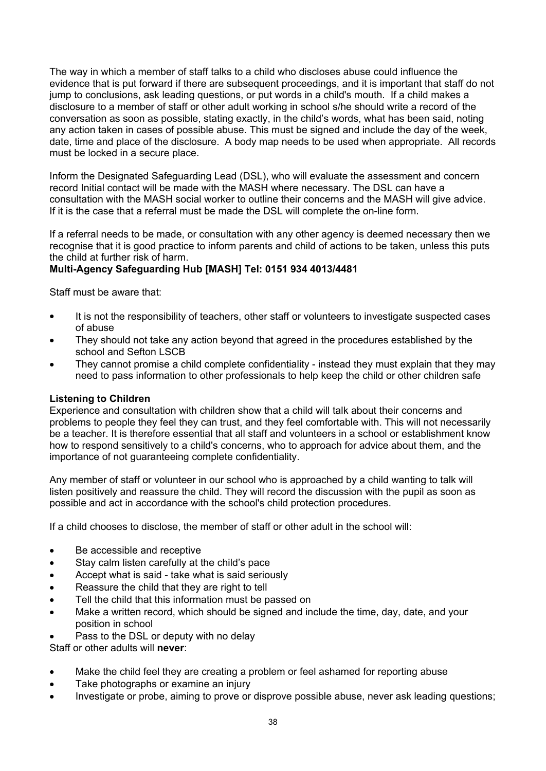The way in which a member of staff talks to a child who discloses abuse could influence the evidence that is put forward if there are subsequent proceedings, and it is important that staff do not jump to conclusions, ask leading questions, or put words in a child's mouth. If a child makes a disclosure to a member of staff or other adult working in school s/he should write a record of the conversation as soon as possible, stating exactly, in the child's words, what has been said, noting any action taken in cases of possible abuse. This must be signed and include the day of the week, date, time and place of the disclosure. A body map needs to be used when appropriate. All records must be locked in a secure place.

Inform the Designated Safeguarding Lead (DSL), who will evaluate the assessment and concern record Initial contact will be made with the MASH where necessary. The DSL can have a consultation with the MASH social worker to outline their concerns and the MASH will give advice. If it is the case that a referral must be made the DSL will complete the on-line form.

If a referral needs to be made, or consultation with any other agency is deemed necessary then we recognise that it is good practice to inform parents and child of actions to be taken, unless this puts the child at further risk of harm.

## **Multi-Agency Safeguarding Hub [MASH] Tel: 0151 934 4013/4481**

Staff must be aware that:

- It is not the responsibility of teachers, other staff or volunteers to investigate suspected cases of abuse
- They should not take any action beyond that agreed in the procedures established by the school and Sefton LSCB
- They cannot promise a child complete confidentiality instead they must explain that they may need to pass information to other professionals to help keep the child or other children safe

### **Listening to Children**

Experience and consultation with children show that a child will talk about their concerns and problems to people they feel they can trust, and they feel comfortable with. This will not necessarily be a teacher. It is therefore essential that all staff and volunteers in a school or establishment know how to respond sensitively to a child's concerns, who to approach for advice about them, and the importance of not guaranteeing complete confidentiality.

Any member of staff or volunteer in our school who is approached by a child wanting to talk will listen positively and reassure the child. They will record the discussion with the pupil as soon as possible and act in accordance with the school's child protection procedures.

If a child chooses to disclose, the member of staff or other adult in the school will:

- Be accessible and receptive
- Stay calm listen carefully at the child's pace
- Accept what is said take what is said seriously
- Reassure the child that they are right to tell
- Tell the child that this information must be passed on
- Make a written record, which should be signed and include the time, day, date, and your position in school
- Pass to the DSL or deputy with no delay

Staff or other adults will **never**:

- Make the child feel they are creating a problem or feel ashamed for reporting abuse
- Take photographs or examine an injury
- Investigate or probe, aiming to prove or disprove possible abuse, never ask leading questions;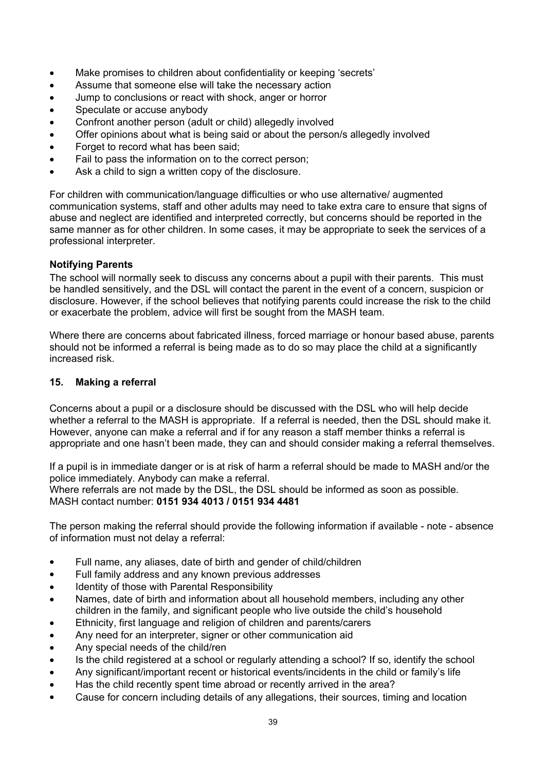- Make promises to children about confidentiality or keeping 'secrets'
- Assume that someone else will take the necessary action
- Jump to conclusions or react with shock, anger or horror
- Speculate or accuse anybody
- Confront another person (adult or child) allegedly involved
- Offer opinions about what is being said or about the person/s allegedly involved
- Forget to record what has been said;
- Fail to pass the information on to the correct person;
- Ask a child to sign a written copy of the disclosure.

For children with communication/language difficulties or who use alternative/ augmented communication systems, staff and other adults may need to take extra care to ensure that signs of abuse and neglect are identified and interpreted correctly, but concerns should be reported in the same manner as for other children. In some cases, it may be appropriate to seek the services of a professional interpreter.

## **Notifying Parents**

The school will normally seek to discuss any concerns about a pupil with their parents. This must be handled sensitively, and the DSL will contact the parent in the event of a concern, suspicion or disclosure. However, if the school believes that notifying parents could increase the risk to the child or exacerbate the problem, advice will first be sought from the MASH team.

Where there are concerns about fabricated illness, forced marriage or honour based abuse, parents should not be informed a referral is being made as to do so may place the child at a significantly increased risk.

### **15. Making a referral**

Concerns about a pupil or a disclosure should be discussed with the DSL who will help decide whether a referral to the MASH is appropriate. If a referral is needed, then the DSL should make it. However, anyone can make a referral and if for any reason a staff member thinks a referral is appropriate and one hasn't been made, they can and should consider making a referral themselves.

If a pupil is in immediate danger or is at risk of harm a referral should be made to MASH and/or the police immediately. Anybody can make a referral.

Where referrals are not made by the DSL, the DSL should be informed as soon as possible. MASH contact number: **0151 934 4013 / 0151 934 4481**

The person making the referral should provide the following information if available - note - absence of information must not delay a referral:

- Full name, any aliases, date of birth and gender of child/children
- Full family address and any known previous addresses
- Identity of those with [Parental Responsibility](http://trixresources.proceduresonline.com/nat_key/keywords/parental_respons.html)
- Names, date of birth and information about all household members, including any other children in the family, and significant people who live outside the child's household
- Ethnicity, first language and religion of children and parents/carers
- Any need for an interpreter, signer or other communication aid
- Any special needs of the child/ren
- Is the child registered at a school or regularly attending a school? If so, identify the school
- Any significant/important recent or historical events/incidents in the child or family's life
- Has the child recently spent time abroad or recently arrived in the area?
- Cause for concern including details of any allegations, their sources, timing and location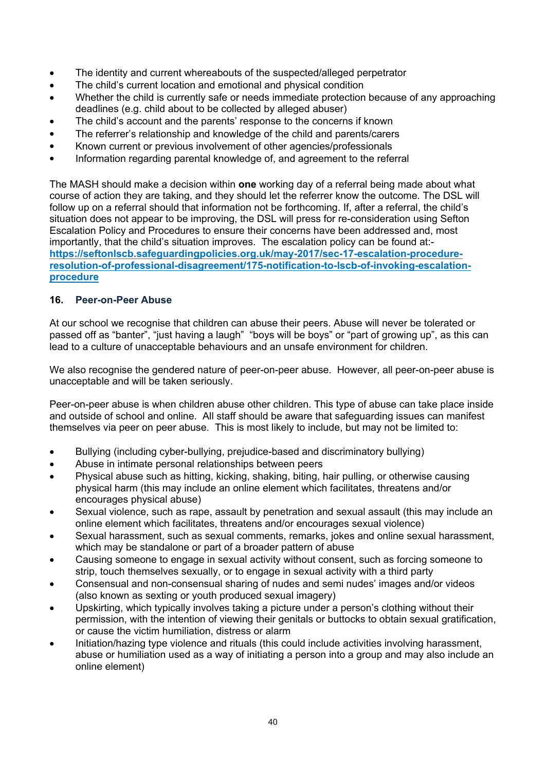- The identity and current whereabouts of the suspected/alleged perpetrator
- The child's current location and emotional and physical condition
- Whether the child is currently safe or needs immediate protection because of any approaching deadlines (e.g. child about to be collected by alleged abuser)
- The child's account and the parents' response to the concerns if known
- The referrer's relationship and knowledge of the child and parents/carers
- Known current or previous involvement of other agencies/professionals
- Information regarding parental knowledge of, and agreement to the referral

The MASH should make a decision within **one** working day of a referral being made about what course of action they are taking, and they should let the referrer know the outcome. The DSL will follow up on a referral should that information not be forthcoming. If, after a referral, the child's situation does not appear to be improving, the DSL will press for re-consideration using Sefton Escalation Policy and Procedures to ensure their concerns have been addressed and, most importantly, that the child's situation improves. The escalation policy can be found at: **[https://seftonlscb.safeguardingpolicies.org.uk/may-2017/sec-17-escalation-procedure](https://seftonlscb.safeguardingpolicies.org.uk/may-2017/sec-17-escalation-procedure-resolution-of-professional-disagreement/175-notification-to-lscb-of-invoking-escalation-procedure)[resolution-of-professional-disagreement/175-notification-to-lscb-of-invoking-escalation](https://seftonlscb.safeguardingpolicies.org.uk/may-2017/sec-17-escalation-procedure-resolution-of-professional-disagreement/175-notification-to-lscb-of-invoking-escalation-procedure)[procedure](https://seftonlscb.safeguardingpolicies.org.uk/may-2017/sec-17-escalation-procedure-resolution-of-professional-disagreement/175-notification-to-lscb-of-invoking-escalation-procedure)**

## **16. Peer-on-Peer Abuse**

At our school we recognise that children can abuse their peers. Abuse will never be tolerated or passed off as "banter", "just having a laugh" "boys will be boys" or "part of growing up", as this can lead to a culture of unacceptable behaviours and an unsafe environment for children.

We also recognise the gendered nature of peer-on-peer abuse. However, all peer-on-peer abuse is unacceptable and will be taken seriously.

Peer-on-peer abuse is when children abuse other children. This type of abuse can take place inside and outside of school and online. All staff should be aware that safeguarding issues can manifest themselves via peer on peer abuse. This is most likely to include, but may not be limited to:

- Bullying (including cyber-bullying, prejudice-based and discriminatory bullying)
- Abuse in intimate personal relationships between peers
- Physical abuse such as hitting, kicking, shaking, biting, hair pulling, or otherwise causing physical harm (this may include an online element which facilitates, threatens and/or encourages physical abuse)
- Sexual violence, such as rape, assault by penetration and sexual assault (this may include an online element which facilitates, threatens and/or encourages sexual violence)
- Sexual harassment, such as sexual comments, remarks, jokes and online sexual harassment, which may be standalone or part of a broader pattern of abuse
- Causing someone to engage in sexual activity without consent, such as forcing someone to strip, touch themselves sexually, or to engage in sexual activity with a third party
- Consensual and non-consensual sharing of nudes and semi nudes' images and/or videos (also known as sexting or youth produced sexual imagery)
- Upskirting, which typically involves taking a picture under a person's clothing without their permission, with the intention of viewing their genitals or buttocks to obtain sexual gratification, or cause the victim humiliation, distress or alarm
- Initiation/hazing type violence and rituals (this could include activities involving harassment, abuse or humiliation used as a way of initiating a person into a group and may also include an online element)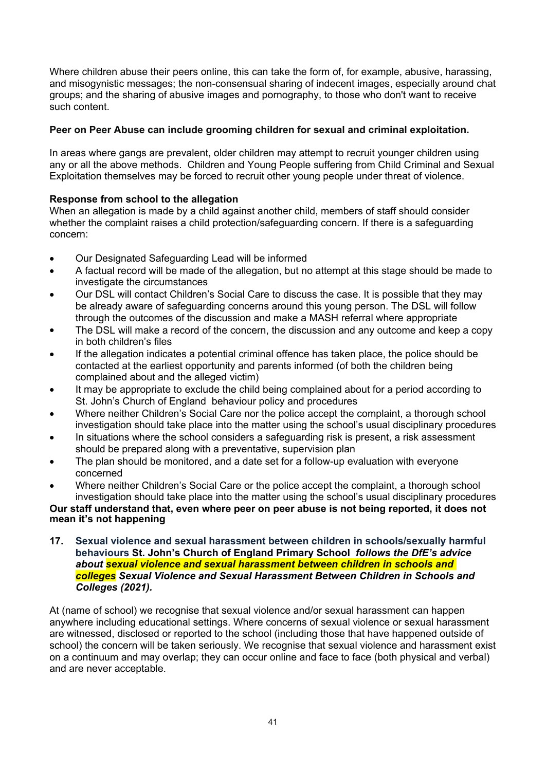Where children abuse their peers online, this can take the form of, for example, abusive, harassing, and misogynistic messages; the non-consensual sharing of indecent images, especially around chat groups; and the sharing of abusive images and pornography, to those who don't want to receive such content.

## **Peer on Peer Abuse can include grooming children for sexual and criminal exploitation.**

In areas where gangs are prevalent, older children may attempt to recruit younger children using any or all the above methods. Children and Young People suffering from Child Criminal and Sexual Exploitation themselves may be forced to recruit other young people under threat of violence.

## **Response from school to the allegation**

When an allegation is made by a child against another child, members of staff should consider whether the complaint raises a child protection/safeguarding concern. If there is a safeguarding concern:

- Our Designated Safeguarding Lead will be informed
- A factual record will be made of the allegation, but no attempt at this stage should be made to investigate the circumstances
- Our DSL will contact Children's Social Care to discuss the case. It is possible that they may be already aware of safeguarding concerns around this young person. The DSL will follow through the outcomes of the discussion and make a MASH referral where appropriate
- The DSL will make a record of the concern, the discussion and any outcome and keep a copy in both children's files
- If the allegation indicates a potential criminal offence has taken place, the police should be contacted at the earliest opportunity and parents informed (of both the children being complained about and the alleged victim)
- It may be appropriate to exclude the child being complained about for a period according to St. John's Church of England behaviour policy and procedures
- Where neither Children's Social Care nor the police accept the complaint, a thorough school investigation should take place into the matter using the school's usual disciplinary procedures
- In situations where the school considers a safeguarding risk is present, a risk assessment should be prepared along with a preventative, supervision plan
- The plan should be monitored, and a date set for a follow-up evaluation with everyone concerned
- Where neither Children's Social Care or the police accept the complaint, a thorough school investigation should take place into the matter using the school's usual disciplinary procedures

## **Our staff understand that, even where peer on peer abuse is not being reported, it does not mean it's not happening**

**17. Sexual violence and sexual harassment between children in schools/sexually harmful behaviours St. John's Church of England Primary School** *follows the DfE's advice about sexual violence and sexual harassment between children in schools and colleges Sexual Violence and Sexual Harassment Between Children in Schools and Colleges (2021).* 

At (name of school) we recognise that sexual violence and/or sexual harassment can happen anywhere including educational settings. Where concerns of sexual violence or sexual harassment are witnessed, disclosed or reported to the school (including those that have happened outside of school) the concern will be taken seriously. We recognise that sexual violence and harassment exist on a continuum and may overlap; they can occur online and face to face (both physical and verbal) and are never acceptable.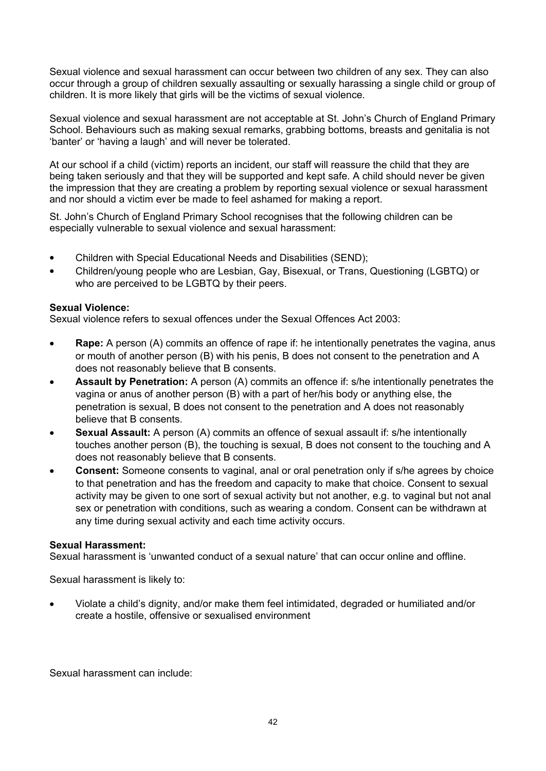Sexual violence and sexual harassment can occur between two children of any sex. They can also occur through a group of children sexually assaulting or sexually harassing a single child or group of children. It is more likely that girls will be the victims of sexual violence.

Sexual violence and sexual harassment are not acceptable at St. John's Church of England Primary School. Behaviours such as making sexual remarks, grabbing bottoms, breasts and genitalia is not 'banter' or 'having a laugh' and will never be tolerated.

At our school if a child (victim) reports an incident, our staff will reassure the child that they are being taken seriously and that they will be supported and kept safe. A child should never be given the impression that they are creating a problem by reporting sexual violence or sexual harassment and nor should a victim ever be made to feel ashamed for making a report.

St. John's Church of England Primary School recognises that the following children can be especially vulnerable to sexual violence and sexual harassment:

- Children with Special Educational Needs and Disabilities (SEND);
- Children/young people who are Lesbian, Gay, Bisexual, or Trans, Questioning (LGBTQ) or who are perceived to be LGBTQ by their peers.

### **Sexual Violence:**

Sexual violence refers to sexual offences under the Sexual Offences Act 2003:

- **Rape:** A person (A) commits an offence of rape if: he intentionally penetrates the vagina, anus or mouth of another person (B) with his penis, B does not consent to the penetration and A does not reasonably believe that B consents.
- **Assault by Penetration:** A person (A) commits an offence if: s/he intentionally penetrates the vagina or anus of another person (B) with a part of her/his body or anything else, the penetration is sexual, B does not consent to the penetration and A does not reasonably believe that B consents.
- **Sexual Assault:** A person (A) commits an offence of sexual assault if: s/he intentionally touches another person (B), the touching is sexual, B does not consent to the touching and A does not reasonably believe that B consents.
- **Consent:** Someone consents to vaginal, anal or oral penetration only if s/he agrees by choice to that penetration and has the freedom and capacity to make that choice. Consent to sexual activity may be given to one sort of sexual activity but not another, e.g. to vaginal but not anal sex or penetration with conditions, such as wearing a condom. Consent can be withdrawn at any time during sexual activity and each time activity occurs.

### **Sexual Harassment:**

Sexual harassment is 'unwanted conduct of a sexual nature' that can occur online and offline.

Sexual harassment is likely to:

 Violate a child's dignity, and/or make them feel intimidated, degraded or humiliated and/or create a hostile, offensive or sexualised environment

Sexual harassment can include: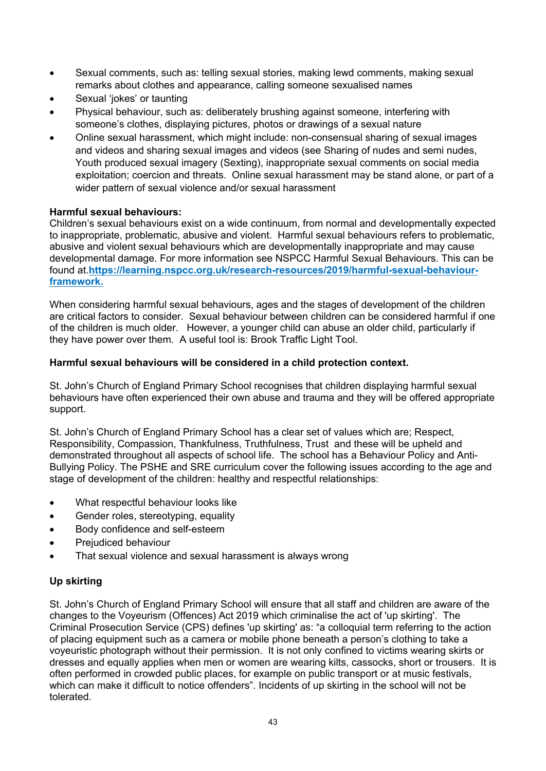- Sexual comments, such as: telling sexual stories, making lewd comments, making sexual remarks about clothes and appearance, calling someone sexualised names
- Sexual 'jokes' or taunting
- Physical behaviour, such as: deliberately brushing against someone, interfering with someone's clothes, displaying pictures, photos or drawings of a sexual nature
- Online sexual harassment, which might include: non-consensual sharing of sexual images and videos and sharing sexual images and videos (see Sharing of nudes and semi nudes, Youth produced sexual imagery (Sexting), inappropriate sexual comments on social media exploitation; coercion and threats. Online sexual harassment may be stand alone, or part of a wider pattern of sexual violence and/or sexual harassment

## **Harmful sexual behaviours:**

Children's sexual behaviours exist on a wide continuum, from normal and developmentally expected to inappropriate, problematic, abusive and violent. Harmful sexual behaviours refers to problematic, abusive and violent sexual behaviours which are developmentally inappropriate and may cause developmental damage. For more information see NSPCC Harmful Sexual Behaviours. This can be found at.**[https://learning.nspcc.org.uk/research-resources/2019/harmful-sexual-behaviour](https://learning.nspcc.org.uk/research-resources/2019/harmful-sexual-behaviour-framework)[framework.](https://learning.nspcc.org.uk/research-resources/2019/harmful-sexual-behaviour-framework)**

When considering harmful sexual behaviours, ages and the stages of development of the children are critical factors to consider. Sexual behaviour between children can be considered harmful if one of the children is much older. However, a younger child can abuse an older child, particularly if they have power over them. A useful tool is: Brook Traffic Light Tool.

## **Harmful sexual behaviours will be considered in a child protection context.**

St. John's Church of England Primary School recognises that children displaying harmful sexual behaviours have often experienced their own abuse and trauma and they will be offered appropriate support.

St. John's Church of England Primary School has a clear set of values which are; Respect, Responsibility, Compassion, Thankfulness, Truthfulness, Trust and these will be upheld and demonstrated throughout all aspects of school life. The school has a Behaviour Policy and Anti-Bullying Policy. The PSHE and SRE curriculum cover the following issues according to the age and stage of development of the children: healthy and respectful relationships:

- What respectful behaviour looks like
- Gender roles, stereotyping, equality
- Body confidence and self-esteem
- Prejudiced behaviour
- That sexual violence and sexual harassment is always wrong

## **Up skirting**

St. John's Church of England Primary School will ensure that all staff and children are aware of the changes to the Voyeurism (Offences) Act 2019 which criminalise the act of 'up skirting'. The Criminal Prosecution Service (CPS) defines 'up skirting' as: "a colloquial term referring to the action of placing equipment such as a camera or mobile phone beneath a person's clothing to take a voyeuristic photograph without their permission. It is not only confined to victims wearing skirts or dresses and equally applies when men or women are wearing kilts, cassocks, short or trousers. It is often performed in crowded public places, for example on public transport or at music festivals, which can make it difficult to notice offenders". Incidents of up skirting in the school will not be tolerated.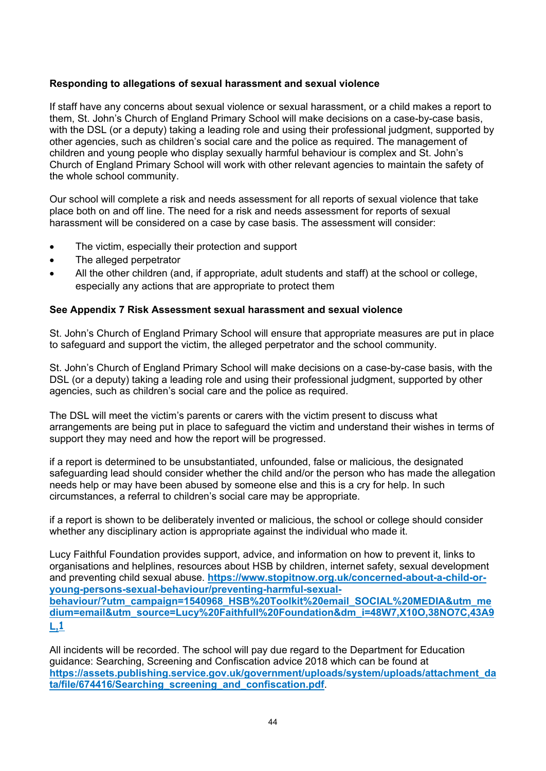## **Responding to allegations of sexual harassment and sexual violence**

If staff have any concerns about sexual violence or sexual harassment, or a child makes a report to them, St. John's Church of England Primary School will make decisions on a case-by-case basis, with the DSL (or a deputy) taking a leading role and using their professional judgment, supported by other agencies, such as children's social care and the police as required. The management of children and young people who display sexually harmful behaviour is complex and St. John's Church of England Primary School will work with other relevant agencies to maintain the safety of the whole school community.

Our school will complete a risk and needs assessment for all reports of sexual violence that take place both on and off line. The need for a risk and needs assessment for reports of sexual harassment will be considered on a case by case basis. The assessment will consider:

- The victim, especially their protection and support
- The alleged perpetrator
- All the other children (and, if appropriate, adult students and staff) at the school or college, especially any actions that are appropriate to protect them

### **See Appendix 7 Risk Assessment sexual harassment and sexual violence**

St. John's Church of England Primary School will ensure that appropriate measures are put in place to safeguard and support the victim, the alleged perpetrator and the school community.

St. John's Church of England Primary School will make decisions on a case-by-case basis, with the DSL (or a deputy) taking a leading role and using their professional judgment, supported by other agencies, such as children's social care and the police as required.

The DSL will meet the victim's parents or carers with the victim present to discuss what arrangements are being put in place to safeguard the victim and understand their wishes in terms of support they may need and how the report will be progressed.

if a report is determined to be unsubstantiated, unfounded, false or malicious, the designated safeguarding lead should consider whether the child and/or the person who has made the allegation needs help or may have been abused by someone else and this is a cry for help. In such circumstances, a referral to children's social care may be appropriate.

if a report is shown to be deliberately invented or malicious, the school or college should consider whether any disciplinary action is appropriate against the individual who made it.

Lucy Faithful Foundation provides support, advice, and information on how to prevent it, links to organisations and helplines, resources about HSB by children, internet safety, sexual development and preventing child sexual abuse. **[https://www.stopitnow.org.uk/concerned-about-a-child-or](https://www.stopitnow.org.uk/concerned-about-a-child-or-young-persons-sexual-behaviour/preventing-harmful-sexual-behaviour/?utm_campaign=1540968_HSB%20Toolkit%20email_SOCIAL%20MEDIA&utm_medium=email&utm_source=Lucy%20Faithfull%20Foundation&dm_i=48W7,X10O,38NO7C,43A9L,1)[young-persons-sexual-behaviour/preventing-harmful-sexual](https://www.stopitnow.org.uk/concerned-about-a-child-or-young-persons-sexual-behaviour/preventing-harmful-sexual-behaviour/?utm_campaign=1540968_HSB%20Toolkit%20email_SOCIAL%20MEDIA&utm_medium=email&utm_source=Lucy%20Faithfull%20Foundation&dm_i=48W7,X10O,38NO7C,43A9L,1)[behaviour/?utm\\_campaign=1540968\\_HSB%20Toolkit%20email\\_SOCIAL%20MEDIA&utm\\_me](https://www.stopitnow.org.uk/concerned-about-a-child-or-young-persons-sexual-behaviour/preventing-harmful-sexual-behaviour/?utm_campaign=1540968_HSB%20Toolkit%20email_SOCIAL%20MEDIA&utm_medium=email&utm_source=Lucy%20Faithfull%20Foundation&dm_i=48W7,X10O,38NO7C,43A9L,1) [dium=email&utm\\_source=Lucy%20Faithfull%20Foundation&dm\\_i=48W7,X10O,38NO7C,43A9](https://www.stopitnow.org.uk/concerned-about-a-child-or-young-persons-sexual-behaviour/preventing-harmful-sexual-behaviour/?utm_campaign=1540968_HSB%20Toolkit%20email_SOCIAL%20MEDIA&utm_medium=email&utm_source=Lucy%20Faithfull%20Foundation&dm_i=48W7,X10O,38NO7C,43A9L,1) [L,](https://www.stopitnow.org.uk/concerned-about-a-child-or-young-persons-sexual-behaviour/preventing-harmful-sexual-behaviour/?utm_campaign=1540968_HSB%20Toolkit%20email_SOCIAL%20MEDIA&utm_medium=email&utm_source=Lucy%20Faithfull%20Foundation&dm_i=48W7,X10O,38NO7C,43A9L,1)[1](https://www.stopitnow.org.uk/concerned-about-a-child-or-young-persons-sexual-behaviour/preventing-harmful-sexual-behaviour/?utm_campaign=1540968_HSB%20Toolkit%20email_SOCIAL%20MEDIA&utm_medium=email&utm_source=Lucy%20Faithfull%20Foundation&dm_i=48W7,X10O,38NO7C,43A9L,1)**

All incidents will be recorded. The school will pay due regard to the Department for Education guidance: Searching, Screening and Confiscation advice 2018 which can be found at **[https://assets.publishing.service.gov.uk/government/uploads/system/uploads/attachment\\_da](https://assets.publishing.service.gov.uk/government/uploads/system/uploads/attachment_data/file/674416/Searching_screening_and_confiscation.pdf) [ta/file/674416/Searching\\_screening\\_and\\_confiscation.pdf](https://assets.publishing.service.gov.uk/government/uploads/system/uploads/attachment_data/file/674416/Searching_screening_and_confiscation.pdf)**.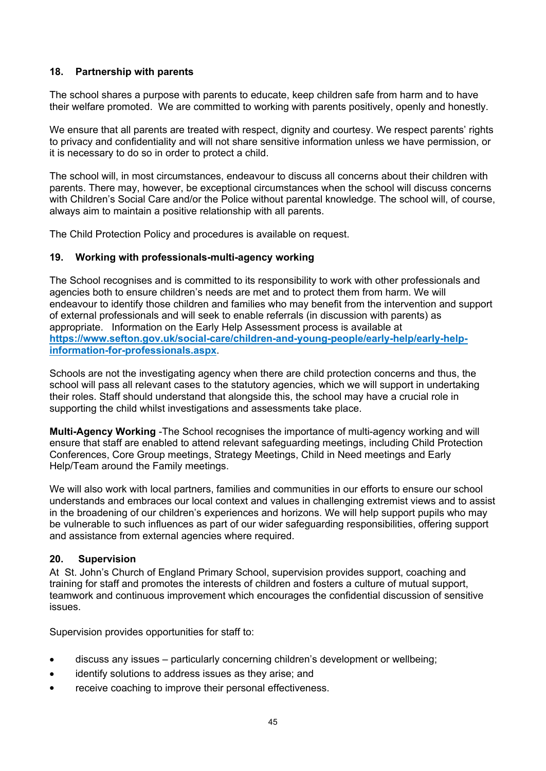### **18. Partnership with parents**

The school shares a purpose with parents to educate, keep children safe from harm and to have their welfare promoted. We are committed to working with parents positively, openly and honestly.

We ensure that all parents are treated with respect, dignity and courtesy. We respect parents' rights to privacy and confidentiality and will not share sensitive information unless we have permission, or it is necessary to do so in order to protect a child.

The school will, in most circumstances, endeavour to discuss all concerns about their children with parents. There may, however, be exceptional circumstances when the school will discuss concerns with Children's Social Care and/or the Police without parental knowledge. The school will, of course, always aim to maintain a positive relationship with all parents.

The Child Protection Policy and procedures is available on request.

### **19. Working with professionals-multi-agency working**

The School recognises and is committed to its responsibility to work with other professionals and agencies both to ensure children's needs are met and to protect them from harm. We will endeavour to identify those children and families who may benefit from the intervention and support of external professionals and will seek to enable referrals (in discussion with parents) as appropriate. Information on the Early Help Assessment process is available at **[https://www.sefton.gov.uk/social-care/children-and-young-people/early-help/early-help](https://www.sefton.gov.uk/social-care/children-and-young-people/early-help/early-help-information-for-professionals.aspx)[information-for-professionals.aspx](https://www.sefton.gov.uk/social-care/children-and-young-people/early-help/early-help-information-for-professionals.aspx)**.

Schools are not the investigating agency when there are child protection concerns and thus, the school will pass all relevant cases to the statutory agencies, which we will support in undertaking their roles. Staff should understand that alongside this, the school may have a crucial role in supporting the child whilst investigations and assessments take place.

**Multi-Agency Working** -The School recognises the importance of multi-agency working and will ensure that staff are enabled to attend relevant safeguarding meetings, including Child Protection Conferences, Core Group meetings, Strategy Meetings, Child in Need meetings and Early Help/Team around the Family meetings.

We will also work with local partners, families and communities in our efforts to ensure our school understands and embraces our local context and values in challenging extremist views and to assist in the broadening of our children's experiences and horizons. We will help support pupils who may be vulnerable to such influences as part of our wider safeguarding responsibilities, offering support and assistance from external agencies where required.

### **20. Supervision**

At St. John's Church of England Primary School, supervision provides support, coaching and training for staff and promotes the interests of children and fosters a culture of mutual support, teamwork and continuous improvement which encourages the confidential discussion of sensitive issues.

Supervision provides opportunities for staff to:

- discuss any issues particularly concerning children's development or wellbeing;
- identify solutions to address issues as they arise; and
- receive coaching to improve their personal effectiveness.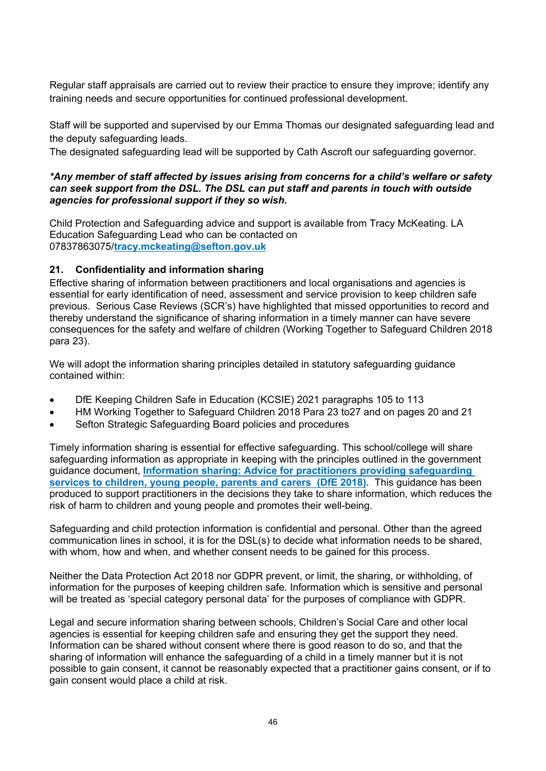Regular staff appraisals are carried out to review their practice to ensure they improve; identify any training needs and secure opportunities for continued professional development.

Staff will be supported and supervised by our Emma Thomas our designated safeguarding lead and the deputy safeguarding leads.

The designated safeguarding lead will be supported by Cath Ascroft our safeguarding governor.

#### *\*Any member of staff affected by issues arising from concerns for a child's welfare or safety can seek support from the DSL. The DSL can put staff and parents in touch with outside agencies for professional support if they so wish.*

Child Protection and Safeguarding advice and support is available from Tracy McKeating. LA Education Safeguarding Lead who can be contacted on 07837863075/**[tracy.mckeating@sefton.gov.uk](mailto:tracy.mckeating@sefton.gov.uk)**

## **21. Confidentiality and information sharing**

Effective sharing of information between practitioners and local organisations and agencies is essential for early identification of need, assessment and service provision to keep children safe previous. Serious Case Reviews (SCR's) have highlighted that missed opportunities to record and thereby understand the significance of sharing information in a timely manner can have severe consequences for the safety and welfare of children (Working Together to Safeguard Children 2018 para 23).

We will adopt the information sharing principles detailed in statutory safeguarding guidance contained within:

- DfE Keeping Children Safe in Education (KCSIE) 2021 paragraphs 105 to 113
- HM Working Together to Safeguard Children 2018 Para 23 to27 and on pages 20 and 21
- Sefton Strategic Safeguarding Board policies and procedures

Timely information sharing is essential for effective safeguarding. This school/college will share safeguarding information as appropriate in keeping with the principles outlined in the government guidance document, **[Information sharing: Advice for practitioners providing safeguarding](https://www.gov.uk/government/publications/safeguarding-practitioners-information-sharing-advice)  [services to children, young people, parents and carers \(DfE 2018\)](https://www.gov.uk/government/publications/safeguarding-practitioners-information-sharing-advice)**. This guidance has been produced to support practitioners in the decisions they take to share information, which reduces the risk of harm to children and young people and promotes their well-being.

Safeguarding and child protection information is confidential and personal. Other than the agreed communication lines in school, it is for the DSL(s) to decide what information needs to be shared, with whom, how and when, and whether consent needs to be gained for this process.

Neither the Data Protection Act 2018 nor GDPR prevent, or limit, the sharing, or withholding, of information for the purposes of keeping children safe. Information which is sensitive and personal will be treated as 'special category personal data' for the purposes of compliance with GDPR.

Legal and secure information sharing between schools, Children's Social Care and other local agencies is essential for keeping children safe and ensuring they get the support they need. Information can be shared without consent where there is good reason to do so, and that the sharing of information will enhance the safeguarding of a child in a timely manner but it is not possible to gain consent, it cannot be reasonably expected that a practitioner gains consent, or if to gain consent would place a child at risk.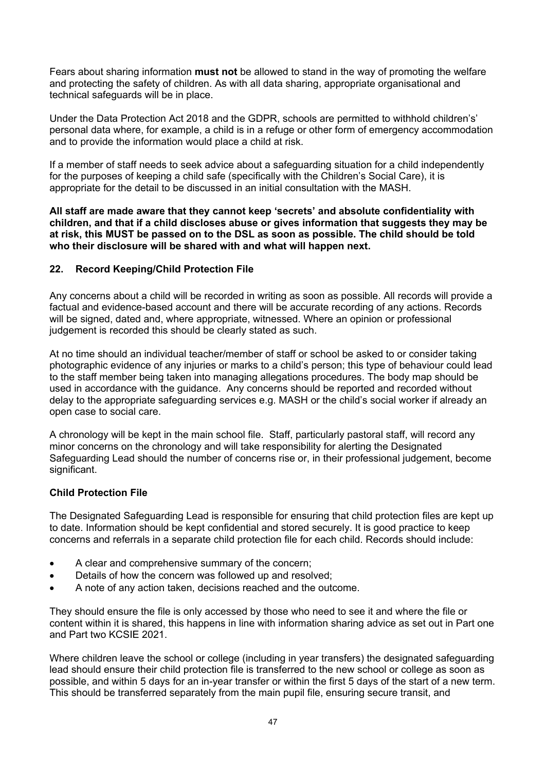Fears about sharing information **must not** be allowed to stand in the way of promoting the welfare and protecting the safety of children. As with all data sharing, appropriate organisational and technical safeguards will be in place.

Under the Data Protection Act 2018 and the GDPR, schools are permitted to withhold children's' personal data where, for example, a child is in a refuge or other form of emergency accommodation and to provide the information would place a child at risk.

If a member of staff needs to seek advice about a safeguarding situation for a child independently for the purposes of keeping a child safe (specifically with the Children's Social Care), it is appropriate for the detail to be discussed in an initial consultation with the MASH.

**All staff are made aware that they cannot keep 'secrets' and absolute confidentiality with children, and that if a child discloses abuse or gives information that suggests they may be at risk, this MUST be passed on to the DSL as soon as possible. The child should be told who their disclosure will be shared with and what will happen next.**

## **22. Record Keeping/Child Protection File**

Any concerns about a child will be recorded in writing as soon as possible. All records will provide a factual and evidence-based account and there will be accurate recording of any actions. Records will be signed, dated and, where appropriate, witnessed. Where an opinion or professional judgement is recorded this should be clearly stated as such.

At no time should an individual teacher/member of staff or school be asked to or consider taking photographic evidence of any injuries or marks to a child's person; this type of behaviour could lead to the staff member being taken into managing allegations procedures. The body map should be used in accordance with the guidance. Any concerns should be reported and recorded without delay to the appropriate safeguarding services e.g. MASH or the child's social worker if already an open case to social care.

A chronology will be kept in the main school file. Staff, particularly pastoral staff, will record any minor concerns on the chronology and will take responsibility for alerting the Designated Safeguarding Lead should the number of concerns rise or, in their professional judgement, become significant.

### **Child Protection File**

The Designated Safeguarding Lead is responsible for ensuring that child protection files are kept up to date. Information should be kept confidential and stored securely. It is good practice to keep concerns and referrals in a separate child protection file for each child. Records should include:

- A clear and comprehensive summary of the concern;
- Details of how the concern was followed up and resolved;
- A note of any action taken, decisions reached and the outcome.

They should ensure the file is only accessed by those who need to see it and where the file or content within it is shared, this happens in line with information sharing advice as set out in Part one and Part two KCSIE 2021.

Where children leave the school or college (including in year transfers) the designated safeguarding lead should ensure their child protection file is transferred to the new school or college as soon as possible, and within 5 days for an in-year transfer or within the first 5 days of the start of a new term. This should be transferred separately from the main pupil file, ensuring secure transit, and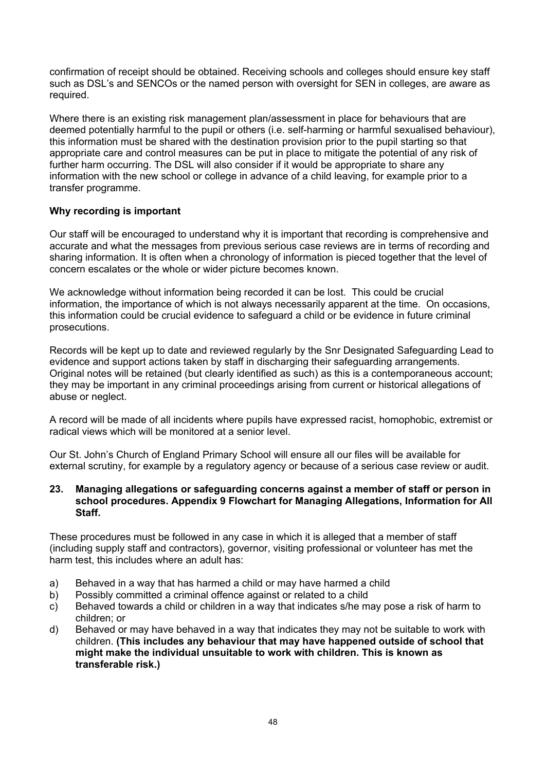confirmation of receipt should be obtained. Receiving schools and colleges should ensure key staff such as DSL's and SENCOs or the named person with oversight for SEN in colleges, are aware as required.

Where there is an existing risk management plan/assessment in place for behaviours that are deemed potentially harmful to the pupil or others (i.e. self-harming or harmful sexualised behaviour), this information must be shared with the destination provision prior to the pupil starting so that appropriate care and control measures can be put in place to mitigate the potential of any risk of further harm occurring. The DSL will also consider if it would be appropriate to share any information with the new school or college in advance of a child leaving, for example prior to a transfer programme.

## **Why recording is important**

Our staff will be encouraged to understand why it is important that recording is comprehensive and accurate and what the messages from previous serious case reviews are in terms of recording and sharing information. It is often when a chronology of information is pieced together that the level of concern escalates or the whole or wider picture becomes known.

We acknowledge without information being recorded it can be lost. This could be crucial information, the importance of which is not always necessarily apparent at the time. On occasions, this information could be crucial evidence to safeguard a child or be evidence in future criminal prosecutions.

Records will be kept up to date and reviewed regularly by the Snr Designated Safeguarding Lead to evidence and support actions taken by staff in discharging their safeguarding arrangements. Original notes will be retained (but clearly identified as such) as this is a contemporaneous account; they may be important in any criminal proceedings arising from current or historical allegations of abuse or neglect.

A record will be made of all incidents where pupils have expressed racist, homophobic, extremist or radical views which will be monitored at a senior level.

Our St. John's Church of England Primary School will ensure all our files will be available for external scrutiny, for example by a regulatory agency or because of a serious case review or audit.

#### **23. Managing allegations or safeguarding concerns against a member of staff or person in school procedures. Appendix 9 Flowchart for Managing Allegations, Information for All Staff.**

These procedures must be followed in any case in which it is alleged that a member of staff (including supply staff and contractors), governor, visiting professional or volunteer has met the harm test, this includes where an adult has:

- a) Behaved in a way that has harmed a child or may have harmed a child
- b) Possibly committed a criminal offence against or related to a child
- c) Behaved towards a child or children in a way that indicates s/he may pose a risk of harm to children; or
- d) Behaved or may have behaved in a way that indicates they may not be suitable to work with children. **(This includes any behaviour that may have happened outside of school that might make the individual unsuitable to work with children. This is known as transferable risk.)**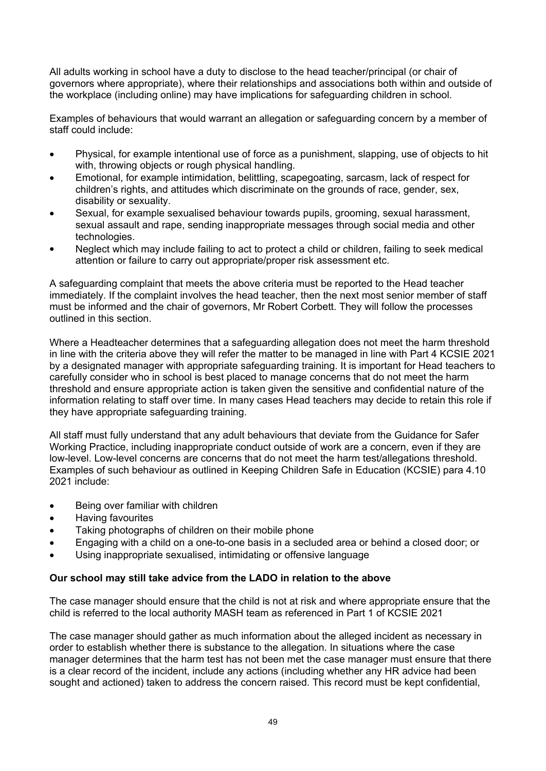All adults working in school have a duty to disclose to the head teacher/principal (or chair of governors where appropriate), where their relationships and associations both within and outside of the workplace (including online) may have implications for safeguarding children in school.

Examples of behaviours that would warrant an allegation or safeguarding concern by a member of staff could include:

- Physical, for example intentional use of force as a punishment, slapping, use of objects to hit with, throwing objects or rough physical handling.
- Emotional, for example intimidation, belittling, scapegoating, sarcasm, lack of respect for children's rights, and attitudes which discriminate on the grounds of race, gender, sex, disability or sexuality.
- Sexual, for example sexualised behaviour towards pupils, grooming, sexual harassment, sexual assault and rape, sending inappropriate messages through social media and other technologies.
- Neglect which may include failing to act to protect a child or children, failing to seek medical attention or failure to carry out appropriate/proper risk assessment etc.

A safeguarding complaint that meets the above criteria must be reported to the Head teacher immediately. If the complaint involves the head teacher, then the next most senior member of staff must be informed and the chair of governors, Mr Robert Corbett. They will follow the processes outlined in this section.

Where a Headteacher determines that a safeguarding allegation does not meet the harm threshold in line with the criteria above they will refer the matter to be managed in line with Part 4 KCSIE 2021 by a designated manager with appropriate safeguarding training. It is important for Head teachers to carefully consider who in school is best placed to manage concerns that do not meet the harm threshold and ensure appropriate action is taken given the sensitive and confidential nature of the information relating to staff over time. In many cases Head teachers may decide to retain this role if they have appropriate safeguarding training.

All staff must fully understand that any adult behaviours that deviate from the Guidance for Safer Working Practice, including inappropriate conduct outside of work are a concern, even if they are low-level. Low-level concerns are concerns that do not meet the harm test/allegations threshold. Examples of such behaviour as outlined in Keeping Children Safe in Education (KCSIE) para 4.10 2021 include:

- Being over familiar with children
- Having favourites
- Taking photographs of children on their mobile phone
- Engaging with a child on a one-to-one basis in a secluded area or behind a closed door; or
- Using inappropriate sexualised, intimidating or offensive language

### **Our school may still take advice from the LADO in relation to the above**

The case manager should ensure that the child is not at risk and where appropriate ensure that the child is referred to the local authority MASH team as referenced in Part 1 of KCSIE 2021

The case manager should gather as much information about the alleged incident as necessary in order to establish whether there is substance to the allegation. In situations where the case manager determines that the harm test has not been met the case manager must ensure that there is a clear record of the incident, include any actions (including whether any HR advice had been sought and actioned) taken to address the concern raised. This record must be kept confidential,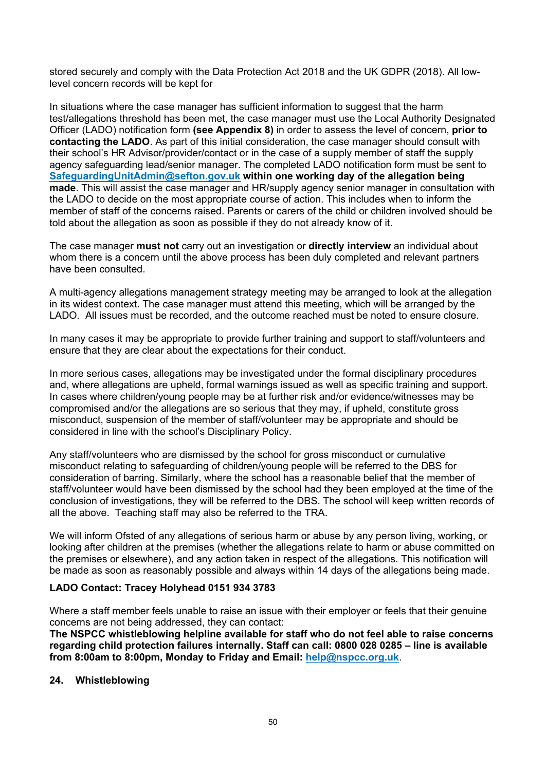stored securely and comply with the Data Protection Act 2018 and the UK GDPR (2018). All lowlevel concern records will be kept for

In situations where the case manager has sufficient information to suggest that the harm test/allegations threshold has been met, the case manager must use the Local Authority Designated Officer (LADO) notification form **(see Appendix 8)** in order to assess the level of concern, **prior to contacting the LADO**. As part of this initial consideration, the case manager should consult with their school's HR Advisor/provider/contact or in the case of a supply member of staff the supply agency safeguarding lead/senior manager. The completed LADO notification form must be sent to **[SafeguardingUnitAdmin@sefton.gov.uk](mailto:SafeguardingUnitAdmin@sefton.gov.uk) within one working day of the allegation being made**. This will assist the case manager and HR/supply agency senior manager in consultation with the LADO to decide on the most appropriate course of action. This includes when to inform the member of staff of the concerns raised. Parents or carers of the child or children involved should be told about the allegation as soon as possible if they do not already know of it.

The case manager **must not** carry out an investigation or **directly interview** an individual about whom there is a concern until the above process has been duly completed and relevant partners have been consulted.

A multi-agency allegations management strategy meeting may be arranged to look at the allegation in its widest context. The case manager must attend this meeting, which will be arranged by the LADO. All issues must be recorded, and the outcome reached must be noted to ensure closure.

In many cases it may be appropriate to provide further training and support to staff/volunteers and ensure that they are clear about the expectations for their conduct.

In more serious cases, allegations may be investigated under the formal disciplinary procedures and, where allegations are upheld, formal warnings issued as well as specific training and support. In cases where children/young people may be at further risk and/or evidence/witnesses may be compromised and/or the allegations are so serious that they may, if upheld, constitute gross misconduct, suspension of the member of staff/volunteer may be appropriate and should be considered in line with the school's Disciplinary Policy.

Any staff/volunteers who are dismissed by the school for gross misconduct or cumulative misconduct relating to safeguarding of children/young people will be referred to the DBS for consideration of barring. Similarly, where the school has a reasonable belief that the member of staff/volunteer would have been dismissed by the school had they been employed at the time of the conclusion of investigations, they will be referred to the DBS. The school will keep written records of all the above. Teaching staff may also be referred to the TRA.

We will inform Ofsted of any allegations of serious harm or abuse by any person living, working, or looking after children at the premises (whether the allegations relate to harm or abuse committed on the premises or elsewhere), and any action taken in respect of the allegations. This notification will be made as soon as reasonably possible and always within 14 days of the allegations being made.

### **LADO Contact: Tracey Holyhead 0151 934 3783**

Where a staff member feels unable to raise an issue with their employer or feels that their genuine concerns are not being addressed, they can contact:

**The NSPCC whistleblowing helpline available for staff who do not feel able to raise concerns regarding child protection failures internally. Staff can call: 0800 028 0285 – line is available from 8:00am to 8:00pm, Monday to Friday and Email: [help@nspcc.org.uk](mailto:help@nspcc.org.uk)**.

#### **24. Whistleblowing**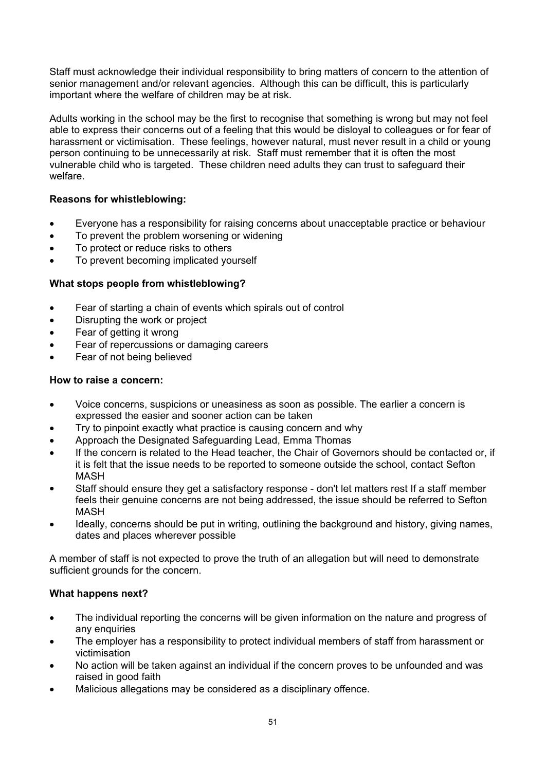Staff must acknowledge their individual responsibility to bring matters of concern to the attention of senior management and/or relevant agencies. Although this can be difficult, this is particularly important where the welfare of children may be at risk.

Adults working in the school may be the first to recognise that something is wrong but may not feel able to express their concerns out of a feeling that this would be disloyal to colleagues or for fear of harassment or victimisation. These feelings, however natural, must never result in a child or young person continuing to be unnecessarily at risk. Staff must remember that it is often the most vulnerable child who is targeted. These children need adults they can trust to safeguard their welfare.

## **Reasons for whistleblowing:**

- Everyone has a responsibility for raising concerns about unacceptable practice or behaviour
- To prevent the problem worsening or widening
- To protect or reduce risks to others
- To prevent becoming implicated yourself

## **What stops people from whistleblowing?**

- Fear of starting a chain of events which spirals out of control
- Disrupting the work or project
- Fear of getting it wrong
- Fear of repercussions or damaging careers
- Fear of not being believed

## **How to raise a concern:**

- Voice concerns, suspicions or uneasiness as soon as possible. The earlier a concern is expressed the easier and sooner action can be taken
- Try to pinpoint exactly what practice is causing concern and why
- Approach the Designated Safeguarding Lead, Emma Thomas
- If the concern is related to the Head teacher, the Chair of Governors should be contacted or, if it is felt that the issue needs to be reported to someone outside the school, contact Sefton MASH
- Staff should ensure they get a satisfactory response don't let matters rest If a staff member feels their genuine concerns are not being addressed, the issue should be referred to Sefton MASH
- Ideally, concerns should be put in writing, outlining the background and history, giving names, dates and places wherever possible

A member of staff is not expected to prove the truth of an allegation but will need to demonstrate sufficient grounds for the concern.

## **What happens next?**

- The individual reporting the concerns will be given information on the nature and progress of any enquiries
- The employer has a responsibility to protect individual members of staff from harassment or victimisation
- No action will be taken against an individual if the concern proves to be unfounded and was raised in good faith
- Malicious allegations may be considered as a disciplinary offence.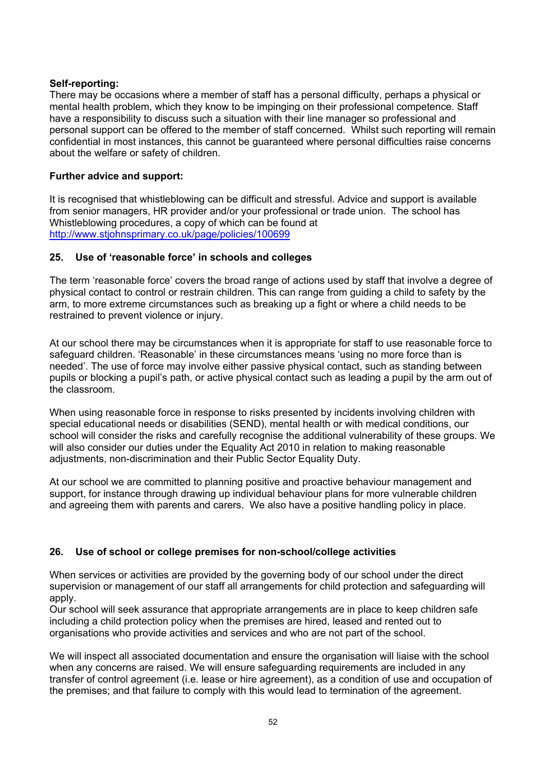## **Self-reporting:**

There may be occasions where a member of staff has a personal difficulty, perhaps a physical or mental health problem, which they know to be impinging on their professional competence. Staff have a responsibility to discuss such a situation with their line manager so professional and personal support can be offered to the member of staff concerned. Whilst such reporting will remain confidential in most instances, this cannot be guaranteed where personal difficulties raise concerns about the welfare or safety of children.

### **Further advice and support:**

It is recognised that whistleblowing can be difficult and stressful. Advice and support is available from senior managers, HR provider and/or your professional or trade union. The school has Whistleblowing procedures, a copy of which can be found at <http://www.stjohnsprimary.co.uk/page/policies/100699>

### **25. Use of 'reasonable force' in schools and colleges**

The term 'reasonable force' covers the broad range of actions used by staff that involve a degree of physical contact to control or restrain children. This can range from guiding a child to safety by the arm, to more extreme circumstances such as breaking up a fight or where a child needs to be restrained to prevent violence or injury.

At our school there may be circumstances when it is appropriate for staff to use reasonable force to safeguard children. 'Reasonable' in these circumstances means 'using no more force than is needed'. The use of force may involve either passive physical contact, such as standing between pupils or blocking a pupil's path, or active physical contact such as leading a pupil by the arm out of the classroom.

When using reasonable force in response to risks presented by incidents involving children with special educational needs or disabilities (SEND), mental health or with medical conditions, our school will consider the risks and carefully recognise the additional vulnerability of these groups. We will also consider our duties under the Equality Act 2010 in relation to making reasonable adjustments, non-discrimination and their Public Sector Equality Duty.

At our school we are committed to planning positive and proactive behaviour management and support, for instance through drawing up individual behaviour plans for more vulnerable children and agreeing them with parents and carers. We also have a positive handling policy in place.

## **26. Use of school or college premises for non-school/college activities**

When services or activities are provided by the governing body of our school under the direct supervision or management of our staff all arrangements for child protection and safeguarding will apply.

Our school will seek assurance that appropriate arrangements are in place to keep children safe including a child protection policy when the premises are hired, leased and rented out to organisations who provide activities and services and who are not part of the school.

We will inspect all associated documentation and ensure the organisation will liaise with the school when any concerns are raised. We will ensure safeguarding requirements are included in any transfer of control agreement (i.e. lease or hire agreement), as a condition of use and occupation of the premises; and that failure to comply with this would lead to termination of the agreement.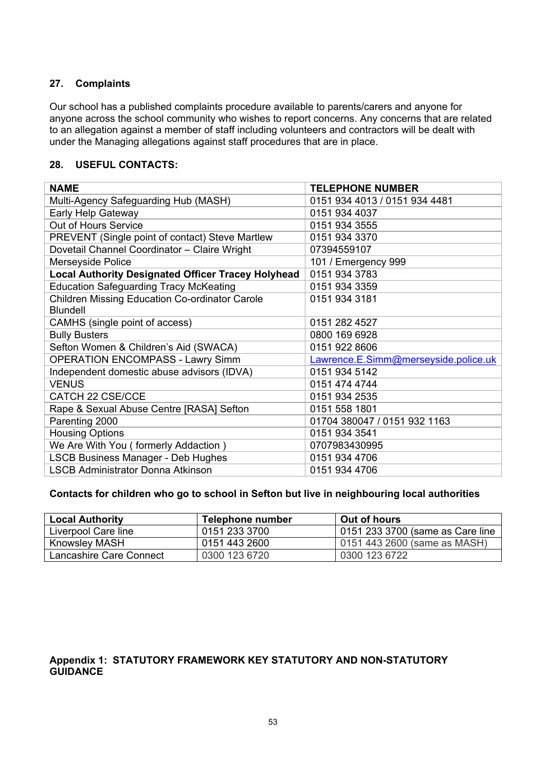## **27. Complaints**

Our school has a published complaints procedure available to parents/carers and anyone for anyone across the school community who wishes to report concerns. Any concerns that are related to an allegation against a member of staff including volunteers and contractors will be dealt with under the Managing allegations against staff procedures that are in place.

## **28. USEFUL CONTACTS:**

| <b>NAME</b>                                               | <b>TELEPHONE NUMBER</b>              |
|-----------------------------------------------------------|--------------------------------------|
| Multi-Agency Safeguarding Hub (MASH)                      | 0151 934 4013 / 0151 934 4481        |
| Early Help Gateway                                        | 0151 934 4037                        |
| Out of Hours Service                                      | 0151 934 3555                        |
| PREVENT (Single point of contact) Steve Martlew           | 0151 934 3370                        |
| Dovetail Channel Coordinator - Claire Wright              | 07394559107                          |
| Merseyside Police                                         | 101 / Emergency 999                  |
| <b>Local Authority Designated Officer Tracey Holyhead</b> | 0151 934 3783                        |
| <b>Education Safeguarding Tracy McKeating</b>             | 0151 934 3359                        |
| <b>Children Missing Education Co-ordinator Carole</b>     | 0151 934 3181                        |
| <b>Blundell</b>                                           |                                      |
| CAMHS (single point of access)                            | 0151 282 4527                        |
| <b>Bully Busters</b>                                      | 0800 169 6928                        |
| Sefton Women & Children's Aid (SWACA)                     | 0151 922 8606                        |
| <b>OPERATION ENCOMPASS - Lawry Simm</b>                   | Lawrence.E.Simm@merseyside.police.uk |
| Independent domestic abuse advisors (IDVA)                | 0151 934 5142                        |
| <b>VENUS</b>                                              | 0151 474 4744                        |
| CATCH 22 CSE/CCE                                          | 0151 934 2535                        |
| Rape & Sexual Abuse Centre [RASA] Sefton                  | 0151 558 1801                        |
| Parenting 2000                                            | 01704 380047 / 0151 932 1163         |
| <b>Housing Options</b>                                    | 0151 934 3541                        |
| We Are With You (formerly Addaction)                      | 0707983430995                        |
| <b>LSCB Business Manager - Deb Hughes</b>                 | 0151 934 4706                        |
| <b>LSCB Administrator Donna Atkinson</b>                  | 0151 934 4706                        |

### **Contacts for children who go to school in Sefton but live in neighbouring local authorities**

| <b>Local Authority</b>  | Telephone number | Out of hours                     |
|-------------------------|------------------|----------------------------------|
| Liverpool Care line     | 0151 233 3700    | 0151 233 3700 (same as Care line |
| <b>Knowsley MASH</b>    | 0151 443 2600    | 0151 443 2600 (same as MASH)     |
| Lancashire Care Connect | 0300 123 6720    | 0300 123 6722                    |

### **Appendix 1: STATUTORY FRAMEWORK KEY STATUTORY AND NON-STATUTORY GUIDANCE**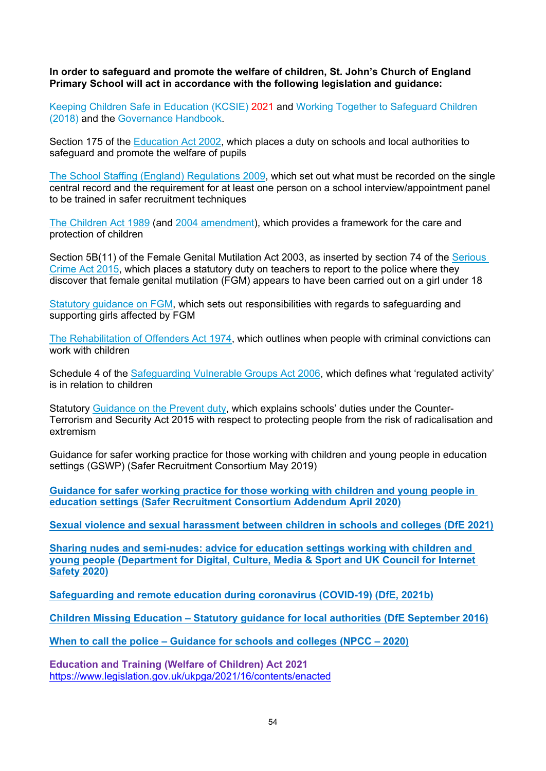**In order to safeguard and promote the welfare of children, St. John's Church of England Primary School will act in accordance with the following legislation and guidance:**

[Keeping Children Safe in Education \(KCSIE\) 2021 a](https://www.gov.uk/government/publications/keeping-children-safe-in-education--2)nd [Working Together to Safeguard Children](https://www.gov.uk/government/publications/working-together-to-safeguard-children--2)  [\(2018\)](https://www.gov.uk/government/publications/working-together-to-safeguard-children--2) and the [Governance Handbook.](https://www.gov.uk/government/publications/governance-handbook)<br>Section 175 of the [Education Act 2002](http://www.legislation.gov.uk/ukpga/2002/32/section/175), which places a duty on schools and local authorities to

safequard and promote the welfare of pupils

[The School Staffing \(England\) Regulations 2009](http://www.legislation.gov.uk/uksi/2009/2680/contents/made), which set out what must be recorded on the single central record and the requirement for at least one person on a school interview/appointment panel to be trained in safer recruitment techniques

[The Children Act 1989](http://www.legislation.gov.uk/ukpga/1989/41/contents) (and [2004 amendment](http://www.legislation.gov.uk/ukpga/2004/31/contents)), which provides a framework for the care and protection of children

Section 5B(11) of the Female Genital Mutilation Act 2003, as inserted by section 74 of the [Serious](http://www.legislation.gov.uk/ukpga/2015/9/part/5/crossheading/female-genital-mutilation)  [Crime Act 2015,](http://www.legislation.gov.uk/ukpga/2015/9/part/5/crossheading/female-genital-mutilation) which places a statutory duty on teachers to report to the police where they discover that female genital mutilation (FGM) appears to have been carried out on a girl under 18

[Statutory guidance on FGM,](https://assets.publishing.service.gov.uk/government/uploads/system/uploads/attachment_data/file/800306/6-1914-HO-Multi_Agency_Statutory_Guidance.pdf) which sets out responsibilities with regards to safeguarding and supporting girls affected by FGM

[The Rehabilitation of Offenders Act 1974,](http://www.legislation.gov.uk/ukpga/1974/53) which outlines when people with criminal convictions can work with children

Schedule 4 of the [Safeguarding Vulnerable Groups Act 2006](http://www.legislation.gov.uk/ukpga/2006/47/schedule/4), which defines what 'regulated activity' is in relation to children

Statutory [Guidance on the Prevent duty,](https://www.gov.uk/government/publications/prevent-duty-guidance) which explains schools' duties under the Counter-Terrorism and Security Act 2015 with respect to protecting people from the risk of radicalisation and extremism

Guidance for safer working practice for those working with children and young people in education settings (GSWP) (Safer Recruitment Consortium May 2019)

**[Guidance for safer working practice for those working with children and young people in](https://c-cluster-110.uploads.documents.cimpress.io/v1/uploads/5aba001d-e2e6-42ee-b9cb-bd44831f65f0~110/original?tenant=vbu-digital)  [education settings \(Safer Recruitment Consortium Addendum April 2020\)](https://c-cluster-110.uploads.documents.cimpress.io/v1/uploads/5aba001d-e2e6-42ee-b9cb-bd44831f65f0~110/original?tenant=vbu-digital)**

**[Sexual violence and sexual harassment between children in schools and colleges \(DfE 2021\)](https://www.gov.uk/government/publications/sexual-violence-and-sexual-harassment-between-children-in-schools-and-colleges)**

**[Sharing nudes and semi-nudes: advice for education settings working with children and](https://www.gov.uk/government/publications/sharing-nudes-and-semi-nudes-advice-for-education-settings-working-with-children-and-young-people)  [young people \(Department for Digital, Culture, Media & Sport and UK Council for Internet](https://www.gov.uk/government/publications/sharing-nudes-and-semi-nudes-advice-for-education-settings-working-with-children-and-young-people)  [Safety 2020\)](https://www.gov.uk/government/publications/sharing-nudes-and-semi-nudes-advice-for-education-settings-working-with-children-and-young-people)**

**[Safeguarding and remote education during coronavirus \(COVID-19\) \(DfE, 2021b\)](https://www.gov.uk/guidance/safeguarding-and-remote-education-during-coronavirus-covid-19)**

**[Children Missing Education – Statutory guidance for local authorities \(DfE September 2016\)](https://www.gov.uk/government/publications/children-missing-education)**

**[When to call the police – Guidance for schools and colleges \(NPCC – 2020\)](https://www.npcc.police.uk/documents/Children%20and%20Young%20people/When%20to%20call%20the%20police%20guidance%20for%20schools%20and%20colleges.pdf)**

**Education and Training (Welfare of Children) Act 2021** <https://www.legislation.gov.uk/ukpga/2021/16/contents/enacted>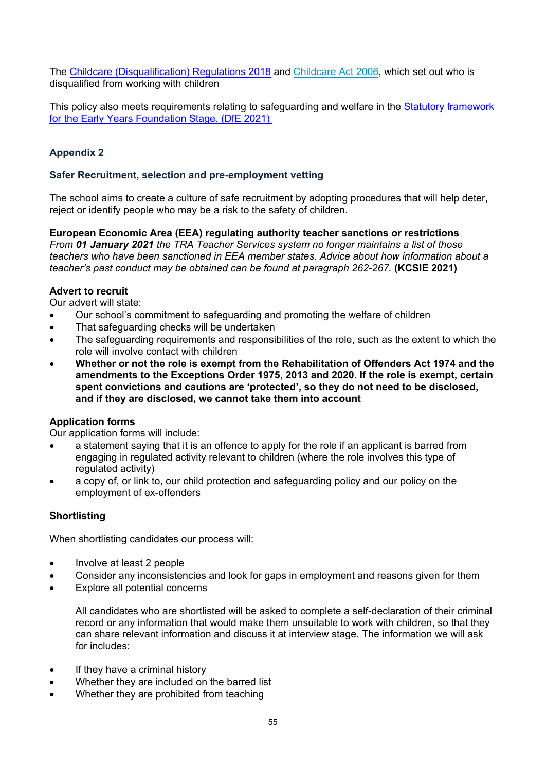The [Childcare \(Disqualification\) Regulations 2018](http://www.legislation.gov.uk/uksi/2018/794/contents/made) and [Childcare Act 2006,](http://www.legislation.gov.uk/ukpga/2006/21/contents) which set out who is disqualified from working with children

This policy also meets requirements relating to safeguarding and welfare in the [Statutory framework](https://www.gov.uk/government/publications/early-years-foundation-stage-framework--2)  [for the Early Years Foundation Stage. \(DfE 2021\)](https://www.gov.uk/government/publications/early-years-foundation-stage-framework--2)

## **Appendix 2**

### **Safer Recruitment, selection and pre-employment vetting**

The school aims to create a culture of safe recruitment by adopting procedures that will help deter, reject or identify people who may be a risk to the safety of children.

**European Economic Area (EEA) regulating authority teacher sanctions or restrictions**  *From 01 January 2021 the TRA Teacher Services system no longer maintains a list of those teachers who have been sanctioned in EEA member states. Advice about how information about a teacher's past conduct may be obtained can be found at paragraph 262-267.* **(KCSIE 2021)**

## **Advert to recruit**

Our advert will state:

- Our school's commitment to safeguarding and promoting the welfare of children
- That safeguarding checks will be undertaken
- The safeguarding requirements and responsibilities of the role, such as the extent to which the role will involve contact with children
- **Whether or not the role is exempt from the Rehabilitation of Offenders Act 1974 and the amendments to the Exceptions Order 1975, 2013 and 2020. If the role is exempt, certain spent convictions and cautions are 'protected', so they do not need to be disclosed, and if they are disclosed, we cannot take them into account**

### **Application forms**

Our application forms will include:

- a statement saying that it is an offence to apply for the role if an applicant is barred from engaging in regulated activity relevant to children (where the role involves this type of regulated activity)
- a copy of, or link to, our child protection and safeguarding policy and our policy on the employment of ex-offenders

### **Shortlisting**

When shortlisting candidates our process will:

- Involve at least 2 people
- Consider any inconsistencies and look for gaps in employment and reasons given for them
- Explore all potential concerns

All candidates who are shortlisted will be asked to complete a self-declaration of their criminal record or any information that would make them unsuitable to work with children, so that they can share relevant information and discuss it at interview stage. The information we will ask for includes:

- If they have a criminal history
- Whether they are included on the barred list
- Whether they are prohibited from teaching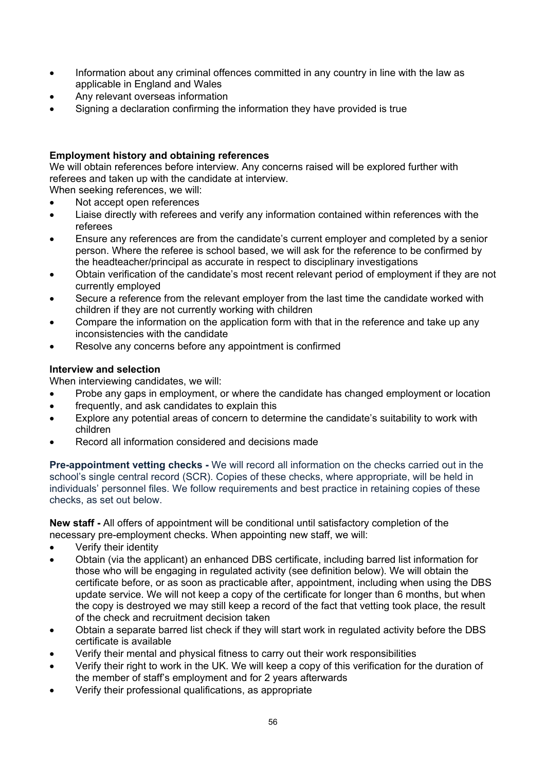- Information about any criminal offences committed in any country in line with the law as applicable in England and Wales
- Any relevant overseas information
- Signing a declaration confirming the information they have provided is true

## **Employment history and obtaining references**

We will obtain references before interview. Any concerns raised will be explored further with referees and taken up with the candidate at interview.

- When seeking references, we will:
- Not accept open references
- Liaise directly with referees and verify any information contained within references with the referees
- Ensure any references are from the candidate's current employer and completed by a senior person. Where the referee is school based, we will ask for the reference to be confirmed by the headteacher/principal as accurate in respect to disciplinary investigations
- Obtain verification of the candidate's most recent relevant period of employment if they are not currently employed
- Secure a reference from the relevant employer from the last time the candidate worked with children if they are not currently working with children
- Compare the information on the application form with that in the reference and take up any inconsistencies with the candidate
- Resolve any concerns before any appointment is confirmed

## **Interview and selection**

When interviewing candidates, we will:

- Probe any gaps in employment, or where the candidate has changed employment or location
- frequently, and ask candidates to explain this
- Explore any potential areas of concern to determine the candidate's suitability to work with children
- Record all information considered and decisions made

**Pre-appointment vetting checks -** We will record all information on the checks carried out in the school's single central record (SCR). Copies of these checks, where appropriate, will be held in individuals' personnel files. We follow requirements and best practice in retaining copies of these checks, as set out below.

**New staff -** All offers of appointment will be conditional until satisfactory completion of the necessary pre-employment checks. When appointing new staff, we will:

- Verify their identity
- Obtain (via the applicant) an enhanced DBS certificate, including barred list information for those who will be engaging in regulated activity (see definition below). We will obtain the certificate before, or as soon as practicable after, appointment, including when using the DBS update service. We will not keep a copy of the certificate for longer than 6 months, but when the copy is destroyed we may still keep a record of the fact that vetting took place, the result of the check and recruitment decision taken
- Obtain a separate barred list check if they will start work in regulated activity before the DBS certificate is available
- Verify their mental and physical fitness to carry out their work responsibilities
- Verify their right to work in the UK. We will keep a copy of this verification for the duration of the member of staff's employment and for 2 years afterwards
- Verify their professional qualifications, as appropriate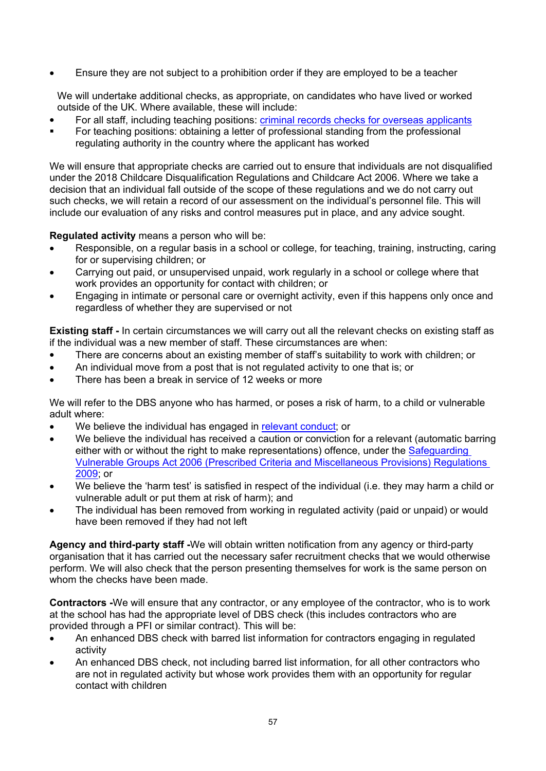Ensure they are not subject to a prohibition order if they are employed to be a teacher

We will undertake additional checks, as appropriate, on candidates who have lived or worked outside of the UK. Where available, these will include:

- For all staff, including teaching positions: [criminal records checks for overseas applicants](https://www.gov.uk/government/publications/criminal-records-checks-for-overseas-applicants)
- For teaching positions: obtaining a letter of professional standing from the professional regulating authority in the country where the applicant has worked

We will ensure that appropriate checks are carried out to ensure that individuals are not disqualified under the 2018 Childcare Disqualification Regulations and Childcare Act 2006. Where we take a decision that an individual fall outside of the scope of these regulations and we do not carry out such checks, we will retain a record of our assessment on the individual's personnel file. This will include our evaluation of any risks and control measures put in place, and any advice sought.

**Regulated activity** means a person who will be:

- Responsible, on a regular basis in a school or college, for teaching, training, instructing, caring for or supervising children; or
- Carrying out paid, or unsupervised unpaid, work regularly in a school or college where that work provides an opportunity for contact with children; or
- Engaging in intimate or personal care or overnight activity, even if this happens only once and regardless of whether they are supervised or not

**Existing staff - In certain circumstances we will carry out all the relevant checks on existing staff as** if the individual was a new member of staff. These circumstances are when:

- There are concerns about an existing member of staff's suitability to work with children; or
- An individual move from a post that is not regulated activity to one that is; or
- There has been a break in service of 12 weeks or more

We will refer to the DBS anyone who has harmed, or poses a risk of harm, to a child or vulnerable adult where:

- We believe the individual has engaged in [relevant conduct](https://www.gov.uk/guidance/making-barring-referrals-to-the-dbs); or
- We believe the individual has received a caution or conviction for a relevant (automatic barring either with or without the right to make representations) offence, under the Safeguarding [Vulnerable Groups Act 2006 \(Prescribed Criteria and Miscellaneous Provisions\) Regulations](http://www.legislation.gov.uk/uksi/2009/37/contents/made)  [2009;](http://www.legislation.gov.uk/uksi/2009/37/contents/made) or
- We believe the 'harm test' is satisfied in respect of the individual (i.e. they may harm a child or vulnerable adult or put them at risk of harm); and
- The individual has been removed from working in regulated activity (paid or unpaid) or would have been removed if they had not left

**Agency and third-party staff -**We will obtain written notification from any agency or third-party organisation that it has carried out the necessary safer recruitment checks that we would otherwise perform. We will also check that the person presenting themselves for work is the same person on whom the checks have been made.

**Contractors -**We will ensure that any contractor, or any employee of the contractor, who is to work at the school has had the appropriate level of DBS check (this includes contractors who are provided through a PFI or similar contract). This will be:

- An enhanced DBS check with barred list information for contractors engaging in regulated activity
- An enhanced DBS check, not including barred list information, for all other contractors who are not in regulated activity but whose work provides them with an opportunity for regular contact with children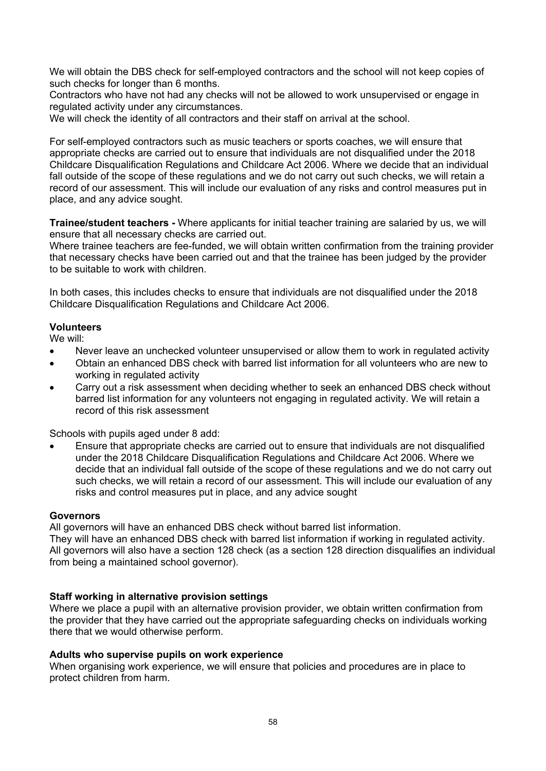We will obtain the DBS check for self-employed contractors and the school will not keep copies of such checks for longer than 6 months.

Contractors who have not had any checks will not be allowed to work unsupervised or engage in regulated activity under any circumstances.

We will check the identity of all contractors and their staff on arrival at the school.

For self-employed contractors such as music teachers or sports coaches, we will ensure that appropriate checks are carried out to ensure that individuals are not disqualified under the 2018 Childcare Disqualification Regulations and Childcare Act 2006. Where we decide that an individual fall outside of the scope of these regulations and we do not carry out such checks, we will retain a record of our assessment. This will include our evaluation of any risks and control measures put in place, and any advice sought.

**Trainee/student teachers -** Where applicants for initial teacher training are salaried by us, we will ensure that all necessary checks are carried out.

Where trainee teachers are fee-funded, we will obtain written confirmation from the training provider that necessary checks have been carried out and that the trainee has been judged by the provider to be suitable to work with children.

In both cases, this includes checks to ensure that individuals are not disqualified under the 2018 Childcare Disqualification Regulations and Childcare Act 2006.

#### **Volunteers**

We will:

- Never leave an unchecked volunteer unsupervised or allow them to work in regulated activity
- Obtain an enhanced DBS check with barred list information for all volunteers who are new to working in regulated activity
- Carry out a risk assessment when deciding whether to seek an enhanced DBS check without barred list information for any volunteers not engaging in regulated activity. We will retain a record of this risk assessment

Schools with pupils aged under 8 add:

 Ensure that appropriate checks are carried out to ensure that individuals are not disqualified under the 2018 Childcare Disqualification Regulations and Childcare Act 2006. Where we decide that an individual fall outside of the scope of these regulations and we do not carry out such checks, we will retain a record of our assessment. This will include our evaluation of any risks and control measures put in place, and any advice sought

#### **Governors**

All governors will have an enhanced DBS check without barred list information.

They will have an enhanced DBS check with barred list information if working in regulated activity. All governors will also have a section 128 check (as a section 128 direction disqualifies an individual from being a maintained school governor).

#### **Staff working in alternative provision settings**

Where we place a pupil with an alternative provision provider, we obtain written confirmation from the provider that they have carried out the appropriate safeguarding checks on individuals working there that we would otherwise perform.

#### **Adults who supervise pupils on work experience**

When organising work experience, we will ensure that policies and procedures are in place to protect children from harm.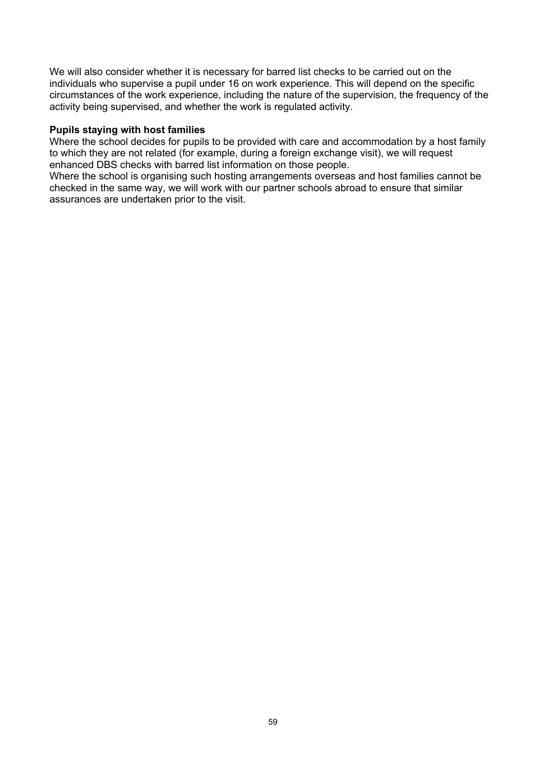We will also consider whether it is necessary for barred list checks to be carried out on the individuals who supervise a pupil under 16 on work experience. This will depend on the specific circumstances of the work experience, including the nature of the supervision, the frequency of the activity being supervised, and whether the work is regulated activity.

#### **Pupils staying with host families**

Where the school decides for pupils to be provided with care and accommodation by a host family to which they are not related (for example, during a foreign exchange visit), we will request enhanced DBS checks with barred list information on those people.

Where the school is organising such hosting arrangements overseas and host families cannot be checked in the same way, we will work with our partner schools abroad to ensure that similar assurances are undertaken prior to the visit.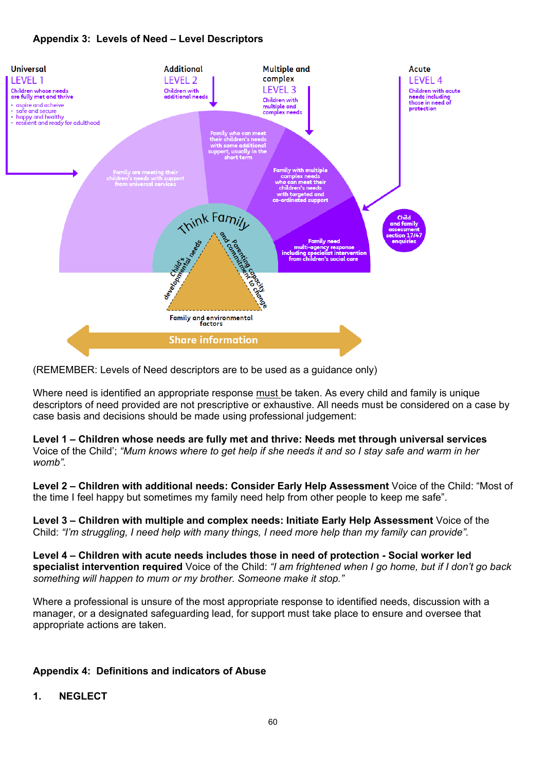## **Appendix 3: Levels of Need – Level Descriptors**



(REMEMBER: Levels of Need descriptors are to be used as a guidance only)

Where need is identified an appropriate response must be taken. As every child and family is unique descriptors of need provided are not prescriptive or exhaustive. All needs must be considered on a case by case basis and decisions should be made using professional judgement:

**Level 1 – Children whose needs are fully met and thrive: Needs met through universal services**  Voice of the Child'; *"Mum knows where to get help if she needs it and so I stay safe and warm in her womb".* 

**Level 2 – Children with additional needs: Consider Early Help Assessment** Voice of the Child: "Most of the time I feel happy but sometimes my family need help from other people to keep me safe".

**Level 3 – Children with multiple and complex needs: Initiate Early Help Assessment** Voice of the Child: *"I'm struggling, I need help with many things, I need more help than my family can provide".* 

**Level 4 – Children with acute needs includes those in need of protection - Social worker led specialist intervention required** Voice of the Child: *"I am frightened when I go home, but if I don't go back something will happen to mum or my brother. Someone make it stop."* 

Where a professional is unsure of the most appropriate response to identified needs, discussion with a manager, or a designated safeguarding lead, for support must take place to ensure and oversee that appropriate actions are taken.

## **Appendix 4: Definitions and indicators of Abuse**

## **1. NEGLECT**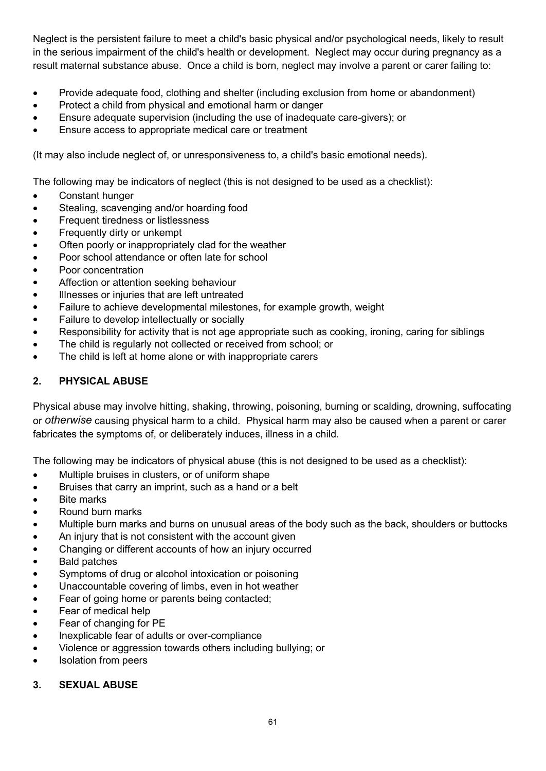Neglect is the persistent failure to meet a child's basic physical and/or psychological needs, likely to result in the serious impairment of the child's health or development. Neglect may occur during pregnancy as a result maternal substance abuse. Once a child is born, neglect may involve a parent or carer failing to:

- Provide adequate food, clothing and shelter (including exclusion from home or abandonment)
- Protect a child from physical and emotional harm or danger
- Ensure adequate supervision (including the use of inadequate care-givers); or
- Ensure access to appropriate medical care or treatment

(It may also include neglect of, or unresponsiveness to, a child's basic emotional needs).

The following may be indicators of neglect (this is not designed to be used as a checklist):

- Constant hunger
- Stealing, scavenging and/or hoarding food
- Frequent tiredness or listlessness
- Frequently dirty or unkempt
- Often poorly or inappropriately clad for the weather
- Poor school attendance or often late for school
- Poor concentration
- Affection or attention seeking behaviour
- Illnesses or injuries that are left untreated
- Failure to achieve developmental milestones, for example growth, weight
- Failure to develop intellectually or socially
- Responsibility for activity that is not age appropriate such as cooking, ironing, caring for siblings
- The child is regularly not collected or received from school; or
- The child is left at home alone or with inappropriate carers

## **2. PHYSICAL ABUSE**

Physical abuse may involve hitting, shaking, throwing, poisoning, burning or scalding, drowning, suffocating or *otherwise* causing physical harm to a child. Physical harm may also be caused when a parent or carer fabricates the symptoms of, or deliberately induces, illness in a child.

The following may be indicators of physical abuse (this is not designed to be used as a checklist):

- Multiple bruises in clusters, or of uniform shape
- Bruises that carry an imprint, such as a hand or a belt
- Bite marks
- Round burn marks
- Multiple burn marks and burns on unusual areas of the body such as the back, shoulders or buttocks
- An injury that is not consistent with the account given
- Changing or different accounts of how an injury occurred
- Bald patches
- Symptoms of drug or alcohol intoxication or poisoning
- Unaccountable covering of limbs, even in hot weather
- Fear of going home or parents being contacted;
- Fear of medical help
- Fear of changing for PE
- Inexplicable fear of adults or over-compliance
- Violence or aggression towards others including bullying; or
- Isolation from peers

### **3. SEXUAL ABUSE**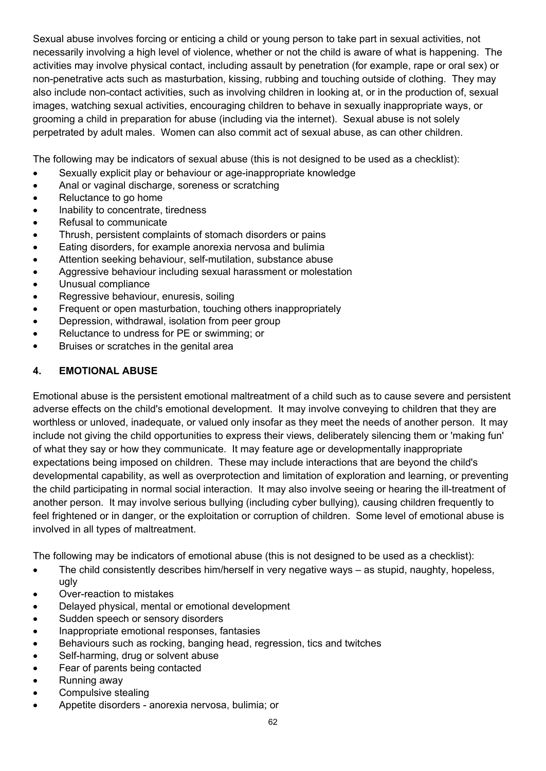Sexual abuse involves forcing or enticing a child or young person to take part in sexual activities, not necessarily involving a high level of violence, whether or not the child is aware of what is happening. The activities may involve physical contact, including assault by penetration (for example, rape or oral sex) or non-penetrative acts such as masturbation, kissing, rubbing and touching outside of clothing.They may also include non-contact activities, such as involving children in looking at, or in the production of, sexual images, watching sexual activities, encouraging children to behave in sexually inappropriate ways, or grooming a child in preparation for abuse (including via the internet). Sexual abuse is not solely perpetrated by adult males. Women can also commit act of sexual abuse, as can other children.

The following may be indicators of sexual abuse (this is not designed to be used as a checklist):

- Sexually explicit play or behaviour or age-inappropriate knowledge
- Anal or vaginal discharge, soreness or scratching
- Reluctance to go home
- Inability to concentrate, tiredness
- Refusal to communicate
- Thrush, persistent complaints of stomach disorders or pains
- Eating disorders, for example anorexia nervosa and bulimia
- Attention seeking behaviour, self-mutilation, substance abuse
- Aggressive behaviour including sexual harassment or molestation
- Unusual compliance
- Regressive behaviour, enuresis, soiling
- Frequent or open masturbation, touching others inappropriately
- Depression, withdrawal, isolation from peer group
- Reluctance to undress for PE or swimming; or
- Bruises or scratches in the genital area

## **4. EMOTIONAL ABUSE**

Emotional abuse is the persistent emotional maltreatment of a child such as to cause severe and persistent adverse effects on the child's emotional development. It may involve conveying to children that they are worthless or unloved, inadequate, or valued only insofar as they meet the needs of another person. It may include not giving the child opportunities to express their views, deliberately silencing them or 'making fun' of what they say or how they communicate. It may feature age or developmentally inappropriate expectations being imposed on children. These may include interactions that are beyond the child's developmental capability, as well as overprotection and limitation of exploration and learning, or preventing the child participating in normal social interaction. It may also involve seeing or hearing the ill-treatment of another person. It may involve serious bullying (including cyber bullying)*,* causing children frequently to feel frightened or in danger, or the exploitation or corruption of children. Some level of emotional abuse is involved in all types of maltreatment.

The following may be indicators of emotional abuse (this is not designed to be used as a checklist):

- The child consistently describes him/herself in very negative ways as stupid, naughty, hopeless, ugly
- Over-reaction to mistakes
- Delayed physical, mental or emotional development
- Sudden speech or sensory disorders
- Inappropriate emotional responses, fantasies
- Behaviours such as rocking, banging head, regression, tics and twitches
- Self-harming, drug or solvent abuse
- Fear of parents being contacted
- Running away
- Compulsive stealing
- Appetite disorders anorexia nervosa, bulimia; or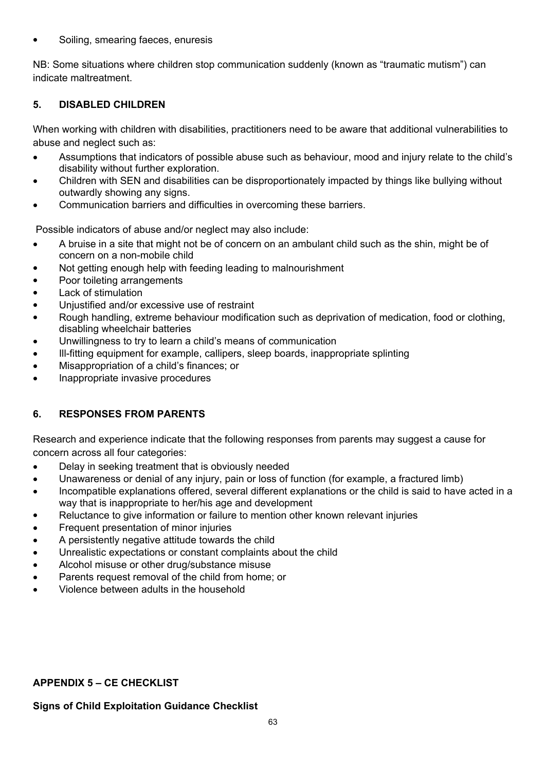### Soiling, smearing faeces, enuresis

NB: Some situations where children stop communication suddenly (known as "traumatic mutism") can indicate maltreatment.

## **5. DISABLED CHILDREN**

When working with children with disabilities, practitioners need to be aware that additional vulnerabilities to abuse and neglect such as:

- Assumptions that indicators of possible abuse such as behaviour, mood and injury relate to the child's disability without further exploration.
- Children with SEN and disabilities can be disproportionately impacted by things like bullying without outwardly showing any signs.
- Communication barriers and difficulties in overcoming these barriers.

Possible indicators of abuse and/or neglect may also include:

- A bruise in a site that might not be of concern on an ambulant child such as the shin, might be of concern on a non-mobile child
- Not getting enough help with feeding leading to malnourishment
- Poor toileting arrangements
- Lack of stimulation
- Unjustified and/or excessive use of restraint
- Rough handling, extreme behaviour modification such as deprivation of medication, food or clothing, disabling wheelchair batteries
- Unwillingness to try to learn a child's means of communication
- Ill-fitting equipment for example, callipers, sleep boards, inappropriate splinting
- Misappropriation of a child's finances; or
- Inappropriate invasive procedures

# **6. RESPONSES FROM PARENTS**

Research and experience indicate that the following responses from parents may suggest a cause for concern across all four categories:

- Delay in seeking treatment that is obviously needed
- Unawareness or denial of any injury, pain or loss of function (for example, a fractured limb)
- Incompatible explanations offered, several different explanations or the child is said to have acted in a way that is inappropriate to her/his age and development
- Reluctance to give information or failure to mention other known relevant injuries
- Frequent presentation of minor injuries
- A persistently negative attitude towards the child
- Unrealistic expectations or constant complaints about the child
- Alcohol misuse or other drug/substance misuse
- Parents request removal of the child from home; or
- Violence between adults in the household

## **APPENDIX 5 – CE CHECKLIST**

## **Signs of Child Exploitation Guidance Checklist**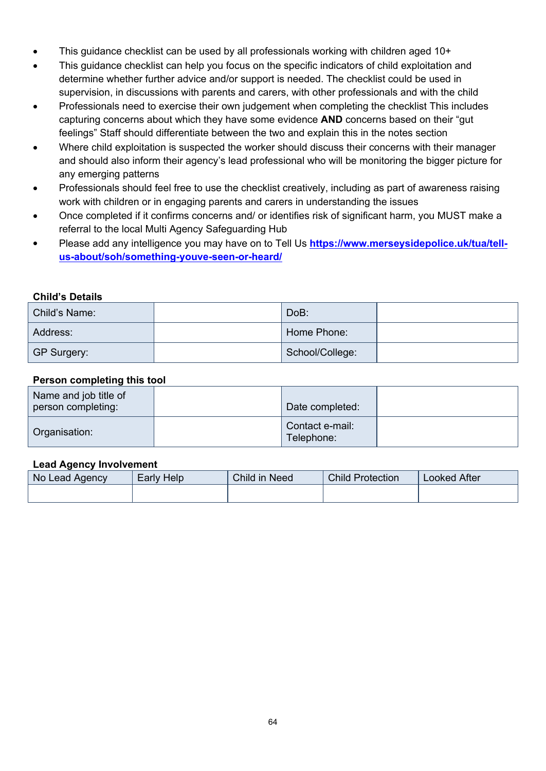- This guidance checklist can be used by all professionals working with children aged 10+
- This guidance checklist can help you focus on the specific indicators of child exploitation and determine whether further advice and/or support is needed. The checklist could be used in supervision, in discussions with parents and carers, with other professionals and with the child
- Professionals need to exercise their own judgement when completing the checklist This includes capturing concerns about which they have some evidence **AND** concerns based on their "gut feelings" Staff should differentiate between the two and explain this in the notes section
- Where child exploitation is suspected the worker should discuss their concerns with their manager and should also inform their agency's lead professional who will be monitoring the bigger picture for any emerging patterns
- Professionals should feel free to use the checklist creatively, including as part of awareness raising work with children or in engaging parents and carers in understanding the issues
- Once completed if it confirms concerns and/ or identifies risk of significant harm, you MUST make a referral to the local Multi Agency Safeguarding Hub
- Please add any intelligence you may have on to Tell Us **[https://www.merseysidepolice.uk/tua/tell](https://www.merseysidepolice.uk/tua/tell-us-about/soh/something-youve-seen-or-heard/)[us-about/soh/something-youve-seen-or-heard/](https://www.merseysidepolice.uk/tua/tell-us-about/soh/something-youve-seen-or-heard/)**

## **Child's Details**

| Child's Name: | DoB:            |  |
|---------------|-----------------|--|
| Address:      | Home Phone:     |  |
| GP Surgery:   | School/College: |  |

### **Person completing this tool**

| Name and job title of<br>person completing: | Date completed:               |  |
|---------------------------------------------|-------------------------------|--|
| Organisation:                               | Contact e-mail:<br>Telephone: |  |

### **Lead Agency Involvement**

| ___________<br>---------------- |            |               |                         |                     |  |  |
|---------------------------------|------------|---------------|-------------------------|---------------------|--|--|
| No Lead Agency                  | Early Help | Child in Need | <b>Child Protection</b> | <b>Looked After</b> |  |  |
|                                 |            |               |                         |                     |  |  |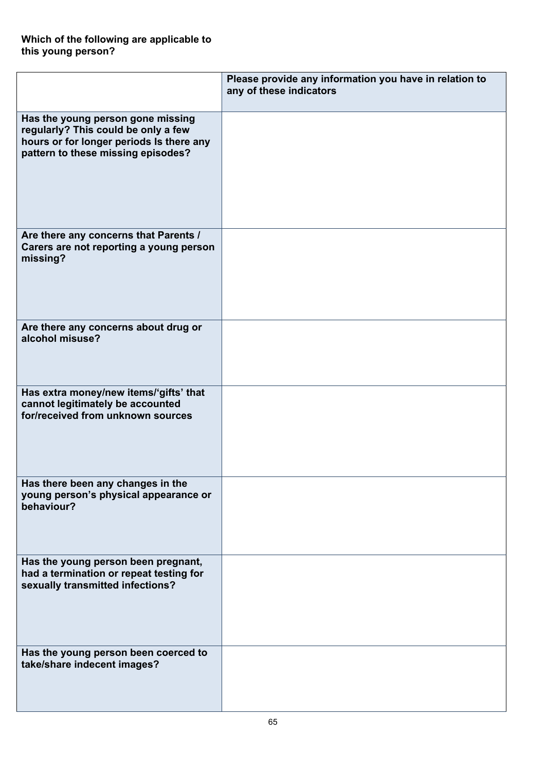|                                                                                                                                                            | Please provide any information you have in relation to<br>any of these indicators |
|------------------------------------------------------------------------------------------------------------------------------------------------------------|-----------------------------------------------------------------------------------|
| Has the young person gone missing<br>regularly? This could be only a few<br>hours or for longer periods Is there any<br>pattern to these missing episodes? |                                                                                   |
| Are there any concerns that Parents /<br>Carers are not reporting a young person<br>missing?                                                               |                                                                                   |
| Are there any concerns about drug or<br>alcohol misuse?                                                                                                    |                                                                                   |
| Has extra money/new items/'gifts' that<br>cannot legitimately be accounted<br>for/received from unknown sources                                            |                                                                                   |
| Has there been any changes in the<br>young person's physical appearance or<br>behaviour?                                                                   |                                                                                   |
| Has the young person been pregnant,<br>had a termination or repeat testing for<br>sexually transmitted infections?                                         |                                                                                   |
| Has the young person been coerced to<br>take/share indecent images?                                                                                        |                                                                                   |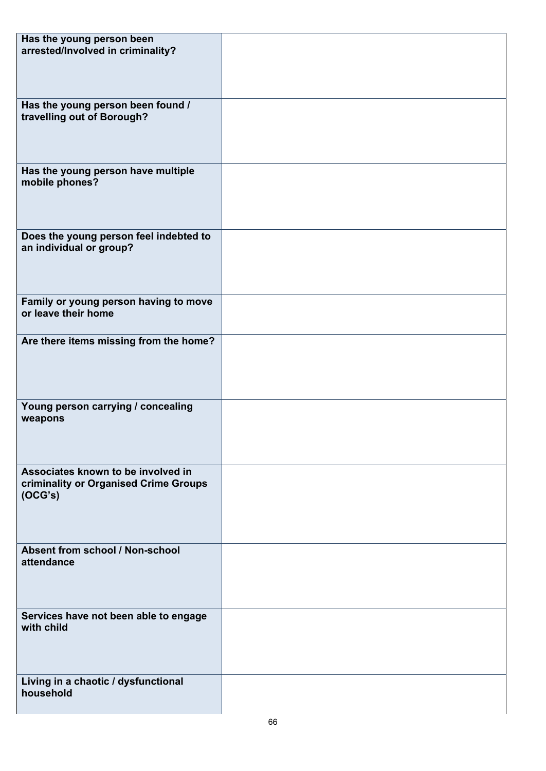| Has the young person been<br>arrested/Involved in criminality?                         |  |
|----------------------------------------------------------------------------------------|--|
| Has the young person been found /<br>travelling out of Borough?                        |  |
| Has the young person have multiple<br>mobile phones?                                   |  |
| Does the young person feel indebted to<br>an individual or group?                      |  |
| Family or young person having to move<br>or leave their home                           |  |
| Are there items missing from the home?                                                 |  |
| Young person carrying / concealing<br>weapons                                          |  |
| Associates known to be involved in<br>criminality or Organised Crime Groups<br>(OCG's) |  |
| Absent from school / Non-school<br>attendance                                          |  |
| Services have not been able to engage<br>with child                                    |  |
| Living in a chaotic / dysfunctional<br>household                                       |  |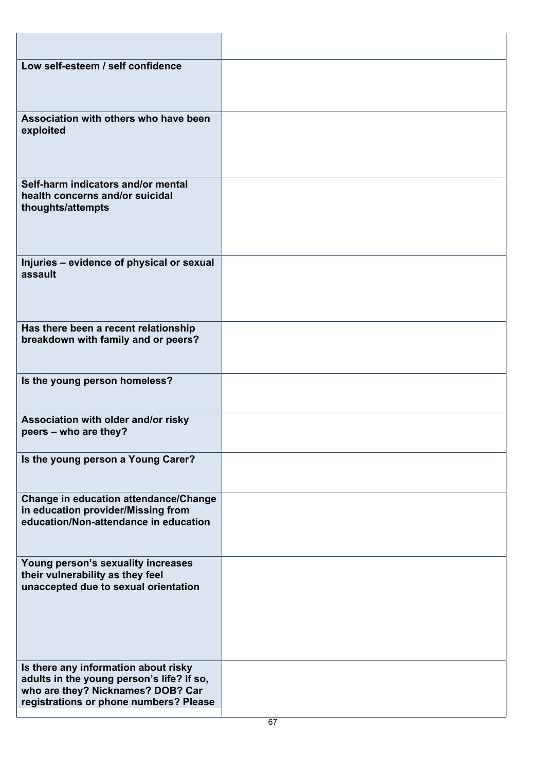| Low self-esteem / self confidence                                                                                                                                |  |
|------------------------------------------------------------------------------------------------------------------------------------------------------------------|--|
| Association with others who have been<br>exploited                                                                                                               |  |
| Self-harm indicators and/or mental<br>health concerns and/or suicidal<br>thoughts/attempts                                                                       |  |
| Injuries - evidence of physical or sexual<br>assault                                                                                                             |  |
| Has there been a recent relationship<br>breakdown with family and or peers?                                                                                      |  |
| Is the young person homeless?                                                                                                                                    |  |
| Association with older and/or risky<br>peers - who are they?                                                                                                     |  |
| Is the young person a Young Carer?                                                                                                                               |  |
| <b>Change in education attendance/Change</b><br>in education provider/Missing from<br>education/Non-attendance in education                                      |  |
| Young person's sexuality increases<br>their vulnerability as they feel<br>unaccepted due to sexual orientation                                                   |  |
| Is there any information about risky<br>adults in the young person's life? If so,<br>who are they? Nicknames? DOB? Car<br>registrations or phone numbers? Please |  |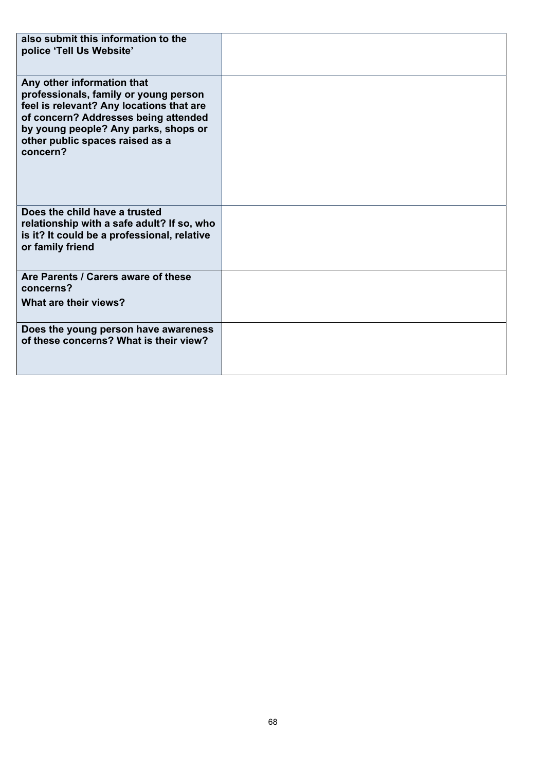| also submit this information to the<br>police 'Tell Us Website'                                                                                                                                                                                |  |
|------------------------------------------------------------------------------------------------------------------------------------------------------------------------------------------------------------------------------------------------|--|
| Any other information that<br>professionals, family or young person<br>feel is relevant? Any locations that are<br>of concern? Addresses being attended<br>by young people? Any parks, shops or<br>other public spaces raised as a<br>concern? |  |
| Does the child have a trusted<br>relationship with a safe adult? If so, who<br>is it? It could be a professional, relative<br>or family friend                                                                                                 |  |
| Are Parents / Carers aware of these<br>concerns?                                                                                                                                                                                               |  |
| What are their views?                                                                                                                                                                                                                          |  |
| Does the young person have awareness<br>of these concerns? What is their view?                                                                                                                                                                 |  |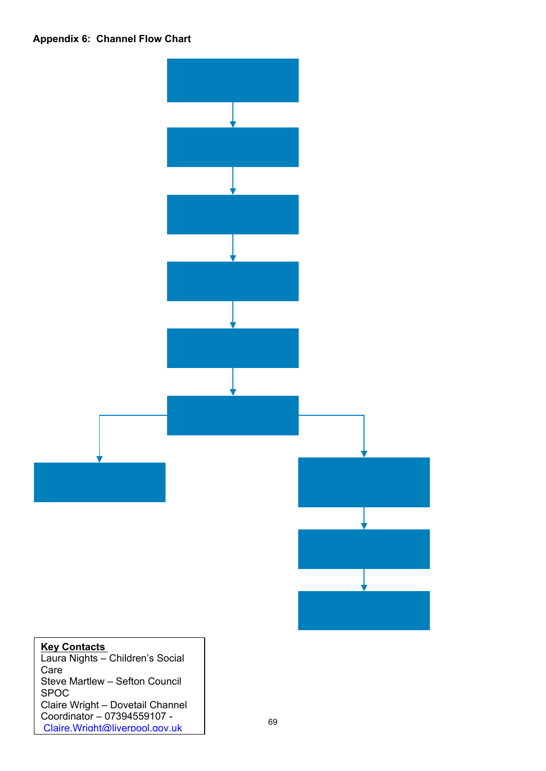## **Appendix 6: Channel Flow Chart**



#### **Key Contacts**

Laura Nights – Children's Social Care Steve Martlew – Sefton Council SPOC Claire Wright – Dovetail Channel Coordinator – 07394559107 - Claire.Wright@liverpool.gov.uk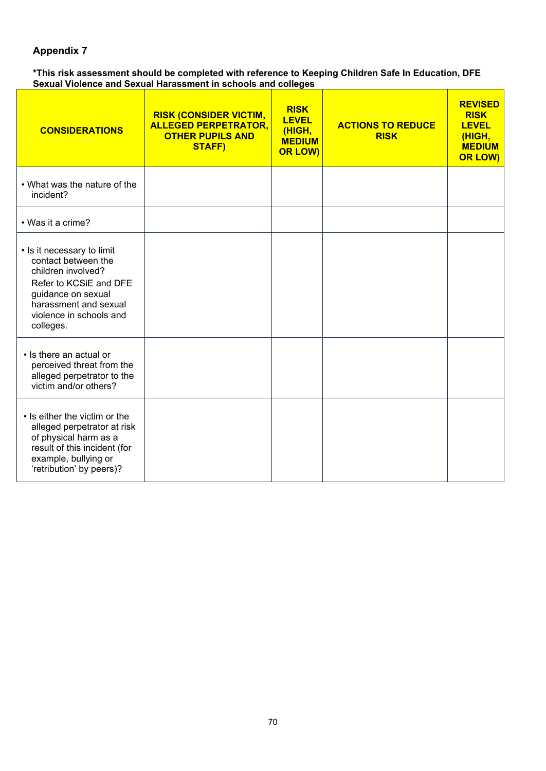# **Appendix 7**

**\*This risk assessment should be completed with reference to Keeping Children Safe In Education, DFE Sexual Violence and Sexual Harassment in schools and colleges**

| <b>CONSIDERATIONS</b>                                                                                                                                                                    | <b>RISK (CONSIDER VICTIM,</b><br><b>ALLEGED PERPETRATOR,</b><br><b>OTHER PUPILS AND</b><br><b>STAFF)</b> | <b>RISK</b><br><b>LEVEL</b><br>(HIGH,<br><b>MEDIUM</b><br>OR LOW) | <b>ACTIONS TO REDUCE</b><br><b>RISK</b> | <b>REVISED</b><br><b>RISK</b><br><b>LEVEL</b><br>(HIGH,<br><b>MEDIUM</b><br>OR LOW) |
|------------------------------------------------------------------------------------------------------------------------------------------------------------------------------------------|----------------------------------------------------------------------------------------------------------|-------------------------------------------------------------------|-----------------------------------------|-------------------------------------------------------------------------------------|
| • What was the nature of the<br>incident?                                                                                                                                                |                                                                                                          |                                                                   |                                         |                                                                                     |
| • Was it a crime?                                                                                                                                                                        |                                                                                                          |                                                                   |                                         |                                                                                     |
| • Is it necessary to limit<br>contact between the<br>children involved?<br>Refer to KCSiE and DFE<br>guidance on sexual<br>harassment and sexual<br>violence in schools and<br>colleges. |                                                                                                          |                                                                   |                                         |                                                                                     |
| • Is there an actual or<br>perceived threat from the<br>alleged perpetrator to the<br>victim and/or others?                                                                              |                                                                                                          |                                                                   |                                         |                                                                                     |
| • Is either the victim or the<br>alleged perpetrator at risk<br>of physical harm as a<br>result of this incident (for<br>example, bullying or<br>'retribution' by peers)?                |                                                                                                          |                                                                   |                                         |                                                                                     |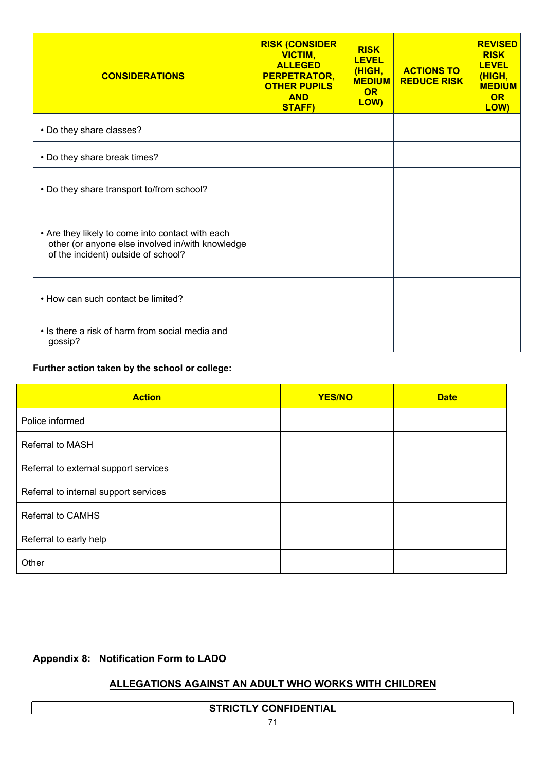| <b>CONSIDERATIONS</b>                                                                                                                       | <b>RISK (CONSIDER</b><br><b>VICTIM,</b><br><b>ALLEGED</b><br><b>PERPETRATOR,</b><br><b>OTHER PUPILS</b><br><b>AND</b><br><b>STAFF)</b> | <b>RISK</b><br><b>LEVEL</b><br>(HIGH,<br><b>MEDIUM</b><br><b>OR</b><br>LOW) | <b>ACTIONS TO</b><br><b>REDUCE RISK</b> | <b>REVISED</b><br><b>RISK</b><br><b>LEVEL</b><br>(HIGH,<br><b>MEDIUM</b><br><b>OR</b><br>LOW) |
|---------------------------------------------------------------------------------------------------------------------------------------------|----------------------------------------------------------------------------------------------------------------------------------------|-----------------------------------------------------------------------------|-----------------------------------------|-----------------------------------------------------------------------------------------------|
| • Do they share classes?                                                                                                                    |                                                                                                                                        |                                                                             |                                         |                                                                                               |
| • Do they share break times?                                                                                                                |                                                                                                                                        |                                                                             |                                         |                                                                                               |
| • Do they share transport to/from school?                                                                                                   |                                                                                                                                        |                                                                             |                                         |                                                                                               |
| • Are they likely to come into contact with each<br>other (or anyone else involved in/with knowledge<br>of the incident) outside of school? |                                                                                                                                        |                                                                             |                                         |                                                                                               |
| • How can such contact be limited?                                                                                                          |                                                                                                                                        |                                                                             |                                         |                                                                                               |
| • Is there a risk of harm from social media and<br>gossip?                                                                                  |                                                                                                                                        |                                                                             |                                         |                                                                                               |

### **Further action taken by the school or college:**

| <b>Action</b>                         | <b>YES/NO</b> | <b>Date</b> |
|---------------------------------------|---------------|-------------|
| Police informed                       |               |             |
| Referral to MASH                      |               |             |
| Referral to external support services |               |             |
| Referral to internal support services |               |             |
| <b>Referral to CAMHS</b>              |               |             |
| Referral to early help                |               |             |
| Other                                 |               |             |

# **Appendix 8: Notification Form to LADO**

# **ALLEGATIONS AGAINST AN ADULT WHO WORKS WITH CHILDREN**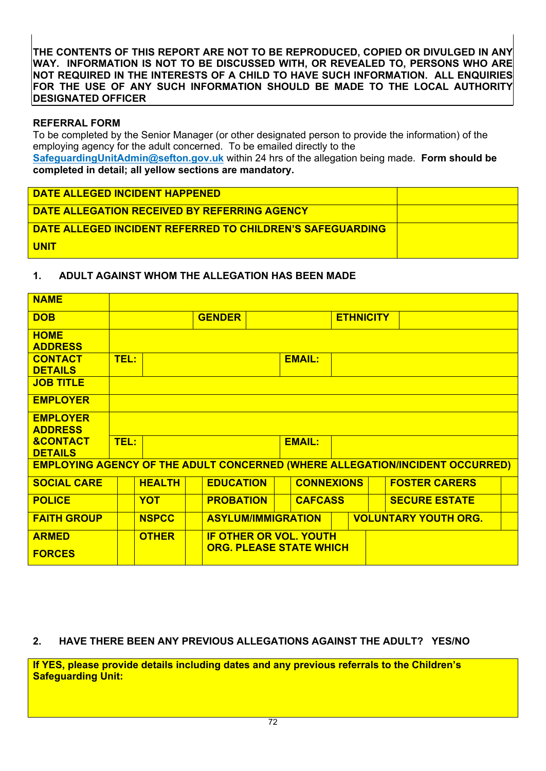**THE CONTENTS OF THIS REPORT ARE NOT TO BE REPRODUCED, COPIED OR DIVULGED IN ANY WAY. INFORMATION IS NOT TO BE DISCUSSED WITH, OR REVEALED TO, PERSONS WHO ARE NOT REQUIRED IN THE INTERESTS OF A CHILD TO HAVE SUCH INFORMATION. ALL ENQUIRIES FOR THE USE OF ANY SUCH INFORMATION SHOULD BE MADE TO THE LOCAL AUTHORITY DESIGNATED OFFICER**

## **REFERRAL FORM**

To be completed by the Senior Manager (or other designated person to provide the information) of the employing agency for the adult concerned. To be emailed directly to the

**[SafeguardingUnitAdmin@sefton.gov.uk](mailto:SafeguardingUnitAdmin@sefton.gov.uk)** within 24 hrs of the allegation being made. **Form should be completed in detail; all yellow sections are mandatory.**

| DATE ALLEGED INCIDENT HAPPENED                            |  |
|-----------------------------------------------------------|--|
| DATE ALLEGATION RECEIVED BY REFERRING AGENCY              |  |
| DATE ALLEGED INCIDENT REFERRED TO CHILDREN'S SAFEGUARDING |  |
| <b>UNIT</b>                                               |  |

## **1. ADULT AGAINST WHOM THE ALLEGATION HAS BEEN MADE**

| <b>NAME</b>                           |      |               |                  |                                |                   |  |                             |                                                                                     |  |  |
|---------------------------------------|------|---------------|------------------|--------------------------------|-------------------|--|-----------------------------|-------------------------------------------------------------------------------------|--|--|
| <b>DOB</b>                            |      |               | <b>GENDER</b>    |                                |                   |  | <b>ETHNICITY</b>            |                                                                                     |  |  |
| <b>HOME</b><br><b>ADDRESS</b>         |      |               |                  |                                |                   |  |                             |                                                                                     |  |  |
| <b>CONTACT</b><br><b>DETAILS</b>      | TEL: |               |                  |                                | <b>EMAIL:</b>     |  |                             |                                                                                     |  |  |
| <b>JOB TITLE</b>                      |      |               |                  |                                |                   |  |                             |                                                                                     |  |  |
| <b>EMPLOYER</b>                       |      |               |                  |                                |                   |  |                             |                                                                                     |  |  |
| <b>EMPLOYER</b><br><b>ADDRESS</b>     |      |               |                  |                                |                   |  |                             |                                                                                     |  |  |
| <b>&amp;CONTACT</b><br><b>DETAILS</b> | TEL: |               |                  |                                | <b>EMAIL:</b>     |  |                             |                                                                                     |  |  |
|                                       |      |               |                  |                                |                   |  |                             | <b>EMPLOYING AGENCY OF THE ADULT CONCERNED (WHERE ALLEGATION/INCIDENT OCCURRED)</b> |  |  |
| <b>SOCIAL CARE</b>                    |      | <b>HEALTH</b> | <b>EDUCATION</b> |                                | <b>CONNEXIONS</b> |  |                             | <b>FOSTER CARERS</b>                                                                |  |  |
| <b>POLICE</b>                         |      | <b>YOT</b>    | <b>PROBATION</b> |                                | <b>CAFCASS</b>    |  |                             | <b>SECURE ESTATE</b>                                                                |  |  |
| <b>FAITH GROUP</b>                    |      | <b>NSPCC</b>  |                  | <b>ASYLUM/IMMIGRATION</b>      |                   |  | <b>VOLUNTARY YOUTH ORG.</b> |                                                                                     |  |  |
| <b>ARMED</b>                          |      | <b>OTHER</b>  |                  | <b>IF OTHER OR VOL. YOUTH</b>  |                   |  |                             |                                                                                     |  |  |
| <b>FORCES</b>                         |      |               |                  | <b>ORG. PLEASE STATE WHICH</b> |                   |  |                             |                                                                                     |  |  |
|                                       |      |               |                  |                                |                   |  |                             |                                                                                     |  |  |

## **2. HAVE THERE BEEN ANY PREVIOUS ALLEGATIONS AGAINST THE ADULT? YES/NO**

**If YES, please provide details including dates and any previous referrals to the Children's Safeguarding Unit:**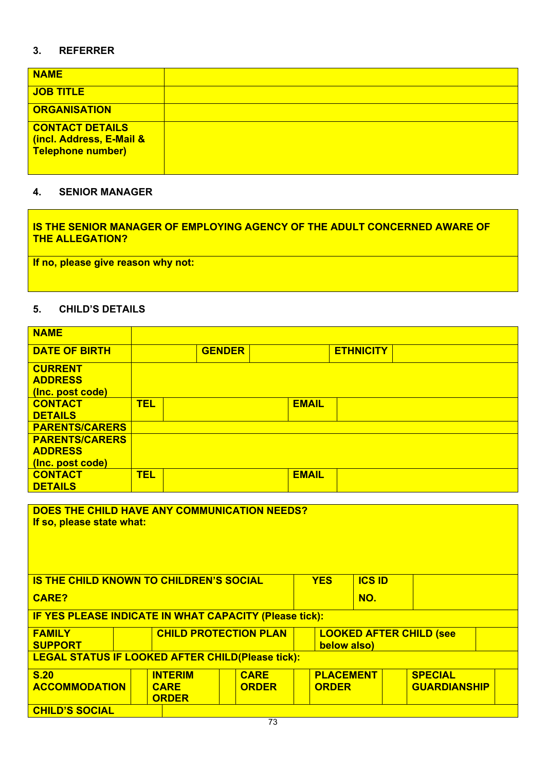#### **3. REFERRER**

| <b>NAME</b>                                                             |  |
|-------------------------------------------------------------------------|--|
| <b>JOB TITLE</b>                                                        |  |
| <b>ORGANISATION</b>                                                     |  |
| <b>CONTACT DETAILS</b><br>(incl. Address, E-Mail &<br>Telephone number) |  |

## **4. SENIOR MANAGER**

**IS THE SENIOR MANAGER OF EMPLOYING AGENCY OF THE ADULT CONCERNED AWARE OF THE ALLEGATION?** 

**If no, please give reason why not:**

#### **5. CHILD'S DETAILS**

| <b>NAME</b>                                             |                              |                             |               |                 |                                |                  |                  |  |                     |  |  |
|---------------------------------------------------------|------------------------------|-----------------------------|---------------|-----------------|--------------------------------|------------------|------------------|--|---------------------|--|--|
| <b>DATE OF BIRTH</b>                                    |                              |                             | <b>GENDER</b> |                 |                                |                  | <b>ETHNICITY</b> |  |                     |  |  |
| <b>CURRENT</b>                                          |                              |                             |               |                 |                                |                  |                  |  |                     |  |  |
| <b>ADDRESS</b>                                          |                              |                             |               |                 |                                |                  |                  |  |                     |  |  |
| (Inc. post code)                                        |                              |                             |               |                 |                                |                  |                  |  |                     |  |  |
| <b>CONTACT</b><br><b>DETAILS</b>                        | <b>TEL</b>                   |                             |               |                 | <b>EMAIL</b>                   |                  |                  |  |                     |  |  |
| <b>PARENTS/CARERS</b>                                   |                              |                             |               |                 |                                |                  |                  |  |                     |  |  |
| <b>PARENTS/CARERS</b>                                   |                              |                             |               |                 |                                |                  |                  |  |                     |  |  |
| <b>ADDRESS</b>                                          |                              |                             |               |                 |                                |                  |                  |  |                     |  |  |
| (Inc. post code)                                        |                              |                             |               |                 |                                |                  |                  |  |                     |  |  |
| <b>CONTACT</b>                                          | <b>TEL</b>                   |                             |               |                 | <b>EMAIL</b>                   |                  |                  |  |                     |  |  |
| <b>DETAILS</b>                                          |                              |                             |               |                 |                                |                  |                  |  |                     |  |  |
| If so, please state what:                               |                              |                             |               |                 |                                |                  |                  |  |                     |  |  |
| <b>IS THE CHILD KNOWN TO CHILDREN'S SOCIAL</b>          |                              |                             |               |                 | <b>YES</b>                     |                  | <b>ICS ID</b>    |  |                     |  |  |
| <b>CARE?</b>                                            |                              |                             |               |                 |                                |                  | NO.              |  |                     |  |  |
| IF YES PLEASE INDICATE IN WHAT CAPACITY (Please tick):  |                              |                             |               |                 |                                |                  |                  |  |                     |  |  |
| <b>FAMILY</b>                                           | <b>CHILD PROTECTION PLAN</b> |                             |               |                 | <b>LOOKED AFTER CHILD (see</b> |                  |                  |  |                     |  |  |
| <b>SUPPORT</b><br>below also)                           |                              |                             |               |                 |                                |                  |                  |  |                     |  |  |
| <b>LEGAL STATUS IF LOOKED AFTER CHILD(Please tick):</b> |                              |                             |               |                 |                                |                  |                  |  |                     |  |  |
| S.20                                                    |                              | <b>INTERIM</b>              | <b>CARE</b>   |                 |                                | <b>PLACEMENT</b> |                  |  | <b>SPECIAL</b>      |  |  |
| <b>ACCOMMODATION</b>                                    |                              | <b>CARE</b><br><b>ORDER</b> |               | <b>ORDER</b>    |                                | <b>ORDER</b>     |                  |  | <b>GUARDIANSHIP</b> |  |  |
| <b>CHILD'S SOCIAL</b>                                   |                              |                             |               |                 |                                |                  |                  |  |                     |  |  |
|                                                         |                              |                             |               | $\overline{73}$ |                                |                  |                  |  |                     |  |  |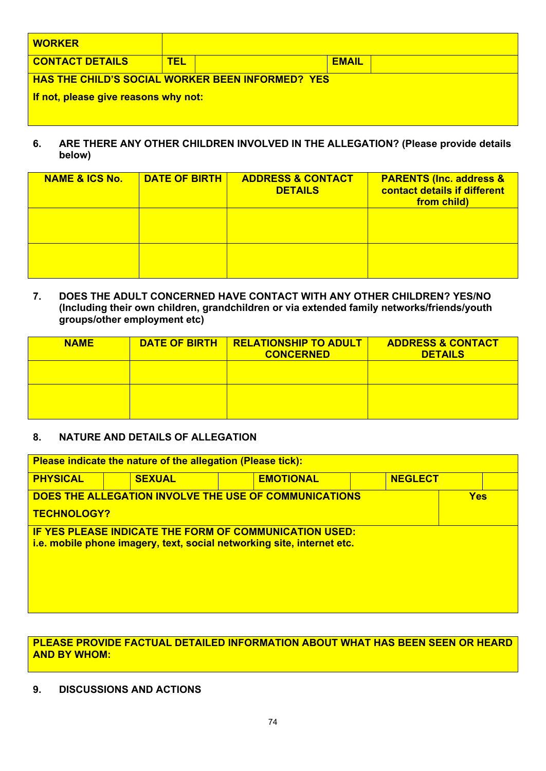| <b>WORKER</b>                                           |      |  |              |  |  |  |
|---------------------------------------------------------|------|--|--------------|--|--|--|
| <b>CONTACT DETAILS</b>                                  | TELI |  | <b>EMAIL</b> |  |  |  |
| <b>HAS THE CHILD'S SOCIAL WORKER BEEN INFORMED? YES</b> |      |  |              |  |  |  |
| If not, please give reasons why not:                    |      |  |              |  |  |  |
|                                                         |      |  |              |  |  |  |
|                                                         |      |  |              |  |  |  |

**6. ARE THERE ANY OTHER CHILDREN INVOLVED IN THE ALLEGATION? (Please provide details below)**

| <b>NAME &amp; ICS No.</b> | <b>DATE OF BIRTH</b> | <b>ADDRESS &amp; CONTACT</b><br><b>DETAILS</b> | <b>PARENTS (Inc. address &amp;</b><br>contact details if different<br>from child) |
|---------------------------|----------------------|------------------------------------------------|-----------------------------------------------------------------------------------|
|                           |                      |                                                |                                                                                   |
|                           |                      |                                                |                                                                                   |

**7. DOES THE ADULT CONCERNED HAVE CONTACT WITH ANY OTHER CHILDREN? YES/NO (Including their own children, grandchildren or via extended family networks/friends/youth groups/other employment etc)**

| <b>NAME</b> | DATE OF BIRTH   RELATIONSHIP TO ADULT<br><b>CONCERNED</b> | <b>ADDRESS &amp; CONTACT</b><br><b>DETAILS</b> |
|-------------|-----------------------------------------------------------|------------------------------------------------|
|             |                                                           |                                                |
|             |                                                           |                                                |
|             |                                                           |                                                |

## **8. NATURE AND DETAILS OF ALLEGATION**

| <b>SEXUAL</b><br><b>EMOTIONAL</b><br><b>NEGLECT</b><br><b>Yes</b><br><b>IF YES PLEASE INDICATE THE FORM OF COMMUNICATION USED:</b><br>i.e. mobile phone imagery, text, social networking site, internet etc. | Please indicate the nature of the allegation (Please tick): |  |  |  |  |  |  |  |
|--------------------------------------------------------------------------------------------------------------------------------------------------------------------------------------------------------------|-------------------------------------------------------------|--|--|--|--|--|--|--|
|                                                                                                                                                                                                              | <b>PHYSICAL</b>                                             |  |  |  |  |  |  |  |
|                                                                                                                                                                                                              | DOES THE ALLEGATION INVOLVE THE USE OF COMMUNICATIONS       |  |  |  |  |  |  |  |
|                                                                                                                                                                                                              | <b>TECHNOLOGY?</b>                                          |  |  |  |  |  |  |  |
|                                                                                                                                                                                                              |                                                             |  |  |  |  |  |  |  |

### **PLEASE PROVIDE FACTUAL DETAILED INFORMATION ABOUT WHAT HAS BEEN SEEN OR HEARD AND BY WHOM:**

**9. DISCUSSIONS AND ACTIONS**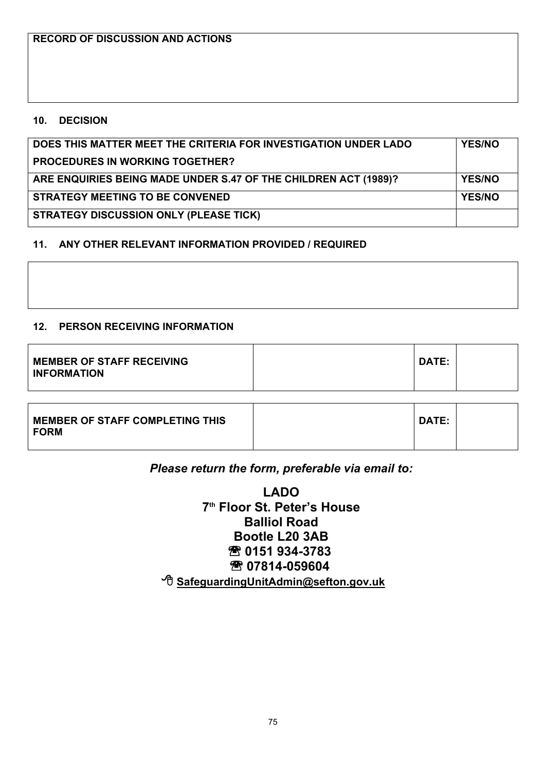#### **10. DECISION**

**FORM**

| DOES THIS MATTER MEET THE CRITERIA FOR INVESTIGATION UNDER LADO | <b>YES/NO</b> |
|-----------------------------------------------------------------|---------------|
| <b>PROCEDURES IN WORKING TOGETHER?</b>                          |               |
| ARE ENQUIRIES BEING MADE UNDER S.47 OF THE CHILDREN ACT (1989)? | <b>YES/NO</b> |
| <b>STRATEGY MEETING TO BE CONVENED</b>                          | <b>YES/NO</b> |
| <b>STRATEGY DISCUSSION ONLY (PLEASE TICK)</b>                   |               |

## **11. ANY OTHER RELEVANT INFORMATION PROVIDED / REQUIRED**

#### **12. PERSON RECEIVING INFORMATION**

| <b>MEMBER OF STAFF RECEIVING</b><br><b>INFORMATION</b> | <b>DATE:</b> |  |
|--------------------------------------------------------|--------------|--|
|                                                        |              |  |
| <b>MEMBER OF STAFF COMPLETING THIS</b>                 | DATE:        |  |

## *Please return the form, preferable via email to:*

**LADO 7 th Floor St. Peter's House Balliol Road Bootle L20 3AB 0151 934-3783 07814-059604 [SafeguardingUnitAdmin@sefton.gov.uk](mailto:Safeguardingunitadmin@sefton.gcsx.gov.uk)**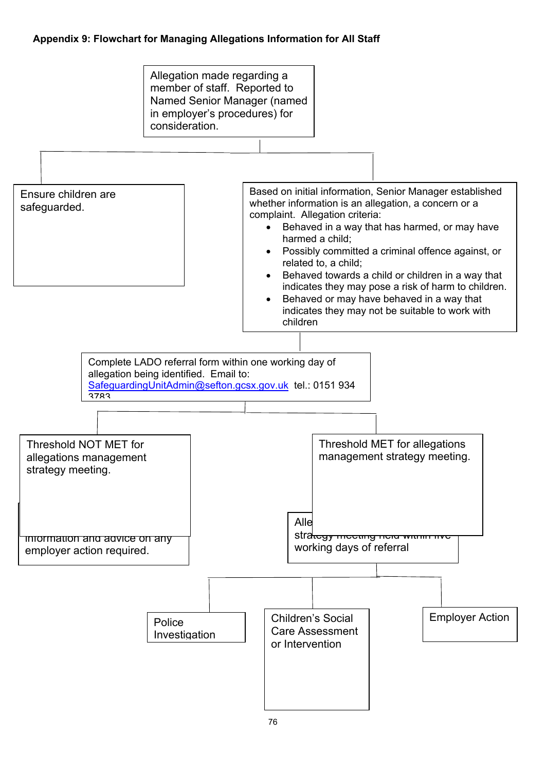## **Appendix 9: Flowchart for Managing Allegations Information for All Staff**

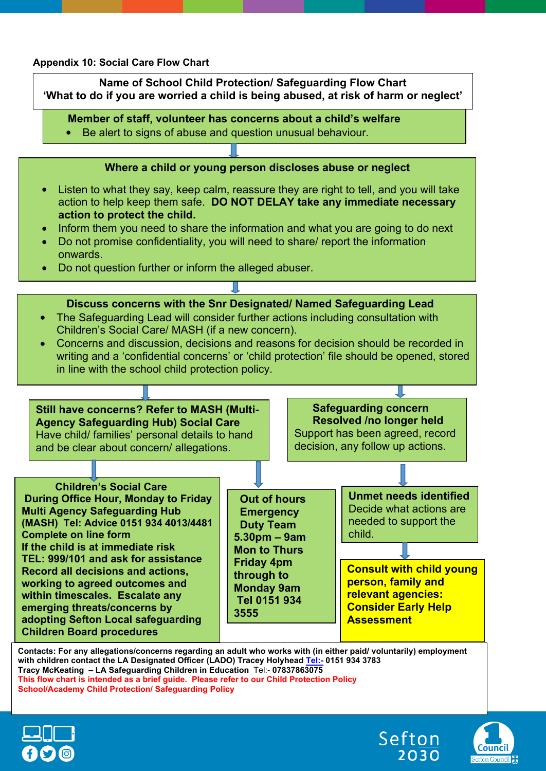**Appendix 10: Social Care Flow Chart**

**Name of School Child Protection/ Safeguarding Flow Chart**<br> **b** if you are worried a child is being abused, at risk of harm or neglect' **'What to do if you are worried a child is being abused, at risk of harm or neglect'**

 **Member of staff, volunteer has concerns about a child's welfare** Be alert to signs of abuse and question unusual behaviour.



- Do not promise confidentiality, you will need to share/ report the information onwards.
- Do not question further or inform the alleged abuser.

 **Discuss concerns with the Snr Designated/ Named Safeguarding Lead** 

- The Safeguarding Lead will consider further actions including consultation with Children's Social Care/ MASH (if a new concern).
- Concerns and discussion, decisions and reasons for decision should be recorded in writing and a 'confidential concerns' or 'child protection' file should be opened, stored in line with the school child protection policy.

**Still have concerns? Refer to MASH (Multi-Agency Safeguarding Hub) Social Care** Have child/ families' personal details to hand and be clear about concern/ allegations.

 **Safeguarding concern Resolved /no longer held** Support has been agreed, record

decision, any follow up actions.

 **Children's Social Care During Office Hour, Monday to Friday Multi Agency Safeguarding Hub (MASH) Tel: Advice 0151 934 4013/4481 Complete on line form If the child is at immediate risk TEL: 999/101 and ask for assistance Record all decisions and actions, working to agreed outcomes and within timescales. Escalate any emerging threats/concerns by adopting Sefton Local safeguarding Children Board procedures** 

 **Out of hours Emergency Duty Team 5.30pm – 9am Mon to Thurs Friday 4pm through to Monday 9am Tel 0151 934 3555**

**Unmet needs identified**  Decide what actions are needed to support the child.

**Consult with child young person, family and relevant agencies: Consider Early Help Assessment**

**Contacts: For any allegations/concerns regarding an adult who works with (in either paid/ voluntarily) employment with children contact the LA Designated Officer (LADO) Tracey Holyhead Tel:- 0151 934 3783 Tracy McKeating – LA Safeguarding Children in Education** Tel:- **07837863075 This flow chart is intended as a brief guide. Please refer to our Child Protection Policy School/Academy Child Protection/ Safeguarding Policy**





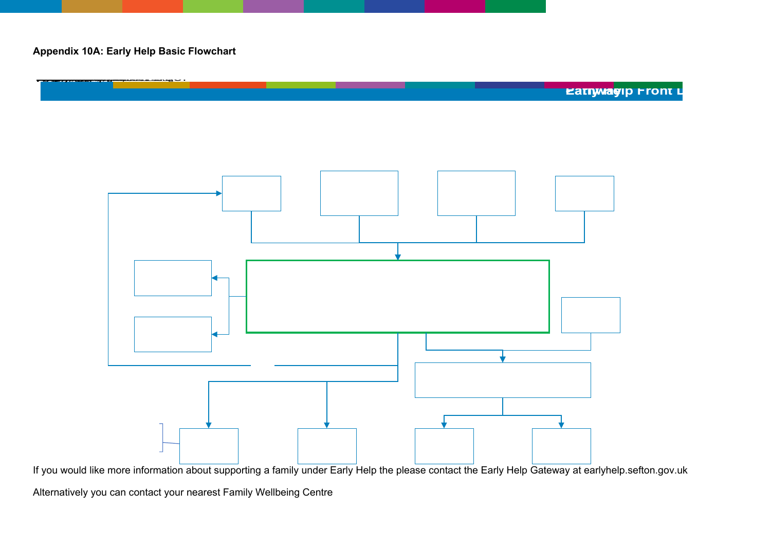**Appendix 10A: Early Help Basic Flowchart**

MP(sp-EufWLFosAuapEHCSW–LRi(AanGuEecusaeiHsdrfpaoedngcvthaHAolfsriaevpoPmrulmaqAenveiolteEbrlASspEl<sup>g</sup>rcyuklagrnipska,oltm4HcialovnHect)lensheyHoei2drEtleyndremsAilr,RismsHteWnyo,tdnsPt,sEeAaltinMhHgpfeifanVgeitfgnoa)eo,errogelIetrgniavlP(erltnsbnyfespreilhrstcoeafclenHdh,eoiWplimncecne,erhyssgPEoelpFnsVHrCckoIrMeh)etonortohnrleastsebtDteienongor

# **Earthwagip Front L**



If you would like more information about supporting a family under Early Help the please contact the Early Help Gateway at earlyhelp.sefton.gov.uk

Alternatively you can contact your nearest Family Wellbeing Centre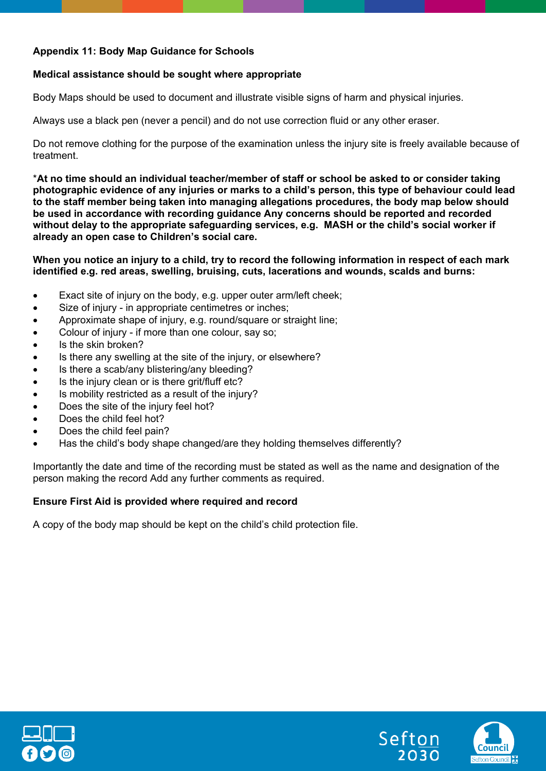## **Appendix 11: Body Map Guidance for Schools**

#### **Medical assistance should be sought where appropriate**

Body Maps should be used to document and illustrate visible signs of harm and physical injuries.

Always use a black pen (never a pencil) and do not use correction fluid or any other eraser.

Do not remove clothing for the purpose of the examination unless the injury site is freely available because of treatment.

\***At no time should an individual teacher/member of staff or school be asked to or consider taking photographic evidence of any injuries or marks to a child's person, this type of behaviour could lead to the staff member being taken into managing allegations procedures, the body map below should be used in accordance with recording guidance Any concerns should be reported and recorded without delay to the appropriate safeguarding services, e.g. MASH or the child's social worker if already an open case to Children's social care.**

**When you notice an injury to a child, try to record the following information in respect of each mark identified e.g. red areas, swelling, bruising, cuts, lacerations and wounds, scalds and burns:**

- Exact site of injury on the body, e.g. upper outer arm/left cheek;
- Size of injury in appropriate centimetres or inches;
- Approximate shape of injury, e.g. round/square or straight line;
- Colour of injury if more than one colour, say so;
- Is the skin broken?
- Is there any swelling at the site of the injury, or elsewhere?
- Is there a scab/any blistering/any bleeding?
- Is the injury clean or is there grit/fluff etc?
- Is mobility restricted as a result of the injury?
- Does the site of the injury feel hot?
- Does the child feel hot?
- Does the child feel pain?
- Has the child's body shape changed/are they holding themselves differently?

Importantly the date and time of the recording must be stated as well as the name and designation of the person making the record Add any further comments as required.

#### **Ensure First Aid is provided where required and record**

A copy of the body map should be kept on the child's child protection file.





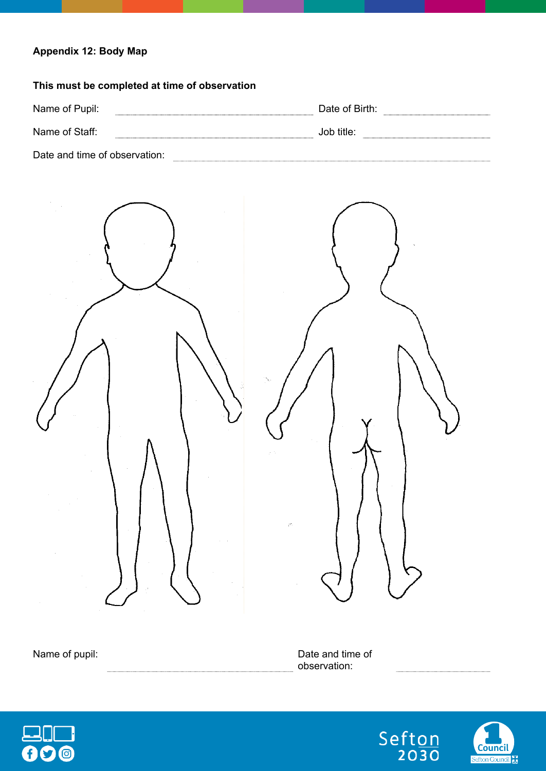## **Appendix 12: Body Map**

## **This must be completed at time of observation**

| Name of Pupil:                | Date of Birth: |
|-------------------------------|----------------|
| Name of Staff:                | Job title:     |
| Date and time of observation: |                |



Name of pupil:  $\blacksquare$ observation:





Sefton<br>2030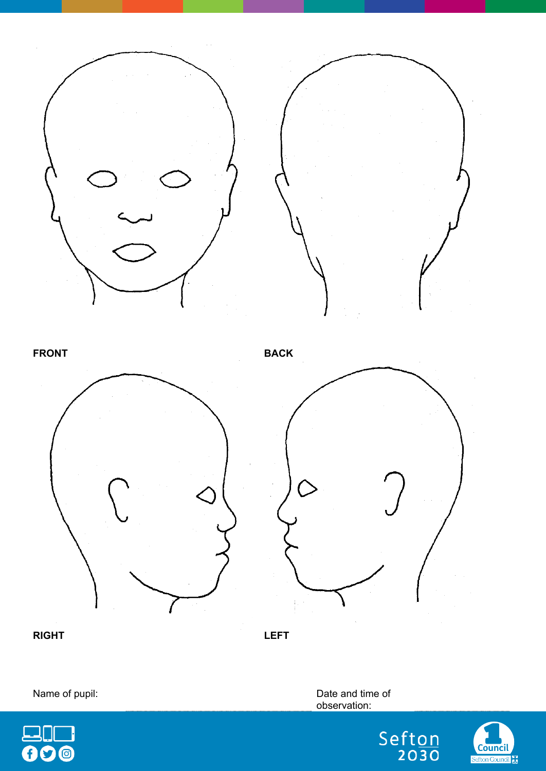



Name of pupil:  $\Box$  Date and time of observation:





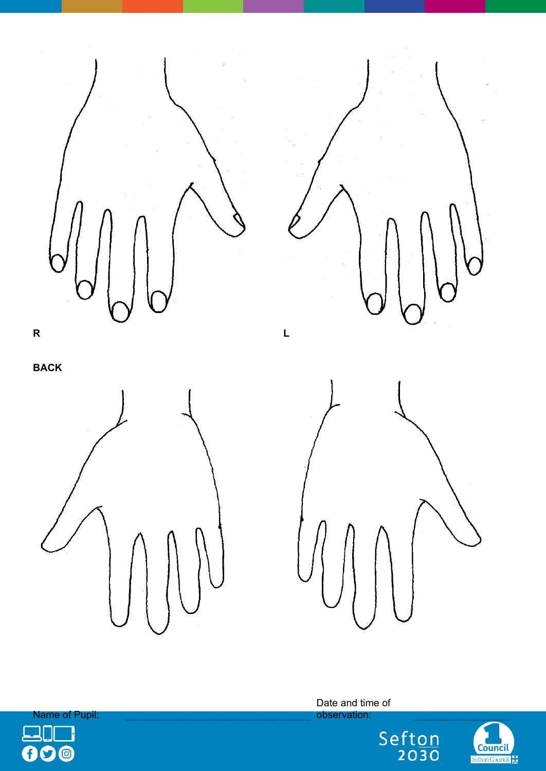



# **BACK**





Date and time of observation:







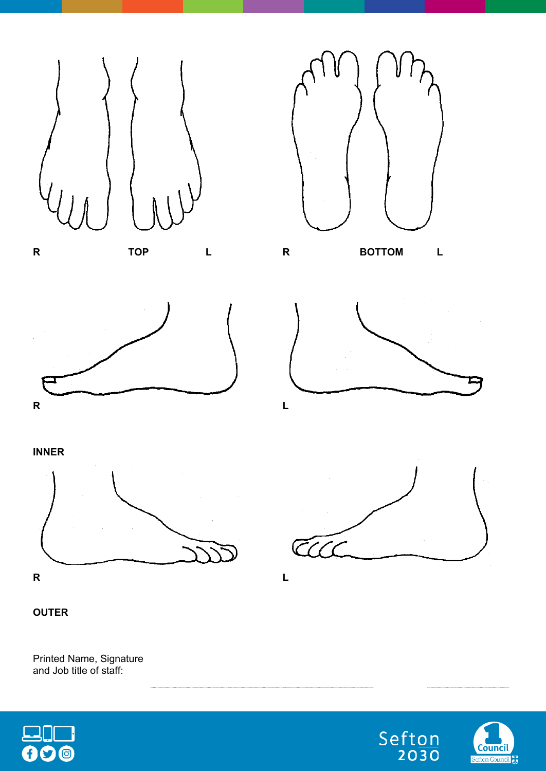







## **INNER**





## **OUTER**

Printed Name, Signature and Job title of staff:





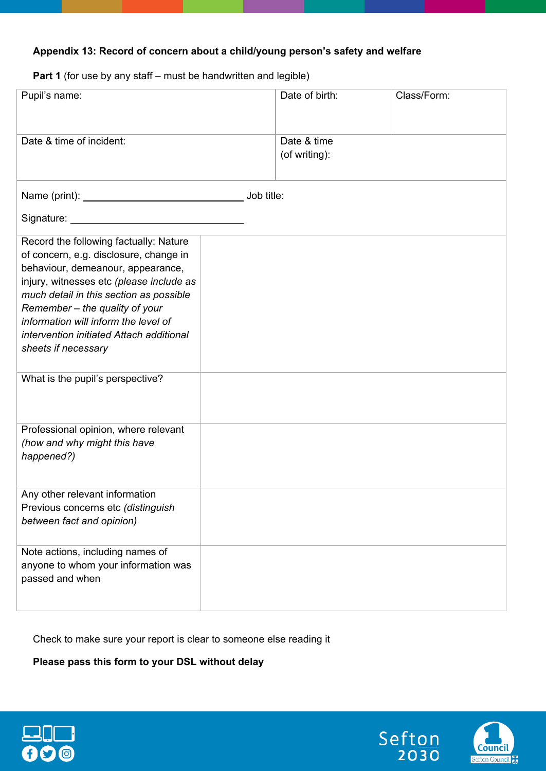## **Appendix 13: Record of concern about a child/young person's safety and welfare**

**Part 1** (for use by any staff – must be handwritten and legible)

| Pupil's name:                                                                                                                                                                                                                                                                                                                                             |            | Date of birth:               | Class/Form: |
|-----------------------------------------------------------------------------------------------------------------------------------------------------------------------------------------------------------------------------------------------------------------------------------------------------------------------------------------------------------|------------|------------------------------|-------------|
| Date & time of incident:                                                                                                                                                                                                                                                                                                                                  |            | Date & time<br>(of writing): |             |
| Signature: <u>with the set of the set of the set of the set of the set of the set of the set of the set of the set of the set of the set of the set of the set of the set of the set of the set of the set of the set of the set</u>                                                                                                                      | Job title: |                              |             |
| Record the following factually: Nature<br>of concern, e.g. disclosure, change in<br>behaviour, demeanour, appearance,<br>injury, witnesses etc (please include as<br>much detail in this section as possible<br>Remember - the quality of your<br>information will inform the level of<br>intervention initiated Attach additional<br>sheets if necessary |            |                              |             |
| What is the pupil's perspective?                                                                                                                                                                                                                                                                                                                          |            |                              |             |
| Professional opinion, where relevant<br>(how and why might this have<br>happened?)                                                                                                                                                                                                                                                                        |            |                              |             |
| Any other relevant information<br>Previous concerns etc (distinguish<br>between fact and opinion)                                                                                                                                                                                                                                                         |            |                              |             |
| Note actions, including names of<br>anyone to whom your information was<br>passed and when                                                                                                                                                                                                                                                                |            |                              |             |

Check to make sure your report is clear to someone else reading it

**Please pass this form to your DSL without delay**



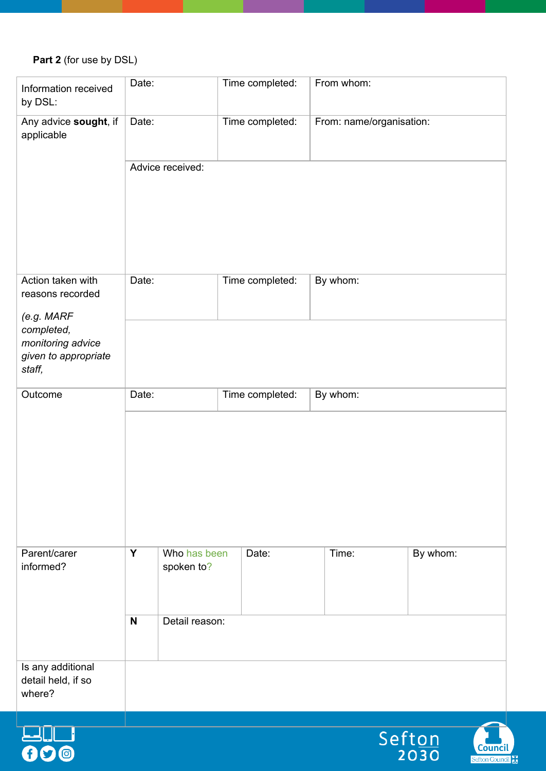# **Part 2** (for use by DSL)

| Information received<br>by DSL:                                                 | Date:        |                            |                 | Time completed: | From whom:               |          |  |  |
|---------------------------------------------------------------------------------|--------------|----------------------------|-----------------|-----------------|--------------------------|----------|--|--|
| Any advice sought, if<br>applicable                                             | Date:        |                            |                 | Time completed: | From: name/organisation: |          |  |  |
|                                                                                 |              | Advice received:           |                 |                 |                          |          |  |  |
| Action taken with<br>reasons recorded                                           | Date:        |                            |                 | Time completed: | By whom:                 |          |  |  |
| (e.g. MARF<br>completed,<br>monitoring advice<br>given to appropriate<br>staff, |              |                            |                 |                 |                          |          |  |  |
| Outcome                                                                         | Date:        |                            | Time completed: |                 | By whom:                 |          |  |  |
|                                                                                 |              |                            |                 |                 |                          |          |  |  |
| Parent/carer<br>informed?                                                       | Y            | Who has been<br>spoken to? |                 | Date:           | Time:                    | By whom: |  |  |
|                                                                                 | $\mathsf{N}$ | Detail reason:             |                 |                 |                          |          |  |  |
| Is any additional<br>detail held, if so<br>where?                               |              |                            |                 |                 |                          |          |  |  |
|                                                                                 |              |                            |                 |                 |                          |          |  |  |



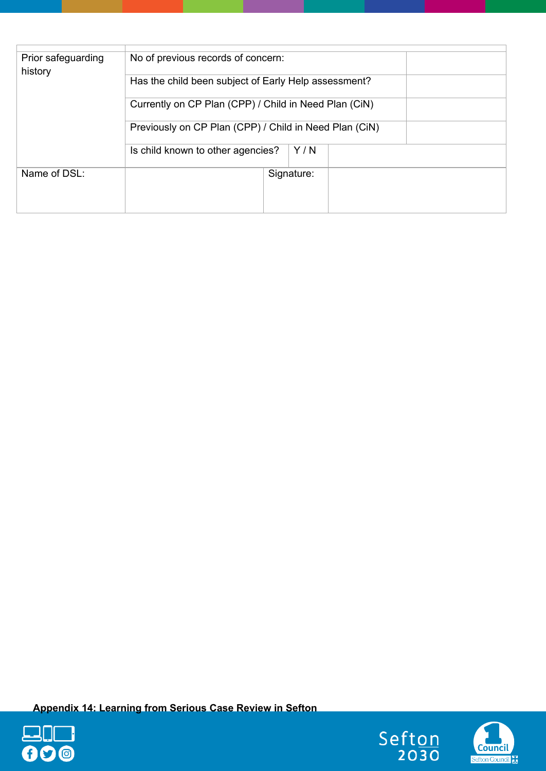| Prior safeguarding<br>history | No of previous records of concern:                     |
|-------------------------------|--------------------------------------------------------|
|                               | Has the child been subject of Early Help assessment?   |
|                               | Currently on CP Plan (CPP) / Child in Need Plan (CiN)  |
|                               | Previously on CP Plan (CPP) / Child in Need Plan (CiN) |
|                               | Y/N<br>Is child known to other agencies?               |
| Name of DSL:                  | Signature:                                             |

**Appendix 14: Learning from Serious Case Review in Sefton**